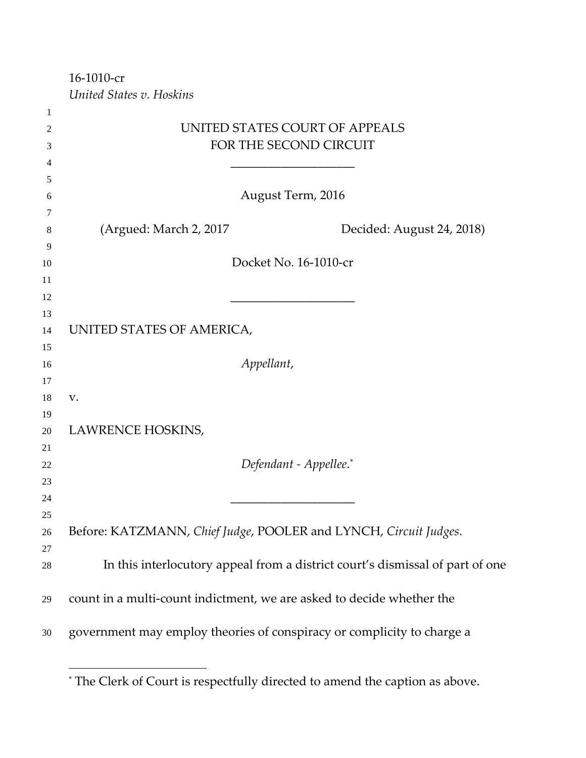16-1010-cr

 $\overline{a}$ 

*United States v. Hoskins*

| $\mathbf{I}$ |                           |                                                                               |
|--------------|---------------------------|-------------------------------------------------------------------------------|
| 2            |                           | UNITED STATES COURT OF APPEALS                                                |
| 3            |                           | FOR THE SECOND CIRCUIT                                                        |
| 4            |                           |                                                                               |
| 5            |                           |                                                                               |
| 6            |                           | August Term, 2016                                                             |
| 7            |                           |                                                                               |
| 8            | (Argued: March 2, 2017)   | Decided: August 24, 2018)                                                     |
| 9            |                           |                                                                               |
| 10           |                           | Docket No. 16-1010-cr                                                         |
| 11           |                           |                                                                               |
| 12           |                           |                                                                               |
| 13           |                           |                                                                               |
| 14           | UNITED STATES OF AMERICA, |                                                                               |
| 15           |                           |                                                                               |
| 16           |                           | Appellant,                                                                    |
| 17           |                           |                                                                               |
| 18           | V.                        |                                                                               |
| 19<br>20     | LAWRENCE HOSKINS,         |                                                                               |
| 21           |                           |                                                                               |
| 22           |                           | Defendant - Appellee.*                                                        |
| 23           |                           |                                                                               |
| 24           |                           |                                                                               |
| 25           |                           |                                                                               |
| 26           |                           | Before: KATZMANN, Chief Judge, POOLER and LYNCH, Circuit Judges.              |
| 27           |                           |                                                                               |
| $28\,$       |                           | In this interlocutory appeal from a district court's dismissal of part of one |
| 29           |                           | count in a multi-count indictment, we are asked to decide whether the         |
| 30           |                           | government may employ theories of conspiracy or complicity to charge a        |
|              |                           |                                                                               |

<span id="page-0-0"></span><sup>\*</sup> The Clerk of Court is respectfully directed to amend the caption as above.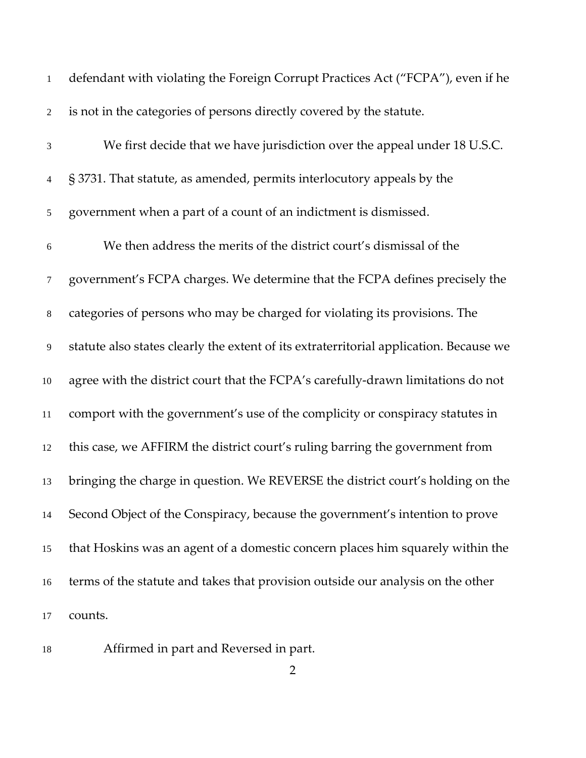| $\mathbf{1}$   | defendant with violating the Foreign Corrupt Practices Act ("FCPA"), even if he        |
|----------------|----------------------------------------------------------------------------------------|
| $\overline{c}$ | is not in the categories of persons directly covered by the statute.                   |
| 3              | We first decide that we have jurisdiction over the appeal under 18 U.S.C.              |
| $\overline{4}$ | § 3731. That statute, as amended, permits interlocutory appeals by the                 |
| $\mathfrak{S}$ | government when a part of a count of an indictment is dismissed.                       |
| $\sqrt{6}$     | We then address the merits of the district court's dismissal of the                    |
| 7              | government's FCPA charges. We determine that the FCPA defines precisely the            |
| $8\,$          | categories of persons who may be charged for violating its provisions. The             |
| 9              | statute also states clearly the extent of its extraterritorial application. Because we |
| 10             | agree with the district court that the FCPA's carefully-drawn limitations do not       |
| 11             | comport with the government's use of the complicity or conspiracy statutes in          |
| 12             | this case, we AFFIRM the district court's ruling barring the government from           |
| 13             | bringing the charge in question. We REVERSE the district court's holding on the        |
| 14             | Second Object of the Conspiracy, because the government's intention to prove           |
| 15             | that Hoskins was an agent of a domestic concern places him squarely within the         |
| 16             | terms of the statute and takes that provision outside our analysis on the other        |
| 17             | counts.                                                                                |

Affirmed in part and Reversed in part.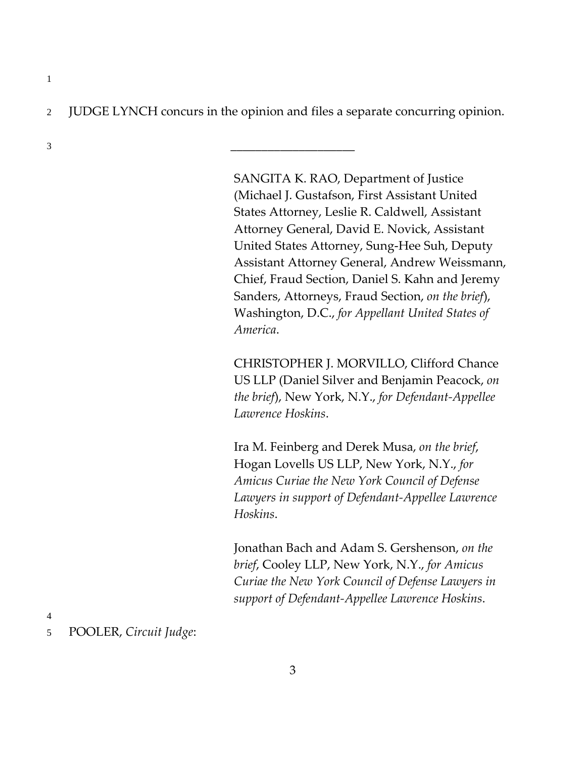2 JUDGE LYNCH concurs in the opinion and files a separate concurring opinion.

3 \_\_\_\_\_\_\_\_\_\_\_\_\_\_\_\_\_\_\_\_

SANGITA K. RAO, Department of Justice (Michael J. Gustafson, First Assistant United States Attorney, Leslie R. Caldwell, Assistant Attorney General, David E. Novick, Assistant United States Attorney, Sung-Hee Suh, Deputy Assistant Attorney General, Andrew Weissmann, Chief, Fraud Section, Daniel S. Kahn and Jeremy Sanders, Attorneys, Fraud Section, *on the brief*), Washington, D.C., *for Appellant United States of America*.

CHRISTOPHER J. MORVILLO, Clifford Chance US LLP (Daniel Silver and Benjamin Peacock, *on the brief*), New York, N.Y., *for Defendant-Appellee Lawrence Hoskins*.

Ira M. Feinberg and Derek Musa, *on the brief*, Hogan Lovells US LLP, New York, N.Y., *for Amicus Curiae the New York Council of Defense Lawyers in support of Defendant-Appellee Lawrence Hoskins*.

Jonathan Bach and Adam S. Gershenson, *on the brief*, Cooley LLP, New York, N.Y., *for Amicus Curiae the New York Council of Defense Lawyers in support of Defendant-Appellee Lawrence Hoskins*.

4

1

5 POOLER, *Circuit Judge*: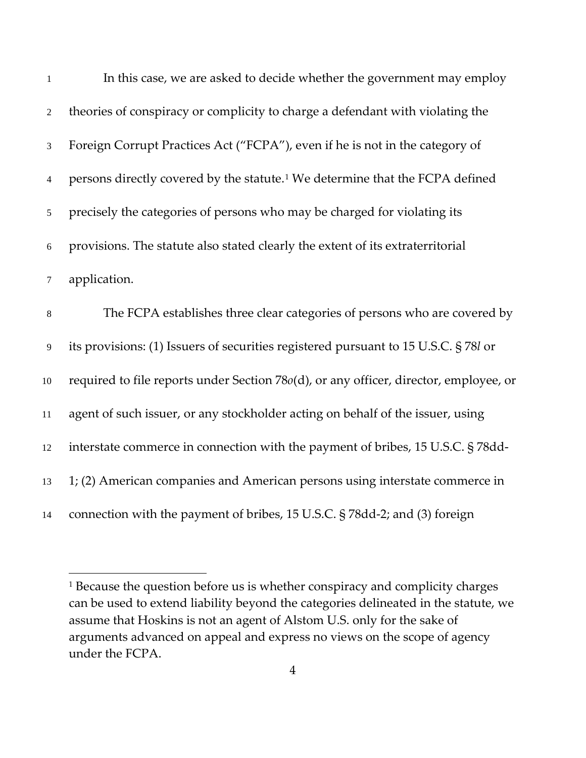| $\mathbf{1}$   | In this case, we are asked to decide whether the government may employ                   |
|----------------|------------------------------------------------------------------------------------------|
| $\overline{2}$ | theories of conspiracy or complicity to charge a defendant with violating the            |
| $\mathfrak{Z}$ | Foreign Corrupt Practices Act ("FCPA"), even if he is not in the category of             |
| $\overline{4}$ | persons directly covered by the statute. <sup>1</sup> We determine that the FCPA defined |
| 5              | precisely the categories of persons who may be charged for violating its                 |
| 6              | provisions. The statute also stated clearly the extent of its extraterritorial           |
| $\tau$         | application.                                                                             |
| $\,8\,$        | The FCPA establishes three clear categories of persons who are covered by                |
| $\overline{9}$ | its provisions: (1) Issuers of securities registered pursuant to 15 U.S.C. § 78l or      |
| $10\,$         | required to file reports under Section 78o(d), or any officer, director, employee, or    |
| 11             | agent of such issuer, or any stockholder acting on behalf of the issuer, using           |
| 12             | interstate commerce in connection with the payment of bribes, 15 U.S.C. § 78dd-          |
| 13             | 1; (2) American companies and American persons using interstate commerce in              |
| 14             | connection with the payment of bribes, 15 U.S.C. § 78dd-2; and (3) foreign               |

<span id="page-3-0"></span><sup>&</sup>lt;sup>1</sup> Because the question before us is whether conspiracy and complicity charges can be used to extend liability beyond the categories delineated in the statute, we assume that Hoskins is not an agent of Alstom U.S. only for the sake of arguments advanced on appeal and express no views on the scope of agency under the FCPA.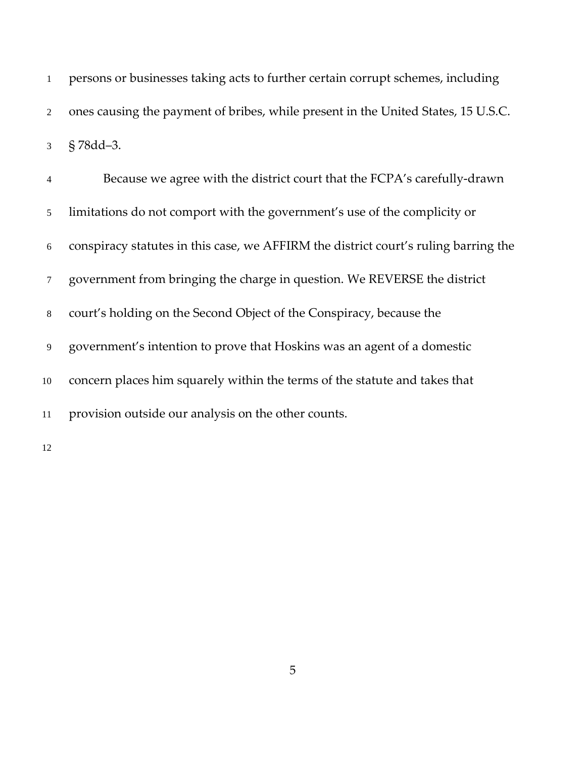persons or businesses taking acts to further certain corrupt schemes, including ones causing the payment of bribes, while present in the United States, 15 U.S.C. § 78dd–3.

| $\overline{4}$ | Because we agree with the district court that the FCPA's carefully-drawn            |
|----------------|-------------------------------------------------------------------------------------|
| 5 <sup>5</sup> | limitations do not comport with the government's use of the complicity or           |
| 6              | conspiracy statutes in this case, we AFFIRM the district court's ruling barring the |
| $\overline{7}$ | government from bringing the charge in question. We REVERSE the district            |
| 8              | court's holding on the Second Object of the Conspiracy, because the                 |
| 9              | government's intention to prove that Hoskins was an agent of a domestic             |
| 10             | concern places him squarely within the terms of the statute and takes that          |
| 11             | provision outside our analysis on the other counts.                                 |
|                |                                                                                     |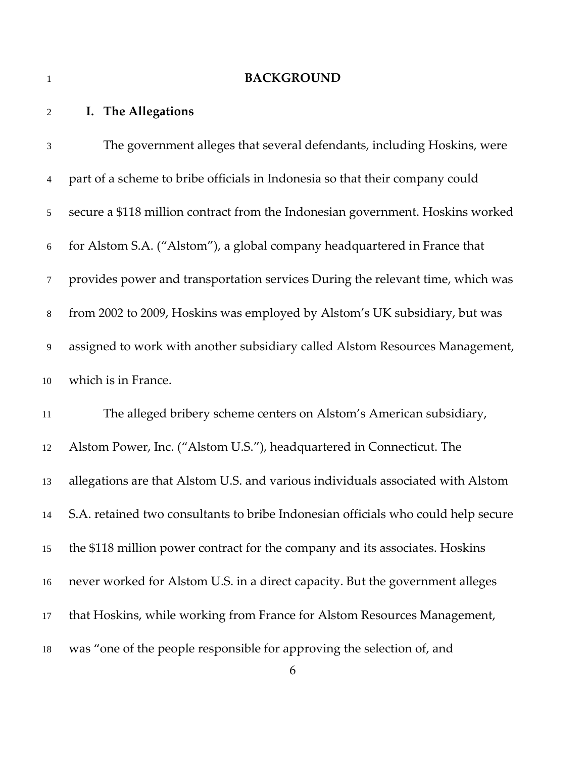#### **BACKGROUND**

### **I. The Allegations**

 The government alleges that several defendants, including Hoskins, were part of a scheme to bribe officials in Indonesia so that their company could secure a \$118 million contract from the Indonesian government. Hoskins worked for Alstom S.A. ("Alstom"), a global company headquartered in France that provides power and transportation services During the relevant time, which was from 2002 to 2009, Hoskins was employed by Alstom's UK subsidiary, but was assigned to work with another subsidiary called Alstom Resources Management, which is in France. The alleged bribery scheme centers on Alstom's American subsidiary, Alstom Power, Inc. ("Alstom U.S."), headquartered in Connecticut. The allegations are that Alstom U.S. and various individuals associated with Alstom S.A. retained two consultants to bribe Indonesian officials who could help secure the \$118 million power contract for the company and its associates. Hoskins never worked for Alstom U.S. in a direct capacity. But the government alleges that Hoskins, while working from France for Alstom Resources Management, was "one of the people responsible for approving the selection of, and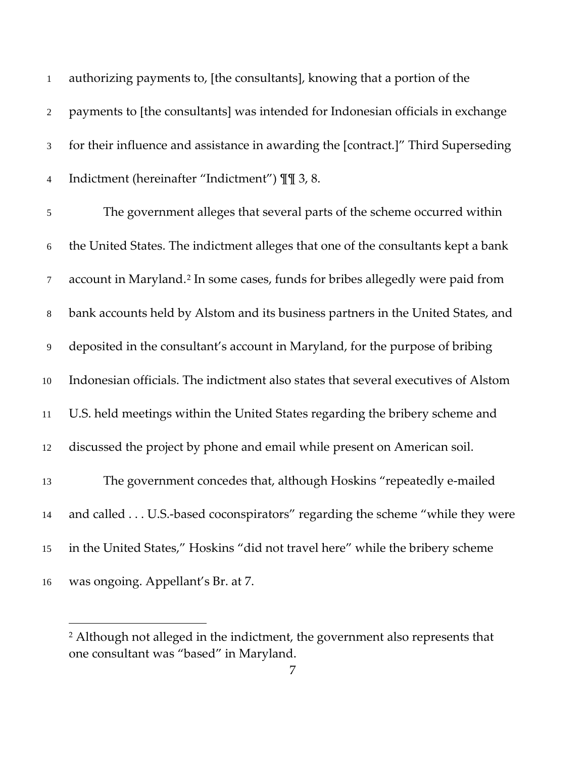| $\mathbf{1}$   | authorizing payments to, [the consultants], knowing that a portion of the                  |
|----------------|--------------------------------------------------------------------------------------------|
| $\sqrt{2}$     | payments to [the consultants] was intended for Indonesian officials in exchange            |
| 3              | for their influence and assistance in awarding the [contract.]" Third Superseding          |
| $\overline{4}$ | Indictment (hereinafter "Indictment") II 3, 8.                                             |
| 5              | The government alleges that several parts of the scheme occurred within                    |
| 6              | the United States. The indictment alleges that one of the consultants kept a bank          |
| $\overline{7}$ | account in Maryland. <sup>2</sup> In some cases, funds for bribes allegedly were paid from |
| 8              | bank accounts held by Alstom and its business partners in the United States, and           |
| 9              | deposited in the consultant's account in Maryland, for the purpose of bribing              |
| 10             | Indonesian officials. The indictment also states that several executives of Alstom         |
| 11             | U.S. held meetings within the United States regarding the bribery scheme and               |
| 12             | discussed the project by phone and email while present on American soil.                   |
| 13             | The government concedes that, although Hoskins "repeatedly e-mailed                        |
| 14             | and called U.S.-based coconspirators" regarding the scheme "while they were                |
| 15             | in the United States," Hoskins "did not travel here" while the bribery scheme              |
| 16             | was ongoing. Appellant's Br. at 7.                                                         |

<span id="page-6-0"></span><sup>&</sup>lt;sup>2</sup> Although not alleged in the indictment, the government also represents that one consultant was "based" in Maryland.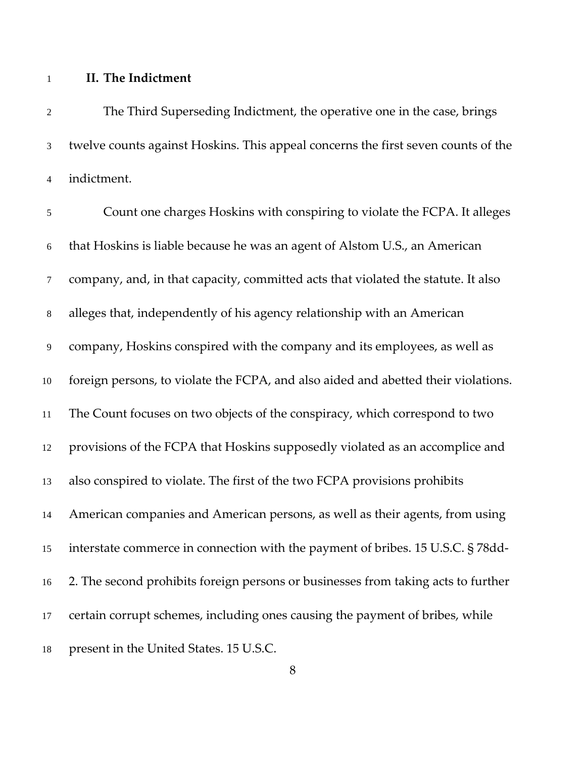### **II. The Indictment**

 The Third Superseding Indictment, the operative one in the case, brings twelve counts against Hoskins. This appeal concerns the first seven counts of the indictment. Count one charges Hoskins with conspiring to violate the FCPA. It alleges that Hoskins is liable because he was an agent of Alstom U.S., an American company, and, in that capacity, committed acts that violated the statute. It also alleges that, independently of his agency relationship with an American company, Hoskins conspired with the company and its employees, as well as foreign persons, to violate the FCPA, and also aided and abetted their violations. The Count focuses on two objects of the conspiracy, which correspond to two provisions of the FCPA that Hoskins supposedly violated as an accomplice and also conspired to violate. The first of the two FCPA provisions prohibits American companies and American persons, as well as their agents, from using interstate commerce in connection with the payment of bribes. 15 U.S.C. § 78dd- 2. The second prohibits foreign persons or businesses from taking acts to further certain corrupt schemes, including ones causing the payment of bribes, while

present in the United States. 15 U.S.C.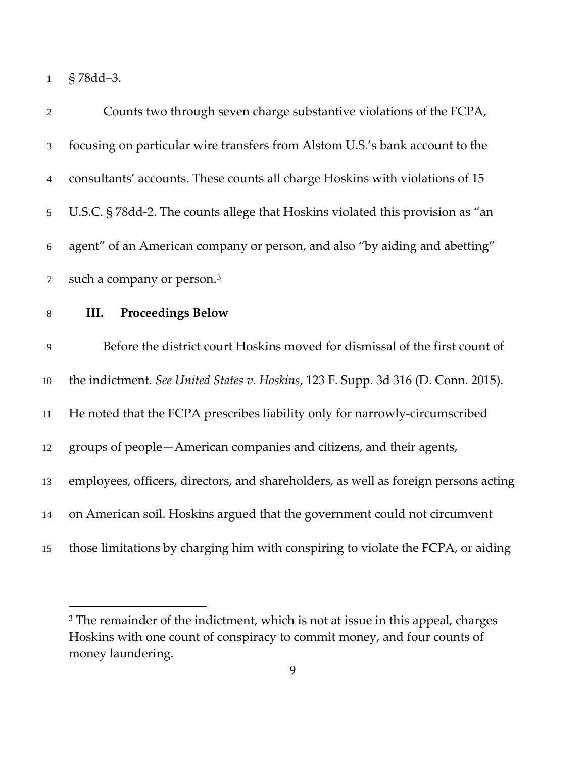§ 78dd–3.

| $\overline{2}$ | Counts two through seven charge substantive violations of the FCPA,                 |
|----------------|-------------------------------------------------------------------------------------|
| $\mathfrak{Z}$ | focusing on particular wire transfers from Alstom U.S.'s bank account to the        |
| $\overline{4}$ | consultants' accounts. These counts all charge Hoskins with violations of 15        |
| 5              | U.S.C. § 78dd-2. The counts allege that Hoskins violated this provision as "an      |
| 6              | agent" of an American company or person, and also "by aiding and abetting"          |
| $\tau$         | such a company or person. <sup>3</sup>                                              |
| $\,8\,$        | <b>Proceedings Below</b><br>III.                                                    |
| 9              | Before the district court Hoskins moved for dismissal of the first count of         |
| $10\,$         | the indictment. See United States v. Hoskins, 123 F. Supp. 3d 316 (D. Conn. 2015).  |
| 11             | He noted that the FCPA prescribes liability only for narrowly-circumscribed         |
| 12             | groups of people-American companies and citizens, and their agents,                 |
| 13             | employees, officers, directors, and shareholders, as well as foreign persons acting |
| 14             | on American soil. Hoskins argued that the government could not circumvent           |
| 15             | those limitations by charging him with conspiring to violate the FCPA, or aiding    |

<span id="page-8-0"></span><sup>&</sup>lt;sup>3</sup> The remainder of the indictment, which is not at issue in this appeal, charges Hoskins with one count of conspiracy to commit money, and four counts of money laundering.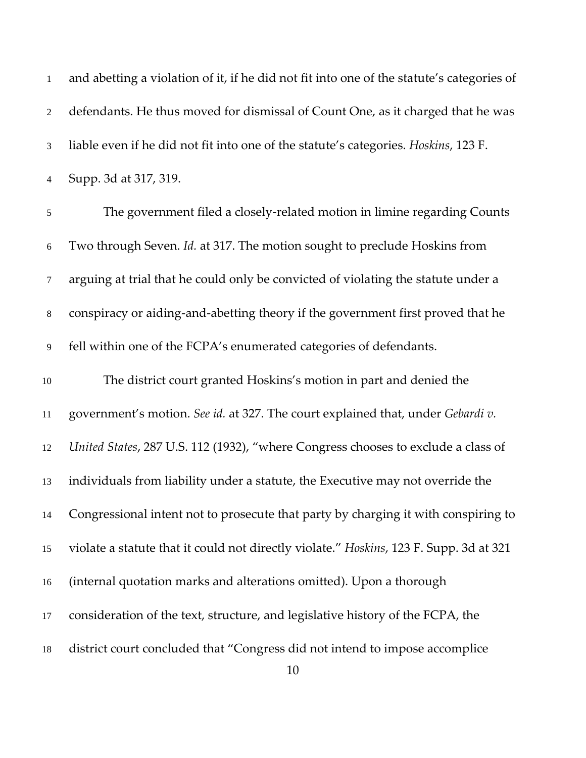| $\mathbf{1}$   | and abetting a violation of it, if he did not fit into one of the statute's categories of |
|----------------|-------------------------------------------------------------------------------------------|
| $\overline{2}$ | defendants. He thus moved for dismissal of Count One, as it charged that he was           |
| 3              | liable even if he did not fit into one of the statute's categories. Hoskins, 123 F.       |
| $\overline{4}$ | Supp. 3d at 317, 319.                                                                     |
| $\sqrt{5}$     | The government filed a closely-related motion in limine regarding Counts                  |
| $6\,$          | Two through Seven. Id. at 317. The motion sought to preclude Hoskins from                 |
| $\tau$         | arguing at trial that he could only be convicted of violating the statute under a         |
| $\,8\,$        | conspiracy or aiding-and-abetting theory if the government first proved that he           |
| 9              | fell within one of the FCPA's enumerated categories of defendants.                        |
| $10\,$         | The district court granted Hoskins's motion in part and denied the                        |
| 11             | government's motion. See id. at 327. The court explained that, under Gebardi v.           |
| 12             | United States, 287 U.S. 112 (1932), "where Congress chooses to exclude a class of         |
| 13             | individuals from liability under a statute, the Executive may not override the            |
| 14             | Congressional intent not to prosecute that party by charging it with conspiring to        |
| 15             | violate a statute that it could not directly violate." Hoskins, 123 F. Supp. 3d at 321    |
| 16             | (internal quotation marks and alterations omitted). Upon a thorough                       |
| 17             | consideration of the text, structure, and legislative history of the FCPA, the            |
| 18             | district court concluded that "Congress did not intend to impose accomplice<br>10         |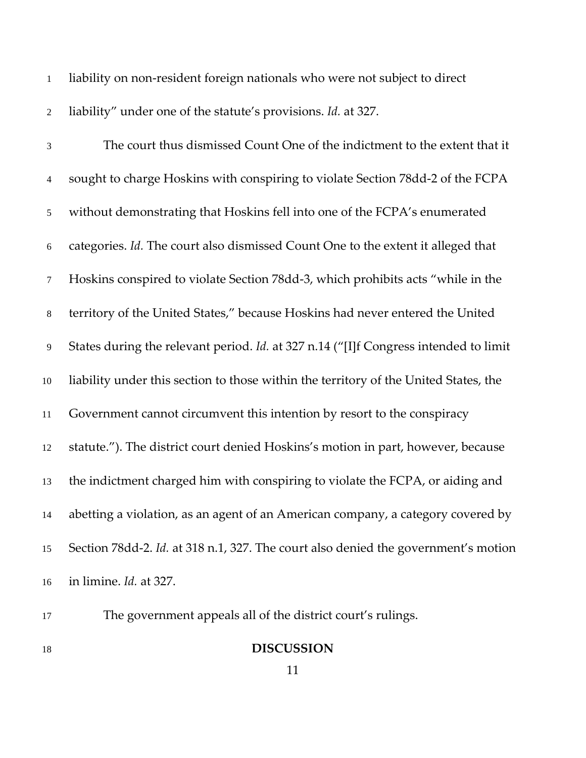| $\mathbf{1}$    | liability on non-resident foreign nationals who were not subject to direct           |
|-----------------|--------------------------------------------------------------------------------------|
| $\sqrt{2}$      | liability" under one of the statute's provisions. Id. at 327.                        |
| $\mathfrak{Z}$  | The court thus dismissed Count One of the indictment to the extent that it           |
| $\overline{4}$  | sought to charge Hoskins with conspiring to violate Section 78dd-2 of the FCPA       |
| $5\overline{)}$ | without demonstrating that Hoskins fell into one of the FCPA's enumerated            |
| 6               | categories. Id. The court also dismissed Count One to the extent it alleged that     |
| $\tau$          | Hoskins conspired to violate Section 78dd-3, which prohibits acts "while in the      |
| $8\,$           | territory of the United States," because Hoskins had never entered the United        |
| 9               | States during the relevant period. Id. at 327 n.14 ("[I]f Congress intended to limit |
| 10              | liability under this section to those within the territory of the United States, the |
| 11              | Government cannot circumvent this intention by resort to the conspiracy              |
| 12              | statute."). The district court denied Hoskins's motion in part, however, because     |
| 13              | the indictment charged him with conspiring to violate the FCPA, or aiding and        |
| 14              | abetting a violation, as an agent of an American company, a category covered by      |
| 15              | Section 78dd-2. Id. at 318 n.1, 327. The court also denied the government's motion   |
| 16              | in limine. Id. at 327.                                                               |

The government appeals all of the district court's rulings.

**DISCUSSION**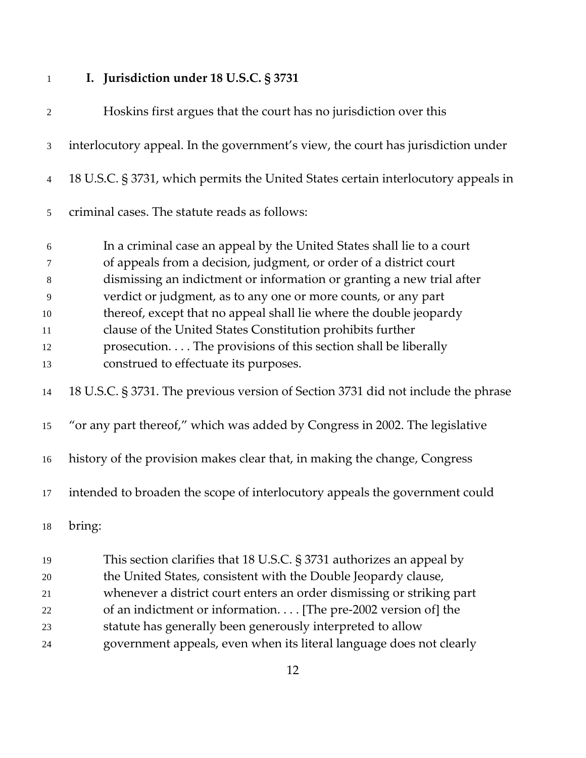# **I. Jurisdiction under 18 U.S.C. § 3731**

| $\sqrt{2}$ | Hoskins first argues that the court has no jurisdiction over this                  |
|------------|------------------------------------------------------------------------------------|
| 3          | interlocutory appeal. In the government's view, the court has jurisdiction under   |
| 4          | 18 U.S.C. § 3731, which permits the United States certain interlocutory appeals in |
| 5          | criminal cases. The statute reads as follows:                                      |
| 6          | In a criminal case an appeal by the United States shall lie to a court             |
| 7          | of appeals from a decision, judgment, or order of a district court                 |
| 8          | dismissing an indictment or information or granting a new trial after              |
| 9          | verdict or judgment, as to any one or more counts, or any part                     |
| 10         | thereof, except that no appeal shall lie where the double jeopardy                 |
| 11         | clause of the United States Constitution prohibits further                         |
| 12         | prosecution. The provisions of this section shall be liberally                     |
| 13         | construed to effectuate its purposes.                                              |
| 14         | 18 U.S.C. § 3731. The previous version of Section 3731 did not include the phrase  |
| 15         | "or any part thereof," which was added by Congress in 2002. The legislative        |
| 16         | history of the provision makes clear that, in making the change, Congress          |
| 17         | intended to broaden the scope of interlocutory appeals the government could        |
| 18         | bring:                                                                             |
| 19         | This section clarifies that 18 U.S.C. $\S 3731$ authorizes an appeal by            |
| 20         | the United States, consistent with the Double Jeopardy clause,                     |
| 21         | whenever a district court enters an order dismissing or striking part              |
| 22         | of an indictment or information. [The pre-2002 version of] the                     |
| 23         | statute has generally been generously interpreted to allow                         |

government appeals, even when its literal language does not clearly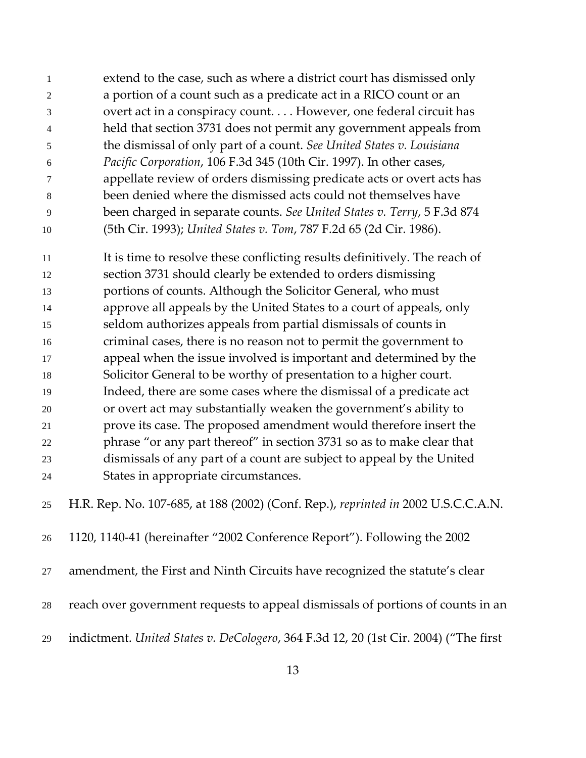| $\overline{1}$ | extend to the case, such as where a district court has dismissed only   |
|----------------|-------------------------------------------------------------------------|
| $\overline{2}$ | a portion of a count such as a predicate act in a RICO count or an      |
| $\mathcal{E}$  | overt act in a conspiracy count However, one federal circuit has        |
| $\overline{4}$ | held that section 3731 does not permit any government appeals from      |
| -5             | the dismissal of only part of a count. See United States v. Louisiana   |
| -6             | Pacific Corporation, 106 F.3d 345 (10th Cir. 1997). In other cases,     |
| 7              | appellate review of orders dismissing predicate acts or overt acts has  |
| -8             | been denied where the dismissed acts could not themselves have          |
| $\mathbf{Q}$   | been charged in separate counts. See United States v. Terry, 5 F.3d 874 |
| 10             | (5th Cir. 1993); United States v. Tom, 787 F.2d 65 (2d Cir. 1986).      |

 It is time to resolve these conflicting results definitively. The reach of section 3731 should clearly be extended to orders dismissing portions of counts. Although the Solicitor General, who must approve all appeals by the United States to a court of appeals, only seldom authorizes appeals from partial dismissals of counts in criminal cases, there is no reason not to permit the government to appeal when the issue involved is important and determined by the Solicitor General to be worthy of presentation to a higher court. Indeed, there are some cases where the dismissal of a predicate act or overt act may substantially weaken the government's ability to prove its case. The proposed amendment would therefore insert the phrase "or any part thereof" in section 3731 so as to make clear that dismissals of any part of a count are subject to appeal by the United States in appropriate circumstances.

H.R. Rep. No. 107-685, at 188 (2002) (Conf. Rep.), *reprinted in* 2002 U.S.C.C.A.N.

1120, 1140-41 (hereinafter "2002 Conference Report"). Following the 2002

amendment, the First and Ninth Circuits have recognized the statute's clear

- reach over government requests to appeal dismissals of portions of counts in an
- indictment. *United States v. DeCologero*, 364 F.3d 12, 20 (1st Cir. 2004) ("The first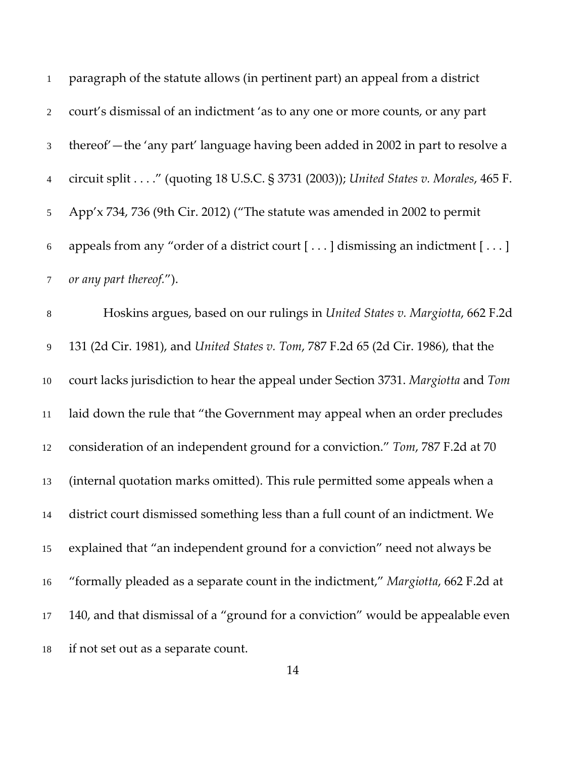| 1              | paragraph of the statute allows (in pertinent part) an appeal from a district                  |
|----------------|------------------------------------------------------------------------------------------------|
| $\overline{2}$ | court's dismissal of an indictment 'as to any one or more counts, or any part                  |
| 3 <sup>7</sup> | thereof'—the 'any part' language having been added in 2002 in part to resolve a                |
| $\overline{4}$ | circuit split" (quoting 18 U.S.C. § 3731 (2003)); United States v. Morales, 465 F.             |
| 5 <sup>7</sup> | App'x 734, 736 (9th Cir. 2012) ("The statute was amended in 2002 to permit                     |
| 6              | appeals from any "order of a district court [ $\ldots$ ] dismissing an indictment [ $\ldots$ ] |
|                | 7 or any part thereof.").                                                                      |
|                | $\text{Hole}$ is a second proof on our rulings in Huited Claim Mensiolly ((9 $\text{F2}$ )     |

 Hoskins argues, based on our rulings in *United States v. Margiotta*, 662 F.2d 131 (2d Cir. 1981), and *United States v. Tom*, 787 F.2d 65 (2d Cir. 1986), that the court lacks jurisdiction to hear the appeal under Section 3731. *Margiotta* and *Tom* laid down the rule that "the Government may appeal when an order precludes consideration of an independent ground for a conviction." *Tom*, 787 F.2d at 70 (internal quotation marks omitted). This rule permitted some appeals when a district court dismissed something less than a full count of an indictment. We explained that "an independent ground for a conviction" need not always be "formally pleaded as a separate count in the indictment," *Margiotta*, 662 F.2d at 140, and that dismissal of a "ground for a conviction" would be appealable even if not set out as a separate count.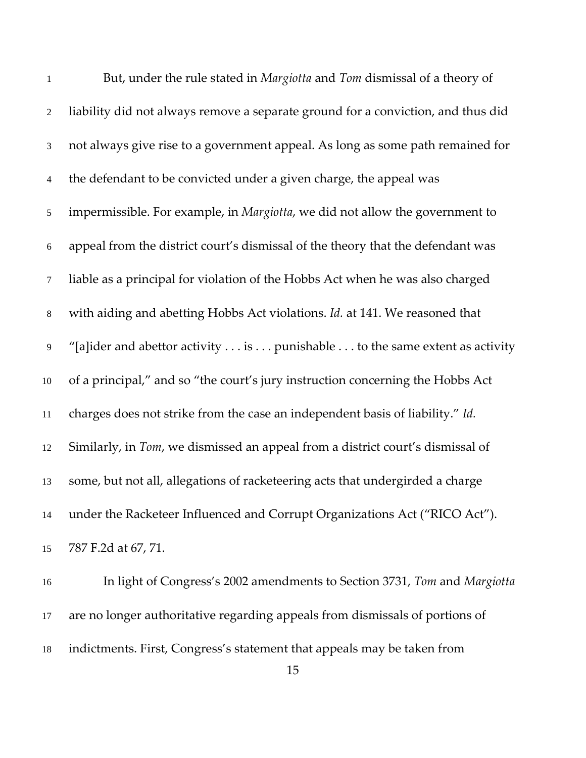| $\mathbf{1}$   | But, under the rule stated in Margiotta and Tom dismissal of a theory of                           |
|----------------|----------------------------------------------------------------------------------------------------|
| $\overline{2}$ | liability did not always remove a separate ground for a conviction, and thus did                   |
| $\mathfrak{Z}$ | not always give rise to a government appeal. As long as some path remained for                     |
| $\overline{4}$ | the defendant to be convicted under a given charge, the appeal was                                 |
| $\mathfrak{S}$ | impermissible. For example, in Margiotta, we did not allow the government to                       |
| 6              | appeal from the district court's dismissal of the theory that the defendant was                    |
| $\tau$         | liable as a principal for violation of the Hobbs Act when he was also charged                      |
| $\,8\,$        | with aiding and abetting Hobbs Act violations. Id. at 141. We reasoned that                        |
| 9              | "[a]ider and abettor activity $\dots$ is $\dots$ punishable $\dots$ to the same extent as activity |
| 10             | of a principal," and so "the court's jury instruction concerning the Hobbs Act                     |
| 11             | charges does not strike from the case an independent basis of liability." Id.                      |
| 12             | Similarly, in Tom, we dismissed an appeal from a district court's dismissal of                     |
| 13             | some, but not all, allegations of racketeering acts that undergirded a charge                      |
| 14             | under the Racketeer Influenced and Corrupt Organizations Act ("RICO Act").                         |
| 15             | 787 F.2d at 67, 71.                                                                                |
|                |                                                                                                    |

 In light of Congress's 2002 amendments to Section 3731, *Tom* and *Margiotta* are no longer authoritative regarding appeals from dismissals of portions of indictments. First, Congress's statement that appeals may be taken from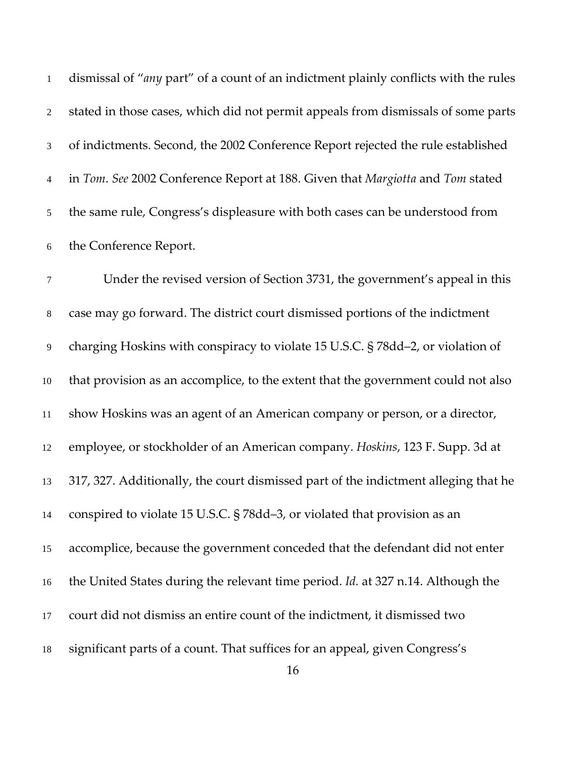dismissal of "*any* part" of a count of an indictment plainly conflicts with the rules stated in those cases, which did not permit appeals from dismissals of some parts of indictments. Second, the 2002 Conference Report rejected the rule established in *Tom*. *See* 2002 Conference Report at 188. Given that *Margiotta* and *Tom* stated the same rule, Congress's displeasure with both cases can be understood from the Conference Report.

 Under the revised version of Section 3731, the government's appeal in this case may go forward. The district court dismissed portions of the indictment charging Hoskins with conspiracy to violate 15 U.S.C. § 78dd–2, or violation of that provision as an accomplice, to the extent that the government could not also show Hoskins was an agent of an American company or person, or a director, employee, or stockholder of an American company. *Hoskins*, 123 F. Supp. 3d at 317, 327. Additionally, the court dismissed part of the indictment alleging that he conspired to violate 15 U.S.C. § 78dd–3, or violated that provision as an accomplice, because the government conceded that the defendant did not enter the United States during the relevant time period. *Id.* at 327 n.14. Although the court did not dismiss an entire count of the indictment, it dismissed two significant parts of a count. That suffices for an appeal, given Congress's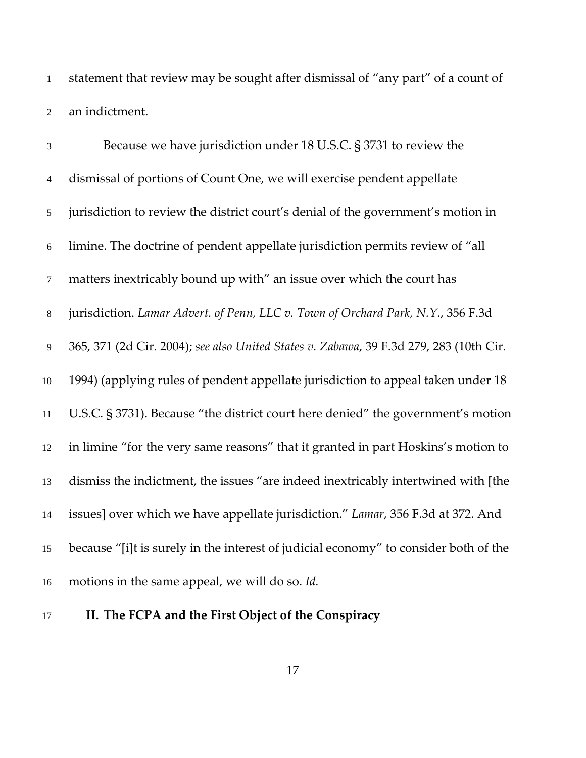statement that review may be sought after dismissal of "any part" of a count of an indictment.

 Because we have jurisdiction under 18 U.S.C. § 3731 to review the dismissal of portions of Count One, we will exercise pendent appellate jurisdiction to review the district court's denial of the government's motion in limine. The doctrine of pendent appellate jurisdiction permits review of "all matters inextricably bound up with" an issue over which the court has jurisdiction. *Lamar Advert. of Penn, LLC v. Town of Orchard Park, N.Y.*, 356 F.3d 365, 371 (2d Cir. 2004); *see also United States v. Zabawa*, 39 F.3d 279, 283 (10th Cir. 1994) (applying rules of pendent appellate jurisdiction to appeal taken under 18 U.S.C. § 3731). Because "the district court here denied" the government's motion in limine "for the very same reasons" that it granted in part Hoskins's motion to dismiss the indictment, the issues "are indeed inextricably intertwined with [the issues] over which we have appellate jurisdiction." *Lamar*, 356 F.3d at 372. And because "[i]t is surely in the interest of judicial economy" to consider both of the motions in the same appeal, we will do so. *Id.*

**II. The FCPA and the First Object of the Conspiracy**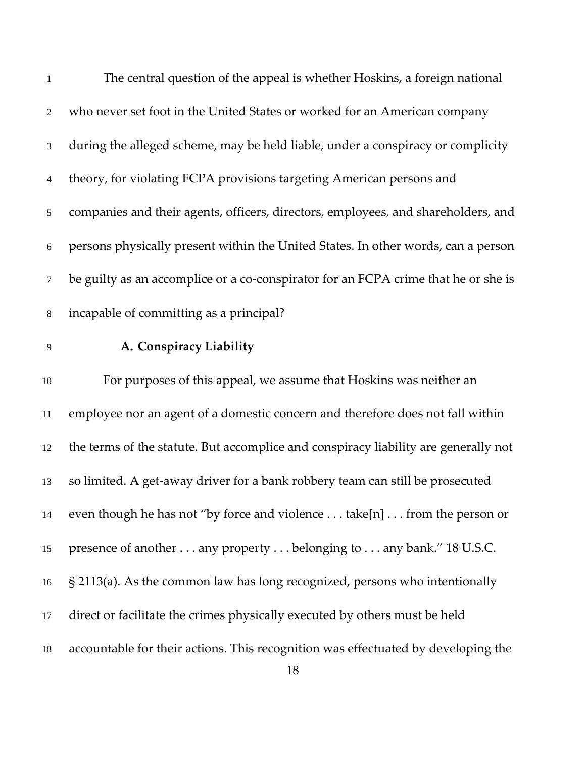| $\mathbf{1}$   | The central question of the appeal is whether Hoskins, a foreign national           |
|----------------|-------------------------------------------------------------------------------------|
| $\overline{2}$ | who never set foot in the United States or worked for an American company           |
| $\mathfrak{Z}$ | during the alleged scheme, may be held liable, under a conspiracy or complicity     |
| $\overline{4}$ | theory, for violating FCPA provisions targeting American persons and                |
| 5              | companies and their agents, officers, directors, employees, and shareholders, and   |
| 6              | persons physically present within the United States. In other words, can a person   |
| $\tau$         | be guilty as an accomplice or a co-conspirator for an FCPA crime that he or she is  |
| $\,8\,$        | incapable of committing as a principal?                                             |
| 9              | A. Conspiracy Liability                                                             |
| $10\,$         | For purposes of this appeal, we assume that Hoskins was neither an                  |
| 11             | employee nor an agent of a domestic concern and therefore does not fall within      |
| 12             | the terms of the statute. But accomplice and conspiracy liability are generally not |
| 13             | so limited. A get-away driver for a bank robbery team can still be prosecuted       |
| 14             | even though he has not "by force and violence take[n] from the person or            |
| 15             | presence of another any property belonging to any bank." 18 U.S.C.                  |
| 16             | $\S$ 2113(a). As the common law has long recognized, persons who intentionally      |
| 17             | direct or facilitate the crimes physically executed by others must be held          |
| 18             | accountable for their actions. This recognition was effectuated by developing the   |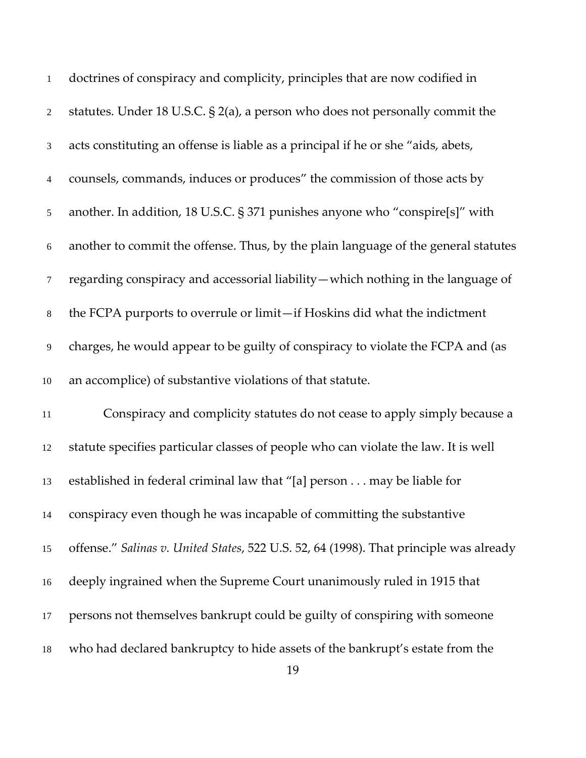| $\mathbf{1}$   | doctrines of conspiracy and complicity, principles that are now codified in            |
|----------------|----------------------------------------------------------------------------------------|
| $\overline{2}$ | statutes. Under 18 U.S.C. $\S$ 2(a), a person who does not personally commit the       |
| 3              | acts constituting an offense is liable as a principal if he or she "aids, abets,       |
| 4              | counsels, commands, induces or produces" the commission of those acts by               |
| 5              | another. In addition, 18 U.S.C. § 371 punishes anyone who "conspire[s]" with           |
| $\sqrt{6}$     | another to commit the offense. Thus, by the plain language of the general statutes     |
| $\tau$         | regarding conspiracy and accessorial liability - which nothing in the language of      |
| $8\,$          | the FCPA purports to overrule or limit-if Hoskins did what the indictment              |
| 9              | charges, he would appear to be guilty of conspiracy to violate the FCPA and (as        |
| $10\,$         | an accomplice) of substantive violations of that statute.                              |
| 11             | Conspiracy and complicity statutes do not cease to apply simply because a              |
| 12             | statute specifies particular classes of people who can violate the law. It is well     |
| 13             | established in federal criminal law that "[a] person may be liable for                 |
| 14             | conspiracy even though he was incapable of committing the substantive                  |
| 15             | offense." Salinas v. United States, 522 U.S. 52, 64 (1998). That principle was already |
| 16             | deeply ingrained when the Supreme Court unanimously ruled in 1915 that                 |
| 17             | persons not themselves bankrupt could be guilty of conspiring with someone             |
| 18             | who had declared bankruptcy to hide assets of the bankrupt's estate from the           |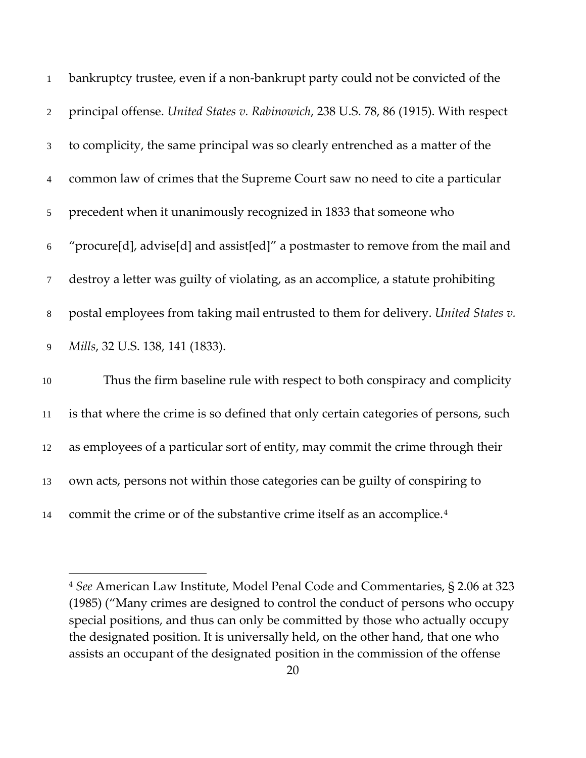| $\mathbf{1}$   | bankruptcy trustee, even if a non-bankrupt party could not be convicted of the       |
|----------------|--------------------------------------------------------------------------------------|
| 2              | principal offense. United States v. Rabinowich, 238 U.S. 78, 86 (1915). With respect |
| 3              | to complicity, the same principal was so clearly entrenched as a matter of the       |
| $\overline{4}$ | common law of crimes that the Supreme Court saw no need to cite a particular         |
| $\mathfrak{S}$ | precedent when it unanimously recognized in 1833 that someone who                    |
| 6              | "procure[d], advise[d] and assist[ed]" a postmaster to remove from the mail and      |
| $\tau$         | destroy a letter was guilty of violating, as an accomplice, a statute prohibiting    |
| 8              | postal employees from taking mail entrusted to them for delivery. United States v.   |
| 9              | Mills, 32 U.S. 138, 141 (1833).                                                      |
| 10             | Thus the firm baseline rule with respect to both conspiracy and complicity           |
| 11             | is that where the crime is so defined that only certain categories of persons, such  |
| 12             | as employees of a particular sort of entity, may commit the crime through their      |
| 13             | own acts, persons not within those categories can be guilty of conspiring to         |
| 14             | commit the crime or of the substantive crime itself as an accomplice. <sup>4</sup>   |

<span id="page-19-0"></span> *See* American Law Institute, Model Penal Code and Commentaries, § 2.06 at 323 (1985) ("Many crimes are designed to control the conduct of persons who occupy special positions, and thus can only be committed by those who actually occupy the designated position. It is universally held, on the other hand, that one who assists an occupant of the designated position in the commission of the offense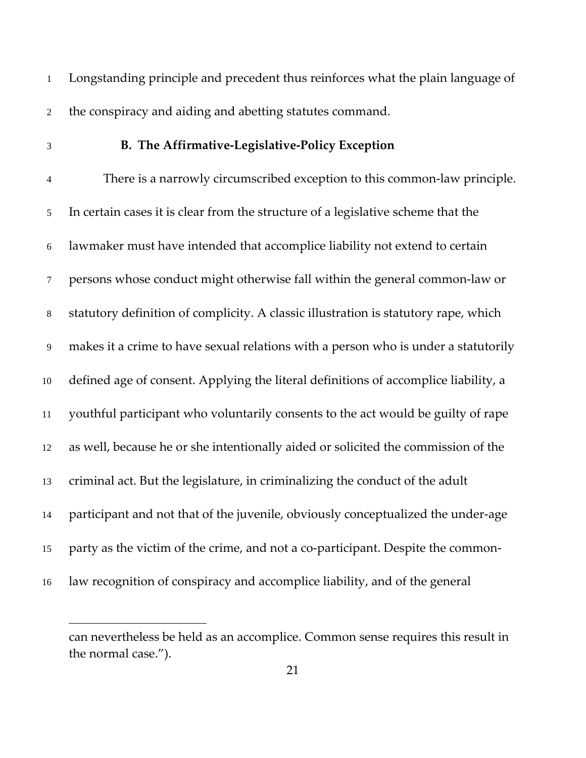Longstanding principle and precedent thus reinforces what the plain language of the conspiracy and aiding and abetting statutes command.

 $\overline{a}$ 

### **B. The Affirmative-Legislative-Policy Exception**

 There is a narrowly circumscribed exception to this common-law principle. In certain cases it is clear from the structure of a legislative scheme that the lawmaker must have intended that accomplice liability not extend to certain persons whose conduct might otherwise fall within the general common-law or statutory definition of complicity. A classic illustration is statutory rape, which makes it a crime to have sexual relations with a person who is under a statutorily defined age of consent. Applying the literal definitions of accomplice liability, a youthful participant who voluntarily consents to the act would be guilty of rape as well, because he or she intentionally aided or solicited the commission of the criminal act. But the legislature, in criminalizing the conduct of the adult participant and not that of the juvenile, obviously conceptualized the under-age party as the victim of the crime, and not a co-participant. Despite the common-law recognition of conspiracy and accomplice liability, and of the general

can nevertheless be held as an accomplice. Common sense requires this result in the normal case.").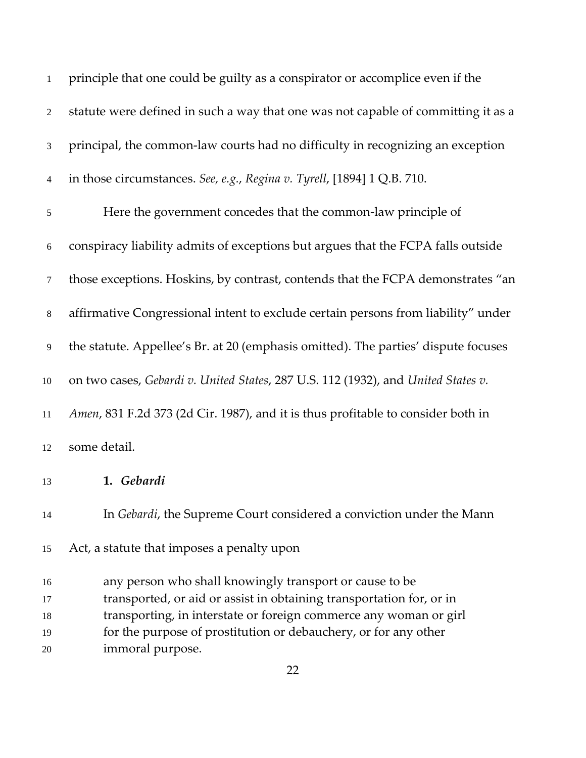| $\mathbf{1}$   | principle that one could be guilty as a conspirator or accomplice even if the      |
|----------------|------------------------------------------------------------------------------------|
| $\sqrt{2}$     | statute were defined in such a way that one was not capable of committing it as a  |
| $\mathfrak{Z}$ | principal, the common-law courts had no difficulty in recognizing an exception     |
| $\overline{4}$ | in those circumstances. See, e.g., Regina v. Tyrell, [1894] 1 Q.B. 710.            |
| $\sqrt{5}$     | Here the government concedes that the common-law principle of                      |
| $\sqrt{6}$     | conspiracy liability admits of exceptions but argues that the FCPA falls outside   |
| $\tau$         | those exceptions. Hoskins, by contrast, contends that the FCPA demonstrates "an    |
| $\,8\,$        | affirmative Congressional intent to exclude certain persons from liability" under  |
| $\overline{9}$ | the statute. Appellee's Br. at 20 (emphasis omitted). The parties' dispute focuses |
| 10             | on two cases, Gebardi v. United States, 287 U.S. 112 (1932), and United States v.  |
| $11\,$         | Amen, 831 F.2d 373 (2d Cir. 1987), and it is thus profitable to consider both in   |
| 12             | some detail.                                                                       |
| 13             | 1. Gebardi                                                                         |
| 14             | In Gebardi, the Supreme Court considered a conviction under the Mann               |
| 15             | Act, a statute that imposes a penalty upon                                         |
| 16             | any person who shall knowingly transport or cause to be                            |
| 17             | transported, or aid or assist in obtaining transportation for, or in               |
| 18             | transporting, in interstate or foreign commerce any woman or girl                  |
| 19             | for the purpose of prostitution or debauchery, or for any other                    |
| 20             | immoral purpose.                                                                   |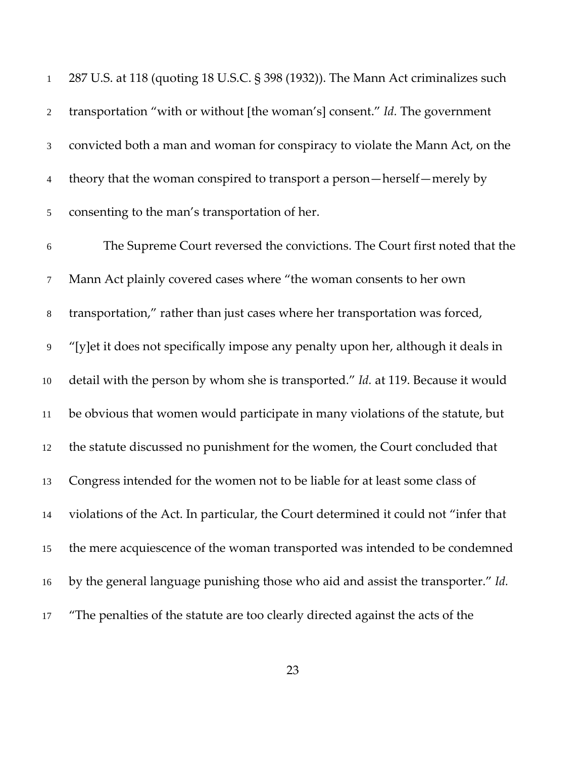287 U.S. at 118 (quoting 18 U.S.C. § 398 (1932)). The Mann Act criminalizes such transportation "with or without [the woman's] consent." *Id.* The government convicted both a man and woman for conspiracy to violate the Mann Act, on the 4 theory that the woman conspired to transport a person—herself—merely by consenting to the man's transportation of her. The Supreme Court reversed the convictions. The Court first noted that the Mann Act plainly covered cases where "the woman consents to her own transportation," rather than just cases where her transportation was forced, "[y]et it does not specifically impose any penalty upon her, although it deals in detail with the person by whom she is transported." *Id.* at 119. Because it would be obvious that women would participate in many violations of the statute, but the statute discussed no punishment for the women, the Court concluded that Congress intended for the women not to be liable for at least some class of violations of the Act. In particular, the Court determined it could not "infer that the mere acquiescence of the woman transported was intended to be condemned by the general language punishing those who aid and assist the transporter." *Id.* "The penalties of the statute are too clearly directed against the acts of the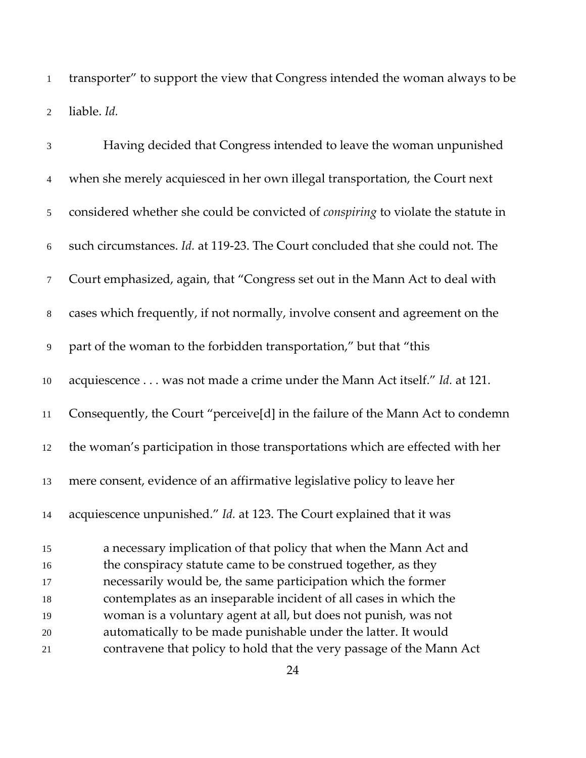transporter" to support the view that Congress intended the woman always to be liable. *Id.*

| $\mathfrak{Z}$ | Having decided that Congress intended to leave the woman unpunished               |
|----------------|-----------------------------------------------------------------------------------|
| $\overline{4}$ | when she merely acquiesced in her own illegal transportation, the Court next      |
| 5              | considered whether she could be convicted of conspiring to violate the statute in |
| $\sqrt{6}$     | such circumstances. Id. at 119-23. The Court concluded that she could not. The    |
| $\tau$         | Court emphasized, again, that "Congress set out in the Mann Act to deal with      |
| $\,8\,$        | cases which frequently, if not normally, involve consent and agreement on the     |
| 9              | part of the woman to the forbidden transportation," but that "this                |
| $10\,$         | acquiescence was not made a crime under the Mann Act itself." Id. at 121.         |
| 11             | Consequently, the Court "perceive[d] in the failure of the Mann Act to condemn    |
| 12             | the woman's participation in those transportations which are effected with her    |
| 13             | mere consent, evidence of an affirmative legislative policy to leave her          |
| 14             | acquiescence unpunished." Id. at 123. The Court explained that it was             |
| 15             | a necessary implication of that policy that when the Mann Act and                 |
| 16             | the conspiracy statute came to be construed together, as they                     |
| 17             | necessarily would be, the same participation which the former                     |
| 18             | contemplates as an inseparable incident of all cases in which the                 |
| 19             | woman is a voluntary agent at all, but does not punish, was not                   |
| 20             | automatically to be made punishable under the latter. It would                    |
| 21             | contravene that policy to hold that the very passage of the Mann Act              |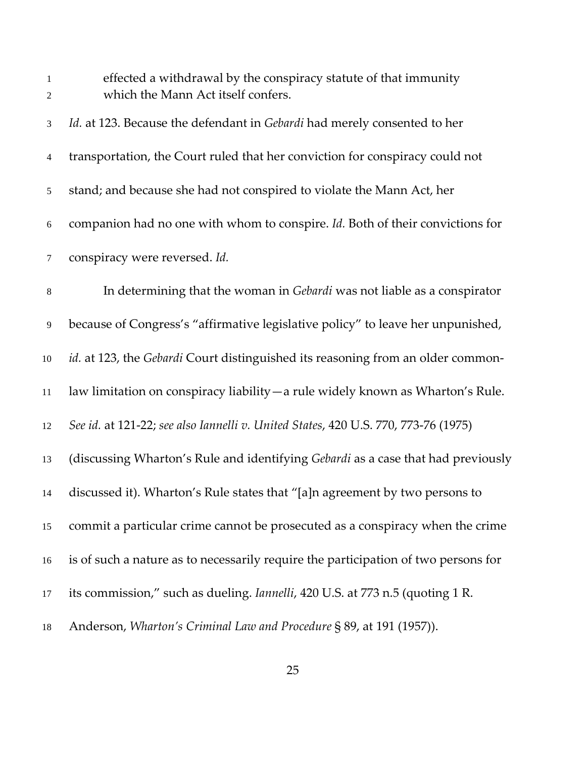| $\mathbf{1}$<br>$\mathbf{2}$ | effected a withdrawal by the conspiracy statute of that immunity<br>which the Mann Act itself confers. |
|------------------------------|--------------------------------------------------------------------------------------------------------|
| $\mathfrak{Z}$               | Id. at 123. Because the defendant in Gebardi had merely consented to her                               |
| $\overline{4}$               | transportation, the Court ruled that her conviction for conspiracy could not                           |
| $\mathfrak{S}$               | stand; and because she had not conspired to violate the Mann Act, her                                  |
| $6\,$                        | companion had no one with whom to conspire. Id. Both of their convictions for                          |
| $\tau$                       | conspiracy were reversed. Id.                                                                          |
| $\,8\,$                      | In determining that the woman in Gebardi was not liable as a conspirator                               |
| 9                            | because of Congress's "affirmative legislative policy" to leave her unpunished,                        |
| 10                           | id. at 123, the Gebardi Court distinguished its reasoning from an older common-                        |
| $11\,$                       | law limitation on conspiracy liability — a rule widely known as Wharton's Rule.                        |
| 12                           | See id. at 121-22; see also Iannelli v. United States, 420 U.S. 770, 773-76 (1975)                     |
| 13                           | (discussing Wharton's Rule and identifying Gebardi as a case that had previously                       |
| 14                           | discussed it). Wharton's Rule states that "[a]n agreement by two persons to                            |
| 15                           | commit a particular crime cannot be prosecuted as a conspiracy when the crime                          |
| 16                           | is of such a nature as to necessarily require the participation of two persons for                     |
| 17                           | its commission," such as dueling. <i>Iannelli</i> , 420 U.S. at 773 n.5 (quoting 1 R.                  |
| 18                           | Anderson, Wharton's Criminal Law and Procedure § 89, at 191 (1957)).                                   |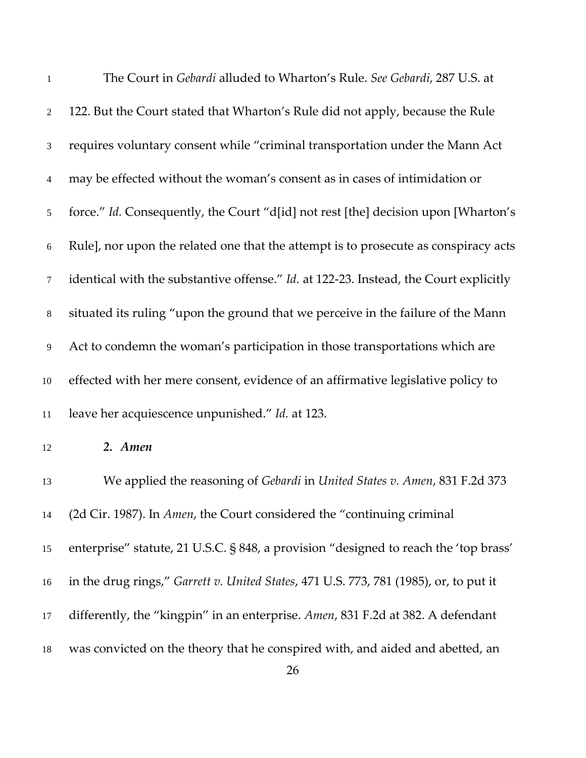| $\mathbf{1}$    | The Court in Gebardi alluded to Wharton's Rule. See Gebardi, 287 U.S. at              |
|-----------------|---------------------------------------------------------------------------------------|
| $\overline{2}$  | 122. But the Court stated that Wharton's Rule did not apply, because the Rule         |
| $\mathfrak{Z}$  | requires voluntary consent while "criminal transportation under the Mann Act          |
| 4               | may be effected without the woman's consent as in cases of intimidation or            |
| $5\overline{)}$ | force." Id. Consequently, the Court "d[id] not rest [the] decision upon [Wharton's    |
| 6               | Rule], nor upon the related one that the attempt is to prosecute as conspiracy acts   |
| $\tau$          | identical with the substantive offense." Id. at 122-23. Instead, the Court explicitly |
| $8\,$           | situated its ruling "upon the ground that we perceive in the failure of the Mann      |
| 9               | Act to condemn the woman's participation in those transportations which are           |
| $10\,$          | effected with her mere consent, evidence of an affirmative legislative policy to      |
| 11              | leave her acquiescence unpunished." Id. at 123.                                       |
| 12              | 2. Amen                                                                               |
| 13              | We applied the reasoning of Gebardi in United States v. Amen, 831 F.2d 373            |
| 14              | (2d Cir. 1987). In Amen, the Court considered the "continuing criminal                |
| 15              | enterprise" statute, 21 U.S.C. § 848, a provision "designed to reach the 'top brass'  |
| 16              | in the drug rings," Garrett v. United States, 471 U.S. 773, 781 (1985), or, to put it |
| 17              | differently, the "kingpin" in an enterprise. Amen, 831 F.2d at 382. A defendant       |
| 18              | was convicted on the theory that he conspired with, and aided and abetted, an         |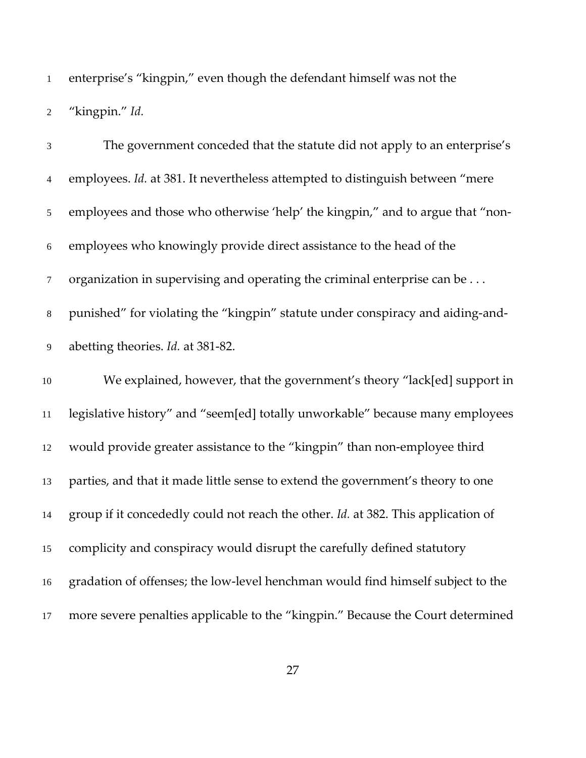enterprise's "kingpin," even though the defendant himself was not the "kingpin." *Id.*

 The government conceded that the statute did not apply to an enterprise's employees. *Id.* at 381. It nevertheless attempted to distinguish between "mere employees and those who otherwise 'help' the kingpin," and to argue that "non- employees who knowingly provide direct assistance to the head of the organization in supervising and operating the criminal enterprise can be . . . punished" for violating the "kingpin" statute under conspiracy and aiding-and- abetting theories. *Id.* at 381-82. We explained, however, that the government's theory "lack[ed] support in legislative history" and "seem[ed] totally unworkable" because many employees would provide greater assistance to the "kingpin" than non-employee third parties, and that it made little sense to extend the government's theory to one group if it concededly could not reach the other. *Id.* at 382. This application of complicity and conspiracy would disrupt the carefully defined statutory gradation of offenses; the low-level henchman would find himself subject to the more severe penalties applicable to the "kingpin." Because the Court determined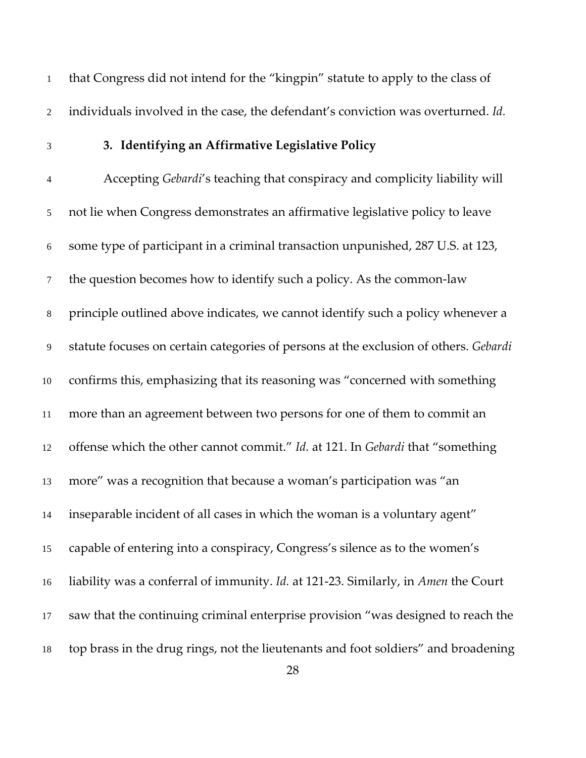that Congress did not intend for the "kingpin" statute to apply to the class of individuals involved in the case, the defendant's conviction was overturned. *Id.*

## **3. Identifying an Affirmative Legislative Policy**

 Accepting *Gebardi*'s teaching that conspiracy and complicity liability will not lie when Congress demonstrates an affirmative legislative policy to leave some type of participant in a criminal transaction unpunished, 287 U.S. at 123, the question becomes how to identify such a policy. As the common-law principle outlined above indicates, we cannot identify such a policy whenever a statute focuses on certain categories of persons at the exclusion of others. *Gebardi*  confirms this, emphasizing that its reasoning was "concerned with something more than an agreement between two persons for one of them to commit an offense which the other cannot commit." *Id.* at 121. In *Gebardi* that "something more" was a recognition that because a woman's participation was "an inseparable incident of all cases in which the woman is a voluntary agent" capable of entering into a conspiracy, Congress's silence as to the women's liability was a conferral of immunity. *Id.* at 121-23. Similarly, in *Amen* the Court saw that the continuing criminal enterprise provision "was designed to reach the top brass in the drug rings, not the lieutenants and foot soldiers" and broadening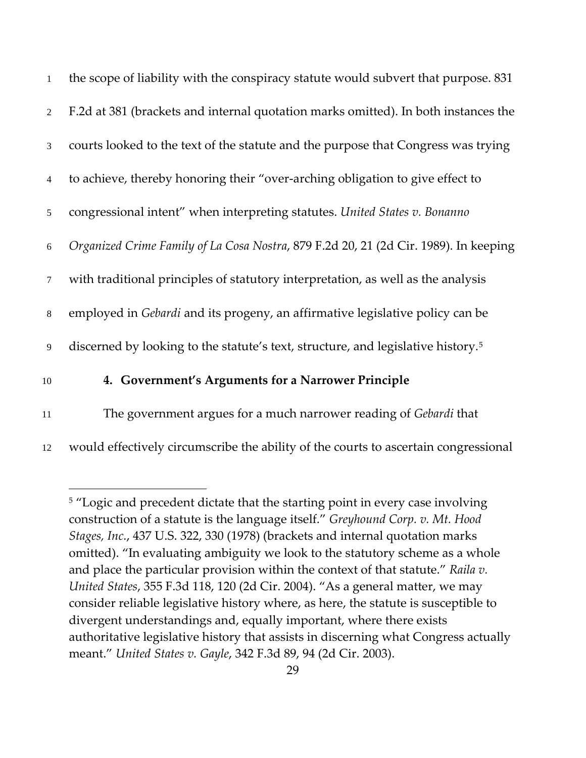| $\mathbf{1}$    | the scope of liability with the conspiracy statute would subvert that purpose. 831           |
|-----------------|----------------------------------------------------------------------------------------------|
| $\overline{2}$  | F.2d at 381 (brackets and internal quotation marks omitted). In both instances the           |
| 3               | courts looked to the text of the statute and the purpose that Congress was trying            |
| $\overline{4}$  | to achieve, thereby honoring their "over-arching obligation to give effect to                |
| $5\overline{)}$ | congressional intent" when interpreting statutes. United States v. Bonanno                   |
| 6               | Organized Crime Family of La Cosa Nostra, 879 F.2d 20, 21 (2d Cir. 1989). In keeping         |
| $7\phantom{.0}$ | with traditional principles of statutory interpretation, as well as the analysis             |
| 8               | employed in Gebardi and its progeny, an affirmative legislative policy can be                |
| 9               | discerned by looking to the statute's text, structure, and legislative history. <sup>5</sup> |
| 10              | 4. Government's Arguments for a Narrower Principle                                           |
|                 | $\cdots$ $\cdots$                                                                            |

11 The government argues for a much narrower reading of *Gebardi* that

 $\overline{a}$ 

<span id="page-28-0"></span>12 would effectively circumscribe the ability of the courts to ascertain congressional

<sup>5</sup> "Logic and precedent dictate that the starting point in every case involving construction of a statute is the language itself." *Greyhound Corp. v. Mt. Hood Stages, Inc.*, 437 U.S. 322, 330 (1978) (brackets and internal quotation marks omitted). "In evaluating ambiguity we look to the statutory scheme as a whole and place the particular provision within the context of that statute." *Raila v. United States*, 355 F.3d 118, 120 (2d Cir. 2004). "As a general matter, we may consider reliable legislative history where, as here, the statute is susceptible to divergent understandings and, equally important, where there exists authoritative legislative history that assists in discerning what Congress actually meant." *United States v. Gayle*, 342 F.3d 89, 94 (2d Cir. 2003).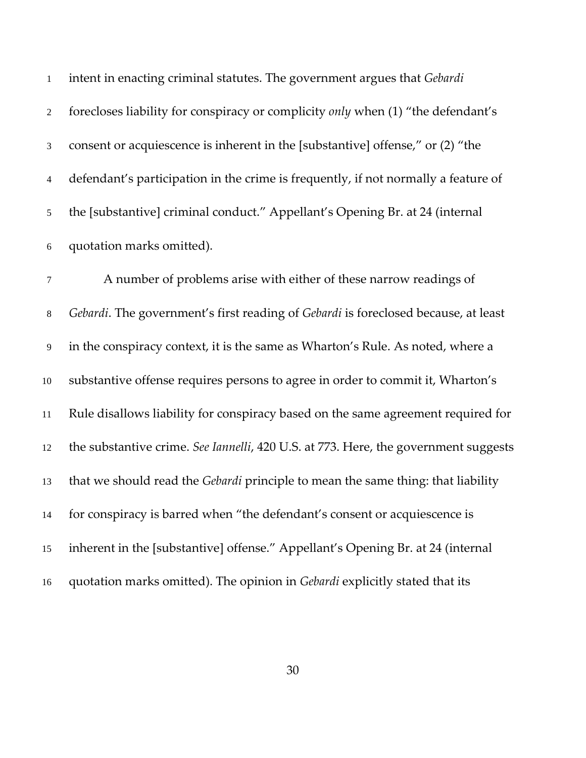| $\mathbf{1}$     | intent in enacting criminal statutes. The government argues that Gebardi                |
|------------------|-----------------------------------------------------------------------------------------|
| $\overline{2}$   | forecloses liability for conspiracy or complicity only when (1) "the defendant's        |
| 3                | consent or acquiescence is inherent in the [substantive] offense," or (2) "the          |
| $\overline{4}$   | defendant's participation in the crime is frequently, if not normally a feature of      |
| 5                | the [substantive] criminal conduct." Appellant's Opening Br. at 24 (internal            |
| 6                | quotation marks omitted).                                                               |
| $\tau$           | A number of problems arise with either of these narrow readings of                      |
| $8\,$            | Gebardi. The government's first reading of Gebardi is foreclosed because, at least      |
| $\boldsymbol{9}$ | in the conspiracy context, it is the same as Wharton's Rule. As noted, where a          |
| $10\,$           | substantive offense requires persons to agree in order to commit it, Wharton's          |
| 11               | Rule disallows liability for conspiracy based on the same agreement required for        |
| 12               | the substantive crime. See Iannelli, 420 U.S. at 773. Here, the government suggests     |
| 13               | that we should read the <i>Gebardi</i> principle to mean the same thing: that liability |
| 14               | for conspiracy is barred when "the defendant's consent or acquiescence is               |
| 15               | inherent in the [substantive] offense." Appellant's Opening Br. at 24 (internal         |
| 16               | quotation marks omitted). The opinion in Gebardi explicitly stated that its             |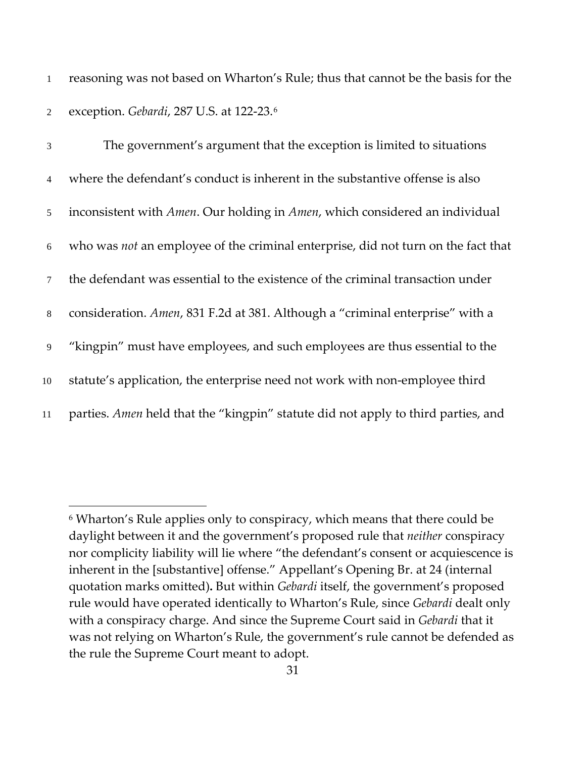1 reasoning was not based on Wharton's Rule; thus that cannot be the basis for the exception. *Gebardi*, 287 U.S. at 122-23.[6](#page-30-0) 2

 The government's argument that the exception is limited to situations where the defendant's conduct is inherent in the substantive offense is also inconsistent with *Amen*. Our holding in *Amen*, which considered an individual who was *not* an employee of the criminal enterprise, did not turn on the fact that the defendant was essential to the existence of the criminal transaction under consideration. *Amen*, 831 F.2d at 381. Although a "criminal enterprise" with a "kingpin" must have employees, and such employees are thus essential to the statute's application, the enterprise need not work with non-employee third parties. *Amen* held that the "kingpin" statute did not apply to third parties, and

<span id="page-30-0"></span><sup>6</sup> Wharton's Rule applies only to conspiracy, which means that there could be daylight between it and the government's proposed rule that *neither* conspiracy nor complicity liability will lie where "the defendant's consent or acquiescence is inherent in the [substantive] offense." Appellant's Opening Br. at 24 (internal quotation marks omitted)**.** But within *Gebardi* itself, the government's proposed rule would have operated identically to Wharton's Rule, since *Gebardi* dealt only with a conspiracy charge. And since the Supreme Court said in *Gebardi* that it was not relying on Wharton's Rule, the government's rule cannot be defended as the rule the Supreme Court meant to adopt.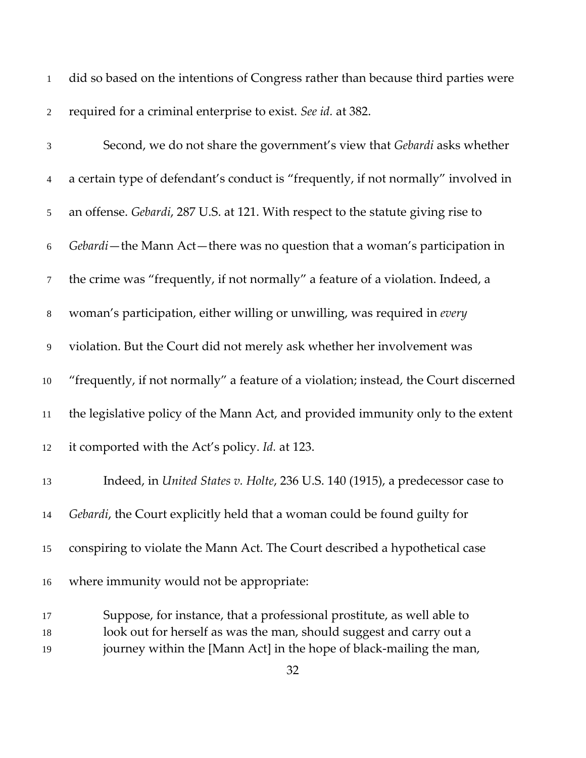| $\mathbf{1}$     | did so based on the intentions of Congress rather than because third parties were    |
|------------------|--------------------------------------------------------------------------------------|
| $\mathfrak{2}$   | required for a criminal enterprise to exist. See id. at 382.                         |
| $\mathfrak 3$    | Second, we do not share the government's view that Gebardi asks whether              |
| $\overline{4}$   | a certain type of defendant's conduct is "frequently, if not normally" involved in   |
| $\sqrt{5}$       | an offense. Gebardi, 287 U.S. at 121. With respect to the statute giving rise to     |
| $\sqrt{6}$       | Gebardi-the Mann Act-there was no question that a woman's participation in           |
| $\tau$           | the crime was "frequently, if not normally" a feature of a violation. Indeed, a      |
| $\,8\,$          | woman's participation, either willing or unwilling, was required in every            |
| $\boldsymbol{9}$ | violation. But the Court did not merely ask whether her involvement was              |
| $10\,$           | "frequently, if not normally" a feature of a violation; instead, the Court discerned |
| $11\,$           | the legislative policy of the Mann Act, and provided immunity only to the extent     |
| 12               | it comported with the Act's policy. Id. at 123.                                      |
| 13               | Indeed, in United States v. Holte, 236 U.S. 140 (1915), a predecessor case to        |
| 14               | <i>Gebardi</i> , the Court explicitly held that a woman could be found guilty for    |
| 15               | conspiring to violate the Mann Act. The Court described a hypothetical case          |
| 16               | where immunity would not be appropriate:                                             |
| 17               | Suppose, for instance, that a professional prostitute, as well able to               |
| 18               | look out for herself as was the man, should suggest and carry out a                  |
| 19               | journey within the [Mann Act] in the hope of black-mailing the man,                  |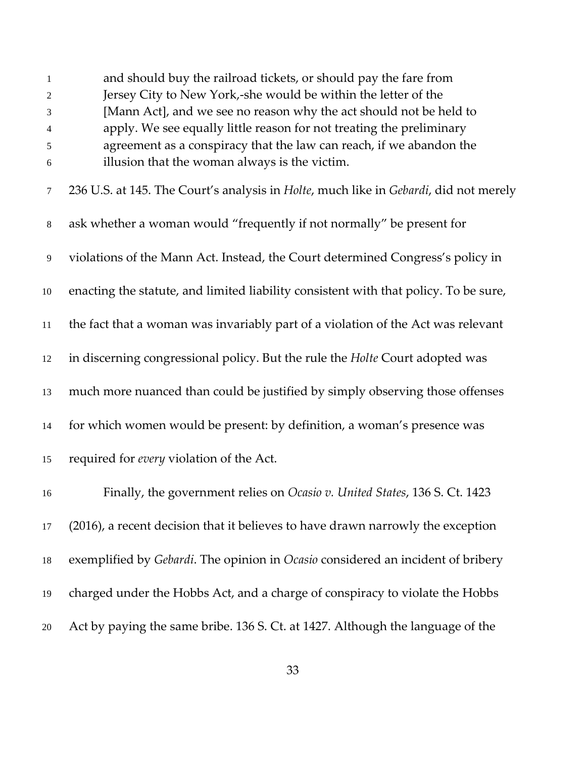| 1                | and should buy the railroad tickets, or should pay the fare from                                     |
|------------------|------------------------------------------------------------------------------------------------------|
| 2                | Jersey City to New York,-she would be within the letter of the                                       |
| 3                | [Mann Act], and we see no reason why the act should not be held to                                   |
| 4                | apply. We see equally little reason for not treating the preliminary                                 |
| 5                | agreement as a conspiracy that the law can reach, if we abandon the                                  |
| $6\,$            | illusion that the woman always is the victim.                                                        |
| 7                | 236 U.S. at 145. The Court's analysis in <i>Holte</i> , much like in <i>Gebardi</i> , did not merely |
| $\,8\,$          | ask whether a woman would "frequently if not normally" be present for                                |
| $\boldsymbol{9}$ | violations of the Mann Act. Instead, the Court determined Congress's policy in                       |
| 10               | enacting the statute, and limited liability consistent with that policy. To be sure,                 |
| 11               | the fact that a woman was invariably part of a violation of the Act was relevant                     |
| 12               | in discerning congressional policy. But the rule the Holte Court adopted was                         |
| 13               | much more nuanced than could be justified by simply observing those offenses                         |
| 14               | for which women would be present: by definition, a woman's presence was                              |
| 15               | required for every violation of the Act.                                                             |
| 16               | Finally, the government relies on Ocasio v. United States, 136 S. Ct. 1423                           |
| 17               | (2016), a recent decision that it believes to have drawn narrowly the exception                      |
| 18               | exemplified by Gebardi. The opinion in Ocasio considered an incident of bribery                      |
| 19               | charged under the Hobbs Act, and a charge of conspiracy to violate the Hobbs                         |
| 20               | Act by paying the same bribe. 136 S. Ct. at 1427. Although the language of the                       |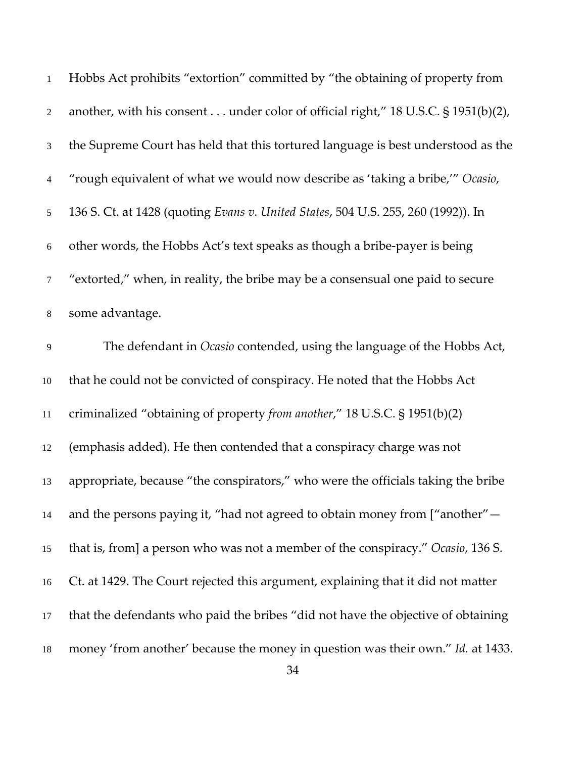| $\mathbf{1}$   | Hobbs Act prohibits "extortion" committed by "the obtaining of property from      |
|----------------|-----------------------------------------------------------------------------------|
| $\overline{2}$ | another, with his consent under color of official right," 18 U.S.C. § 1951(b)(2), |
| 3              | the Supreme Court has held that this tortured language is best understood as the  |
| $\overline{4}$ | "rough equivalent of what we would now describe as 'taking a bribe," Ocasio,      |
| $\mathfrak{S}$ | 136 S. Ct. at 1428 (quoting Evans v. United States, 504 U.S. 255, 260 (1992)). In |
| $6\,$          | other words, the Hobbs Act's text speaks as though a bribe-payer is being         |
| $\tau$         | "extorted," when, in reality, the bribe may be a consensual one paid to secure    |
| $8\,$          | some advantage.                                                                   |
| 9              | The defendant in <i>Ocasio</i> contended, using the language of the Hobbs Act,    |
| 10             | that he could not be convicted of conspiracy. He noted that the Hobbs Act         |
| 11             | criminalized "obtaining of property from another," 18 U.S.C. § 1951(b)(2)         |
| 12             | (emphasis added). He then contended that a conspiracy charge was not              |
| 13             | appropriate, because "the conspirators," who were the officials taking the bribe  |
| 14             | and the persons paying it, "had not agreed to obtain money from ["another" -      |
| 15             | that is, from] a person who was not a member of the conspiracy." Ocasio, 136 S.   |
| 16             | Ct. at 1429. The Court rejected this argument, explaining that it did not matter  |
| 17             | that the defendants who paid the bribes "did not have the objective of obtaining  |
| 18             | money 'from another' because the money in question was their own." Id. at 1433.   |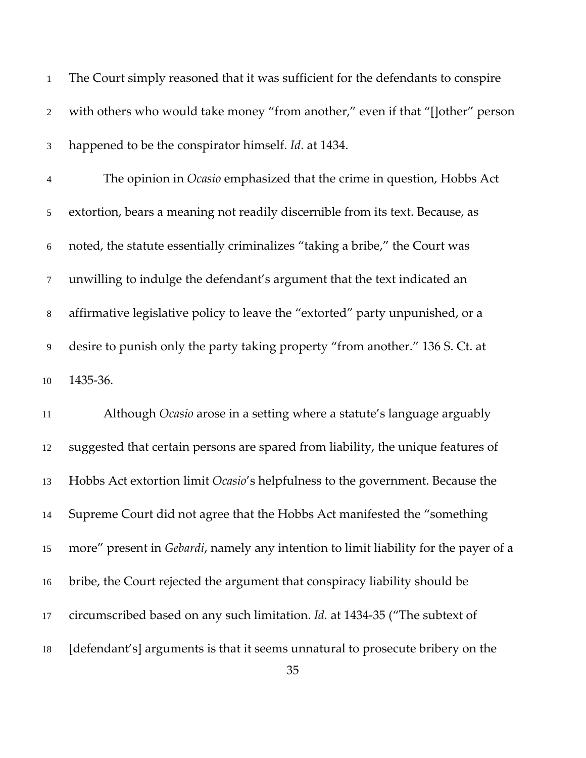| $\mathbf{1}$   | The Court simply reasoned that it was sufficient for the defendants to conspire      |
|----------------|--------------------------------------------------------------------------------------|
| $\overline{2}$ | with others who would take money "from another," even if that "[lother" person       |
| $\mathfrak{Z}$ | happened to be the conspirator himself. Id. at 1434.                                 |
| $\overline{4}$ | The opinion in Ocasio emphasized that the crime in question, Hobbs Act               |
| 5              | extortion, bears a meaning not readily discernible from its text. Because, as        |
| 6              | noted, the statute essentially criminalizes "taking a bribe," the Court was          |
| $\tau$         | unwilling to indulge the defendant's argument that the text indicated an             |
| $8\,$          | affirmative legislative policy to leave the "extorted" party unpunished, or a        |
| 9              | desire to punish only the party taking property "from another." 136 S. Ct. at        |
| $10\,$         | 1435-36.                                                                             |
| 11             | Although Ocasio arose in a setting where a statute's language arguably               |
| 12             | suggested that certain persons are spared from liability, the unique features of     |
| 13             | Hobbs Act extortion limit Ocasio's helpfulness to the government. Because the        |
| 14             | Supreme Court did not agree that the Hobbs Act manifested the "something             |
| 15             | more" present in Gebardi, namely any intention to limit liability for the payer of a |
| 16             | bribe, the Court rejected the argument that conspiracy liability should be           |
| 17             | circumscribed based on any such limitation. Id. at 1434-35 ("The subtext of          |
| 18             | [defendant's] arguments is that it seems unnatural to prosecute bribery on the<br>35 |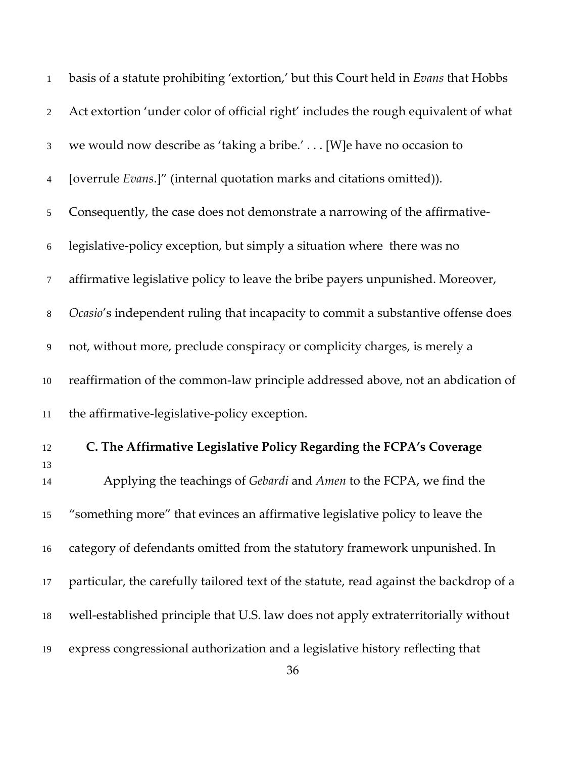| $\mathbf{1}$   | basis of a statute prohibiting 'extortion,' but this Court held in Evans that Hobbs    |
|----------------|----------------------------------------------------------------------------------------|
| $\overline{2}$ | Act extortion 'under color of official right' includes the rough equivalent of what    |
| $\mathfrak{Z}$ | we would now describe as 'taking a bribe.' [W] e have no occasion to                   |
| $\overline{4}$ | [overrule <i>Evans</i> .]" (internal quotation marks and citations omitted)).          |
| 5              | Consequently, the case does not demonstrate a narrowing of the affirmative-            |
| 6              | legislative-policy exception, but simply a situation where there was no                |
| $\tau$         | affirmative legislative policy to leave the bribe payers unpunished. Moreover,         |
| $8\,$          | Ocasio's independent ruling that incapacity to commit a substantive offense does       |
| 9              | not, without more, preclude conspiracy or complicity charges, is merely a              |
| $10\,$         | reaffirmation of the common-law principle addressed above, not an abdication of        |
| 11             | the affirmative-legislative-policy exception.                                          |
| 12<br>13       | C. The Affirmative Legislative Policy Regarding the FCPA's Coverage                    |
| 14             | Applying the teachings of Gebardi and Amen to the FCPA, we find the                    |
| 15             | "something more" that evinces an affirmative legislative policy to leave the           |
| 16             | category of defendants omitted from the statutory framework unpunished. In             |
| 17             | particular, the carefully tailored text of the statute, read against the backdrop of a |
| 18             | well-established principle that U.S. law does not apply extraterritorially without     |
| 19             | express congressional authorization and a legislative history reflecting that          |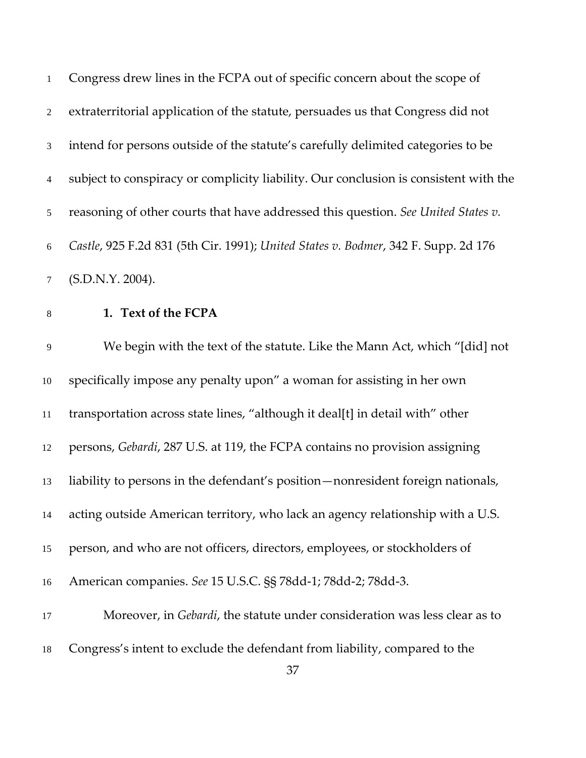| $\mathbf{1}$    | Congress drew lines in the FCPA out of specific concern about the scope of           |
|-----------------|--------------------------------------------------------------------------------------|
| $\overline{2}$  | extraterritorial application of the statute, persuades us that Congress did not      |
| 3               | intend for persons outside of the statute's carefully delimited categories to be     |
| $\overline{4}$  | subject to conspiracy or complicity liability. Our conclusion is consistent with the |
| 5 <sup>5</sup>  | reasoning of other courts that have addressed this question. See United States v.    |
| 6               | Castle, 925 F.2d 831 (5th Cir. 1991); United States v. Bodmer, 342 F. Supp. 2d 176   |
| $7\overline{ }$ | (S.D.N.Y. 2004).                                                                     |

# **1. Text of the FCPA**

 We begin with the text of the statute. Like the Mann Act, which "[did] not specifically impose any penalty upon" a woman for assisting in her own transportation across state lines, "although it deal[t] in detail with" other persons, *Gebardi*, 287 U.S. at 119, the FCPA contains no provision assigning liability to persons in the defendant's position—nonresident foreign nationals, acting outside American territory, who lack an agency relationship with a U.S. person, and who are not officers, directors, employees, or stockholders of American companies. *See* 15 U.S.C. §§ 78dd-1; 78dd-2; 78dd-3. Moreover, in *Gebardi*, the statute under consideration was less clear as to

Congress's intent to exclude the defendant from liability, compared to the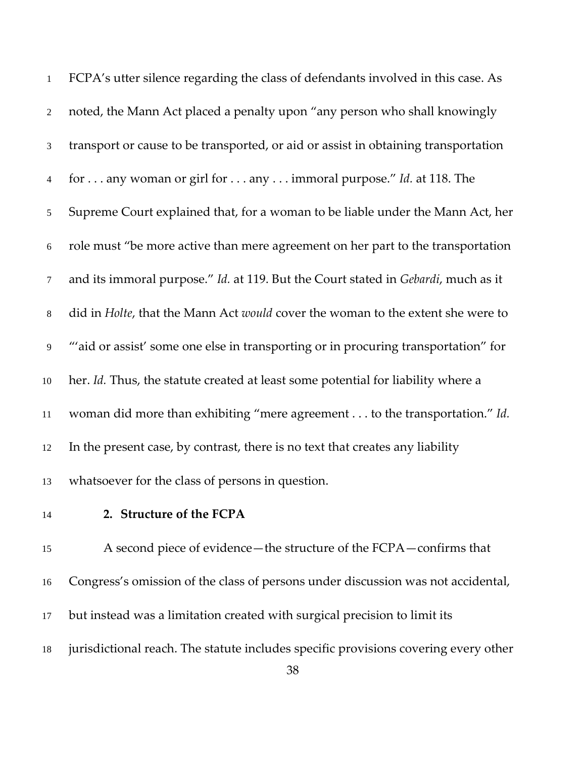| $\mathbf{1}$     | FCPA's utter silence regarding the class of defendants involved in this case. As   |
|------------------|------------------------------------------------------------------------------------|
| $\boldsymbol{2}$ | noted, the Mann Act placed a penalty upon "any person who shall knowingly          |
| $\mathfrak{Z}$   | transport or cause to be transported, or aid or assist in obtaining transportation |
| $\overline{4}$   | for any woman or girl for any immoral purpose." Id. at 118. The                    |
| $\mathfrak{S}$   | Supreme Court explained that, for a woman to be liable under the Mann Act, her     |
| 6                | role must "be more active than mere agreement on her part to the transportation    |
| $\tau$           | and its immoral purpose." Id. at 119. But the Court stated in Gebardi, much as it  |
| $\,8\,$          | did in Holte, that the Mann Act would cover the woman to the extent she were to    |
| 9                | "'aid or assist' some one else in transporting or in procuring transportation" for |
| 10               | her. Id. Thus, the statute created at least some potential for liability where a   |
| 11               | woman did more than exhibiting "mere agreement to the transportation." Id.         |
| 12               | In the present case, by contrast, there is no text that creates any liability      |
| 13               | whatsoever for the class of persons in question.                                   |

# **2. Structure of the FCPA**

 A second piece of evidence—the structure of the FCPA—confirms that Congress's omission of the class of persons under discussion was not accidental, but instead was a limitation created with surgical precision to limit its jurisdictional reach. The statute includes specific provisions covering every other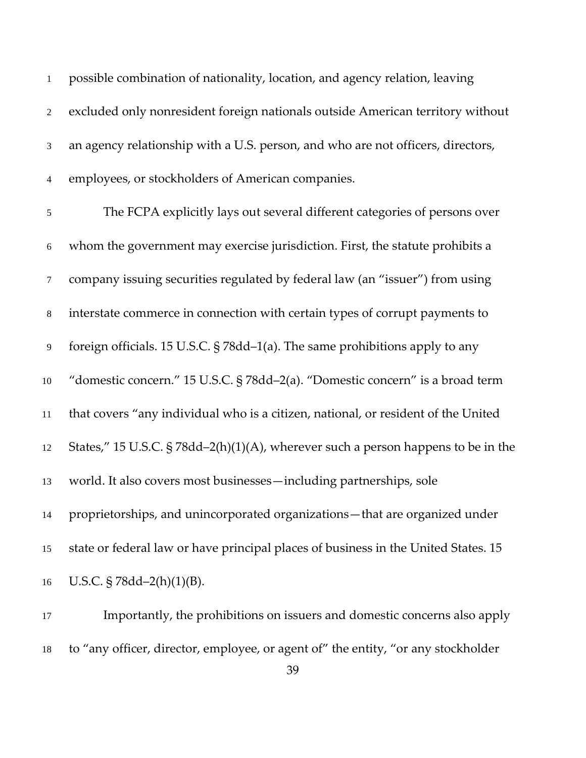| $\mathbf{1}$   | possible combination of nationality, location, and agency relation, leaving           |
|----------------|---------------------------------------------------------------------------------------|
| $\overline{2}$ | excluded only nonresident foreign nationals outside American territory without        |
| 3              | an agency relationship with a U.S. person, and who are not officers, directors,       |
| $\overline{4}$ | employees, or stockholders of American companies.                                     |
| 5              | The FCPA explicitly lays out several different categories of persons over             |
| 6              | whom the government may exercise jurisdiction. First, the statute prohibits a         |
| $\tau$         | company issuing securities regulated by federal law (an "issuer") from using          |
| $8\,$          | interstate commerce in connection with certain types of corrupt payments to           |
| 9              | foreign officials. 15 U.S.C. § 78dd-1(a). The same prohibitions apply to any          |
| $10\,$         | "domestic concern." 15 U.S.C. § 78dd-2(a). "Domestic concern" is a broad term         |
| 11             | that covers "any individual who is a citizen, national, or resident of the United     |
| 12             | States," 15 U.S.C. $\S 78dd-2(h)(1)(A)$ , wherever such a person happens to be in the |
| 13             | world. It also covers most businesses—including partnerships, sole                    |
| 14             | proprietorships, and unincorporated organizations-that are organized under            |
| 15             | state or federal law or have principal places of business in the United States. 15    |
| 16             | U.S.C. $\S 78dd - 2(h)(1)(B)$ .                                                       |
|                |                                                                                       |

 Importantly, the prohibitions on issuers and domestic concerns also apply to "any officer, director, employee, or agent of" the entity, "or any stockholder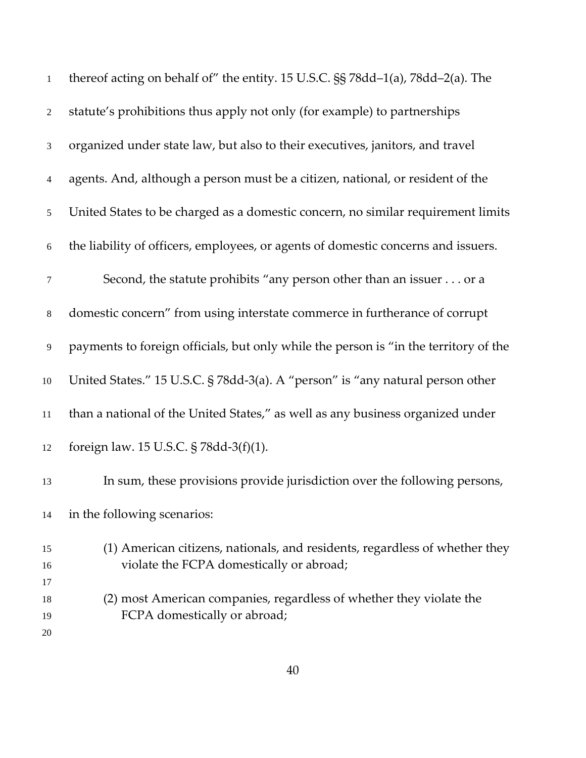| $\mathbf{1}$   | thereof acting on behalf of" the entity. 15 U.S.C. §§ 78dd-1(a), 78dd-2(a). The      |
|----------------|--------------------------------------------------------------------------------------|
| $\overline{2}$ | statute's prohibitions thus apply not only (for example) to partnerships             |
| 3              | organized under state law, but also to their executives, janitors, and travel        |
| $\overline{4}$ | agents. And, although a person must be a citizen, national, or resident of the       |
| 5              | United States to be charged as a domestic concern, no similar requirement limits     |
| 6              | the liability of officers, employees, or agents of domestic concerns and issuers.    |
| $\tau$         | Second, the statute prohibits "any person other than an issuer or a                  |
| $\,8\,$        | domestic concern" from using interstate commerce in furtherance of corrupt           |
| 9              | payments to foreign officials, but only while the person is "in the territory of the |
| $10\,$         | United States." 15 U.S.C. § 78dd-3(a). A "person" is "any natural person other       |
| 11             | than a national of the United States," as well as any business organized under       |
| 12             | foreign law. 15 U.S.C. § 78dd-3(f)(1).                                               |
| 13             | In sum, these provisions provide jurisdiction over the following persons,            |
| 14             | in the following scenarios:                                                          |
| 15             | (1) American citizens, nationals, and residents, regardless of whether they          |
| 16             | violate the FCPA domestically or abroad;                                             |
| 17             |                                                                                      |
| 18             | (2) most American companies, regardless of whether they violate the                  |
| 19             | FCPA domestically or abroad;                                                         |
| 20             |                                                                                      |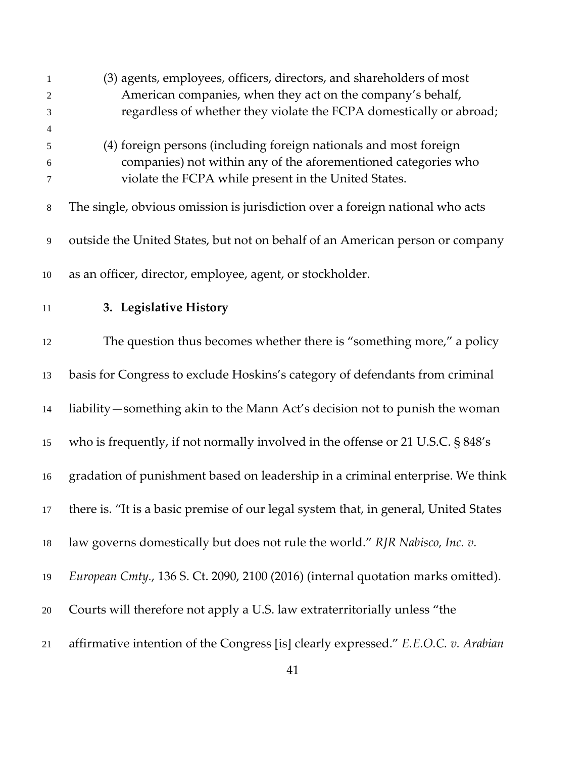| 1     | (3) agents, employees, officers, directors, and shareholders of most                 |
|-------|--------------------------------------------------------------------------------------|
| 2     | American companies, when they act on the company's behalf,                           |
| 3     | regardless of whether they violate the FCPA domestically or abroad;                  |
| 4     |                                                                                      |
| 5     | (4) foreign persons (including foreign nationals and most foreign                    |
| 6     | companies) not within any of the aforementioned categories who                       |
| 7     | violate the FCPA while present in the United States.                                 |
| $8\,$ | The single, obvious omission is jurisdiction over a foreign national who acts        |
| 9     | outside the United States, but not on behalf of an American person or company        |
| 10    | as an officer, director, employee, agent, or stockholder.                            |
| 11    | 3. Legislative History                                                               |
| 12    | The question thus becomes whether there is "something more," a policy                |
| 13    | basis for Congress to exclude Hoskins's category of defendants from criminal         |
| 14    | liability – something akin to the Mann Act's decision not to punish the woman        |
| 15    | who is frequently, if not normally involved in the offense or 21 U.S.C. § 848's      |
| 16    | gradation of punishment based on leadership in a criminal enterprise. We think       |
| 17    | there is. "It is a basic premise of our legal system that, in general, United States |
| 18    | law governs domestically but does not rule the world." RJR Nabisco, Inc. v.          |
| 19    | European Cmty., 136 S. Ct. 2090, 2100 (2016) (internal quotation marks omitted).     |
| 20    | Courts will therefore not apply a U.S. law extraterritorially unless "the            |
| 21    | affirmative intention of the Congress [is] clearly expressed." E.E.O.C. v. Arabian   |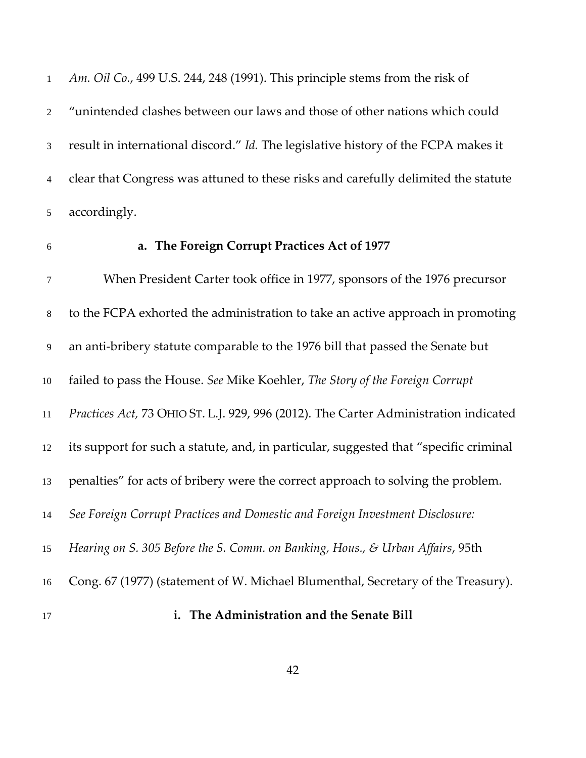*Am. Oil Co.*, 499 U.S. 244, 248 (1991). This principle stems from the risk of "unintended clashes between our laws and those of other nations which could result in international discord." *Id.* The legislative history of the FCPA makes it clear that Congress was attuned to these risks and carefully delimited the statute accordingly.

### **a. The Foreign Corrupt Practices Act of 1977**

 When President Carter took office in 1977, sponsors of the 1976 precursor to the FCPA exhorted the administration to take an active approach in promoting an anti-bribery statute comparable to the 1976 bill that passed the Senate but failed to pass the House. *See* Mike Koehler, *The Story of the Foreign Corrupt Practices Act,* 73 OHIO ST. L.J. 929, 996 (2012). The Carter Administration indicated its support for such a statute, and, in particular, suggested that "specific criminal penalties" for acts of bribery were the correct approach to solving the problem. *See Foreign Corrupt Practices and Domestic and Foreign Investment Disclosure: Hearing on S. 305 Before the S. Comm. on Banking, Hous., & Urban Affairs*, 95th Cong. 67 (1977) (statement of W. Michael Blumenthal, Secretary of the Treasury).

#### **i. The Administration and the Senate Bill**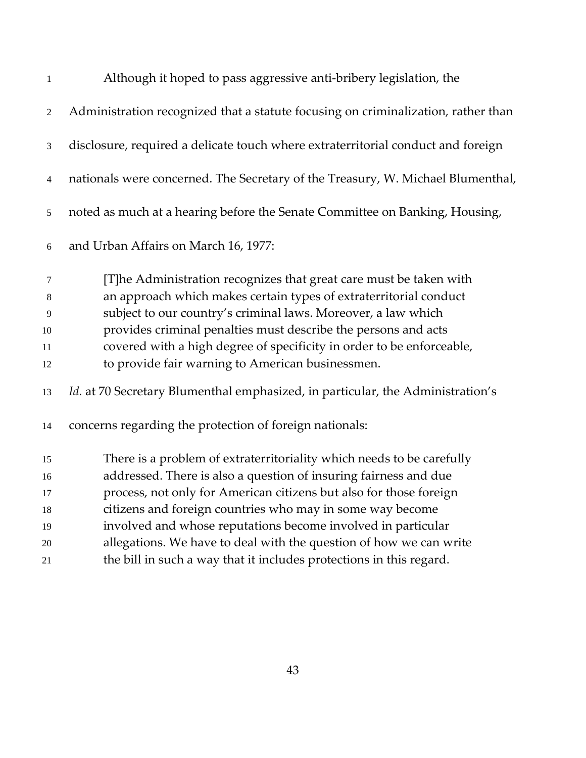| $\mathbf{1}$ | Although it hoped to pass aggressive anti-bribery legislation, the                    |
|--------------|---------------------------------------------------------------------------------------|
| 2            | Administration recognized that a statute focusing on criminalization, rather than     |
| 3            | disclosure, required a delicate touch where extraterritorial conduct and foreign      |
| 4            | nationals were concerned. The Secretary of the Treasury, W. Michael Blumenthal,       |
| 5            | noted as much at a hearing before the Senate Committee on Banking, Housing,           |
| 6            | and Urban Affairs on March 16, 1977:                                                  |
| 7            | [T]he Administration recognizes that great care must be taken with                    |
| 8            | an approach which makes certain types of extraterritorial conduct                     |
| 9            | subject to our country's criminal laws. Moreover, a law which                         |
| 10           | provides criminal penalties must describe the persons and acts                        |
| 11           | covered with a high degree of specificity in order to be enforceable,                 |
| 12           | to provide fair warning to American businessmen.                                      |
| 13           | <i>Id.</i> at 70 Secretary Blumenthal emphasized, in particular, the Administration's |
| 14           | concerns regarding the protection of foreign nationals:                               |
| 15           | There is a problem of extraterritoriality which needs to be carefully                 |
| 16           | addressed. There is also a question of insuring fairness and due                      |
| 17           | process, not only for American citizens but also for those foreign                    |
| 18           | citizens and foreign countries who may in some way become                             |
| 19           | involved and whose reputations become involved in particular                          |
| $20\,$       | allegations. We have to deal with the question of how we can write                    |
|              |                                                                                       |

the bill in such a way that it includes protections in this regard.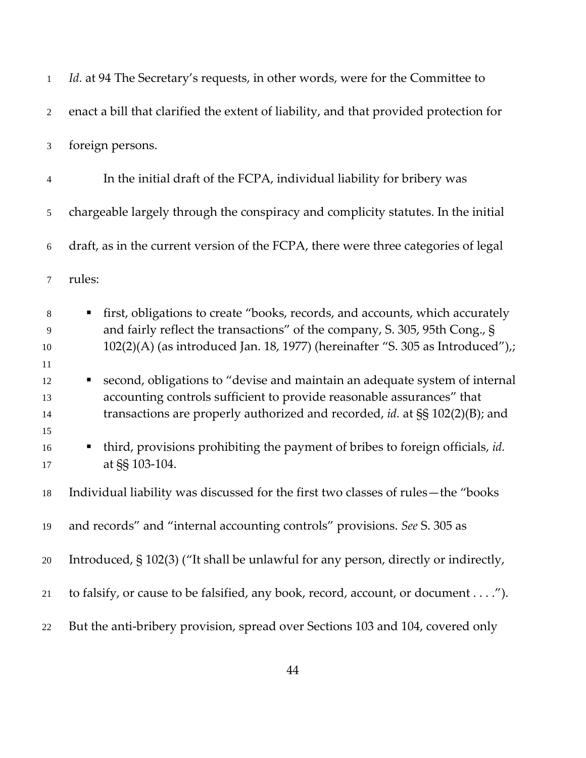| $\mathbf{1}$               | Id. at 94 The Secretary's requests, in other words, were for the Committee to                                                                                                                                                                      |
|----------------------------|----------------------------------------------------------------------------------------------------------------------------------------------------------------------------------------------------------------------------------------------------|
| $\overline{2}$             | enact a bill that clarified the extent of liability, and that provided protection for                                                                                                                                                              |
| 3                          | foreign persons.                                                                                                                                                                                                                                   |
| $\overline{4}$             | In the initial draft of the FCPA, individual liability for bribery was                                                                                                                                                                             |
| 5                          | chargeable largely through the conspiracy and complicity statutes. In the initial                                                                                                                                                                  |
| $\sqrt{6}$                 | draft, as in the current version of the FCPA, there were three categories of legal                                                                                                                                                                 |
| 7                          | rules:                                                                                                                                                                                                                                             |
| $\,8\,$<br>9<br>10         | first, obligations to create "books, records, and accounts, which accurately<br>٠<br>and fairly reflect the transactions" of the company, S. 305, 95th Cong., §<br>102(2)(A) (as introduced Jan. 18, 1977) (hereinafter "S. 305 as Introduced"),;  |
| 11<br>12<br>13<br>14<br>15 | second, obligations to "devise and maintain an adequate system of internal<br>п<br>accounting controls sufficient to provide reasonable assurances" that<br>transactions are properly authorized and recorded, <i>id.</i> at $\S$ § 102(2)(B); and |
| 16<br>17                   | third, provisions prohibiting the payment of bribes to foreign officials, id.<br>п<br>at §§ 103-104.                                                                                                                                               |
| 18                         | Individual liability was discussed for the first two classes of rules—the "books"                                                                                                                                                                  |
| 19                         | and records" and "internal accounting controls" provisions. See S. 305 as                                                                                                                                                                          |
| 20                         | Introduced, § 102(3) ("It shall be unlawful for any person, directly or indirectly,                                                                                                                                                                |
| 21                         | to falsify, or cause to be falsified, any book, record, account, or document").                                                                                                                                                                    |
| 22                         | But the anti-bribery provision, spread over Sections 103 and 104, covered only                                                                                                                                                                     |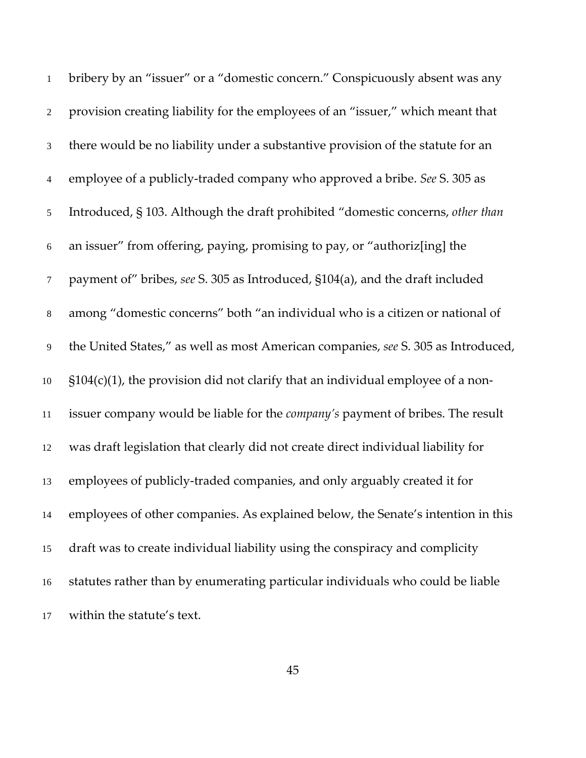| $\mathbf{1}$   | bribery by an "issuer" or a "domestic concern." Conspicuously absent was any          |
|----------------|---------------------------------------------------------------------------------------|
| $\overline{2}$ | provision creating liability for the employees of an "issuer," which meant that       |
| 3              | there would be no liability under a substantive provision of the statute for an       |
| $\overline{4}$ | employee of a publicly-traded company who approved a bribe. See S. 305 as             |
| $\mathfrak{S}$ | Introduced, § 103. Although the draft prohibited "domestic concerns, other than       |
| 6              | an issuer" from offering, paying, promising to pay, or "authoriz[ing] the             |
| $\tau$         | payment of" bribes, see S. 305 as Introduced, §104(a), and the draft included         |
| $8\,$          | among "domestic concerns" both "an individual who is a citizen or national of         |
| 9              | the United States," as well as most American companies, see S. 305 as Introduced,     |
| 10             | $\S104(c)(1)$ , the provision did not clarify that an individual employee of a non-   |
| 11             | issuer company would be liable for the <i>company's</i> payment of bribes. The result |
| 12             | was draft legislation that clearly did not create direct individual liability for     |
| 13             | employees of publicly-traded companies, and only arguably created it for              |
| 14             | employees of other companies. As explained below, the Senate's intention in this      |
| 15             | draft was to create individual liability using the conspiracy and complicity          |
| 16             | statutes rather than by enumerating particular individuals who could be liable        |
| 17             | within the statute's text.                                                            |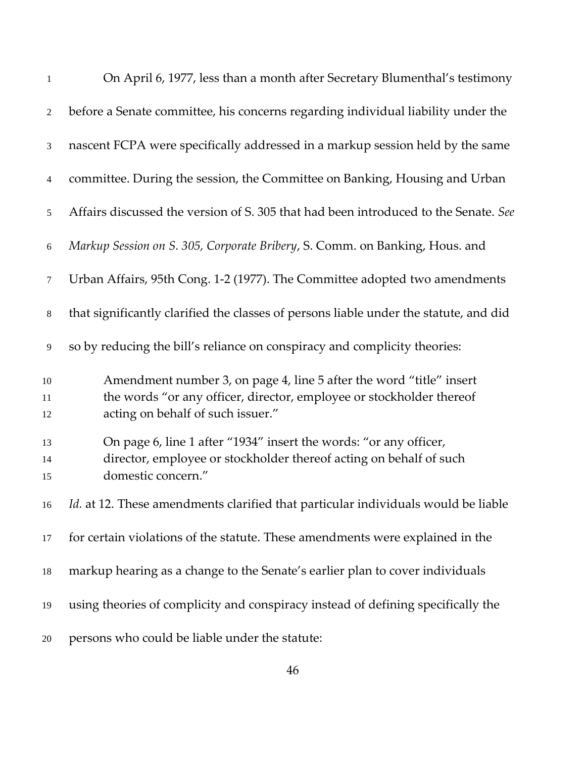| $\mathbf{1}$       | On April 6, 1977, less than a month after Secretary Blumenthal's testimony                                                                                                       |
|--------------------|----------------------------------------------------------------------------------------------------------------------------------------------------------------------------------|
| $\overline{2}$     | before a Senate committee, his concerns regarding individual liability under the                                                                                                 |
| $\mathfrak{Z}$     | nascent FCPA were specifically addressed in a markup session held by the same                                                                                                    |
| $\overline{4}$     | committee. During the session, the Committee on Banking, Housing and Urban                                                                                                       |
| 5                  | Affairs discussed the version of S. 305 that had been introduced to the Senate. See                                                                                              |
| 6                  | Markup Session on S. 305, Corporate Bribery, S. Comm. on Banking, Hous. and                                                                                                      |
| $\tau$             | Urban Affairs, 95th Cong. 1-2 (1977). The Committee adopted two amendments                                                                                                       |
| 8                  | that significantly clarified the classes of persons liable under the statute, and did                                                                                            |
| 9                  | so by reducing the bill's reliance on conspiracy and complicity theories:                                                                                                        |
| $10\,$<br>11<br>12 | Amendment number 3, on page 4, line 5 after the word "title" insert<br>the words "or any officer, director, employee or stockholder thereof<br>acting on behalf of such issuer." |
| 13<br>14<br>15     | On page 6, line 1 after "1934" insert the words: "or any officer,<br>director, employee or stockholder thereof acting on behalf of such<br>domestic concern."                    |
| 16                 | Id. at 12. These amendments clarified that particular individuals would be liable                                                                                                |
| 17                 | for certain violations of the statute. These amendments were explained in the                                                                                                    |
| 18                 | markup hearing as a change to the Senate's earlier plan to cover individuals                                                                                                     |
| 19                 | using theories of complicity and conspiracy instead of defining specifically the                                                                                                 |
| 20                 | persons who could be liable under the statute:                                                                                                                                   |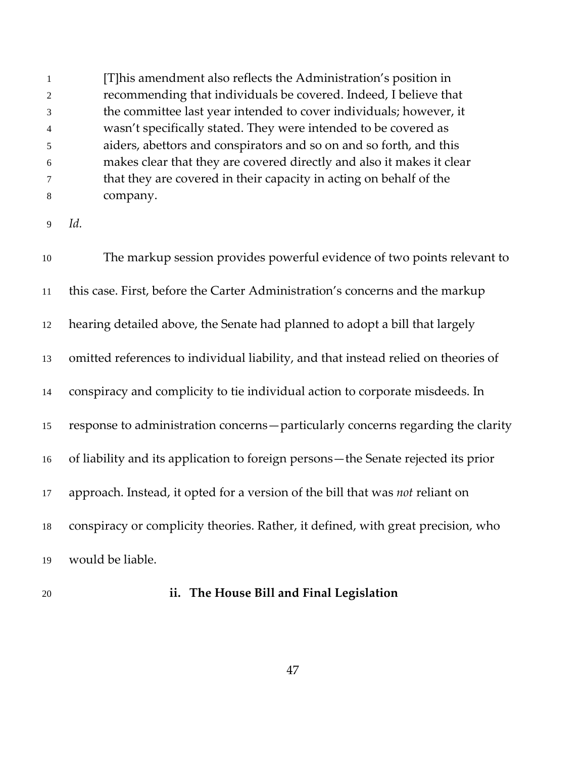[T]his amendment also reflects the Administration's position in recommending that individuals be covered. Indeed, I believe that the committee last year intended to cover individuals; however, it wasn't specifically stated. They were intended to be covered as aiders, abettors and conspirators and so on and so forth, and this makes clear that they are covered directly and also it makes it clear that they are covered in their capacity in acting on behalf of the company.

*Id.*

 The markup session provides powerful evidence of two points relevant to this case. First, before the Carter Administration's concerns and the markup hearing detailed above, the Senate had planned to adopt a bill that largely omitted references to individual liability, and that instead relied on theories of conspiracy and complicity to tie individual action to corporate misdeeds. In response to administration concerns—particularly concerns regarding the clarity of liability and its application to foreign persons—the Senate rejected its prior approach. Instead, it opted for a version of the bill that was *not* reliant on conspiracy or complicity theories. Rather, it defined, with great precision, who would be liable.

#### **ii. The House Bill and Final Legislation**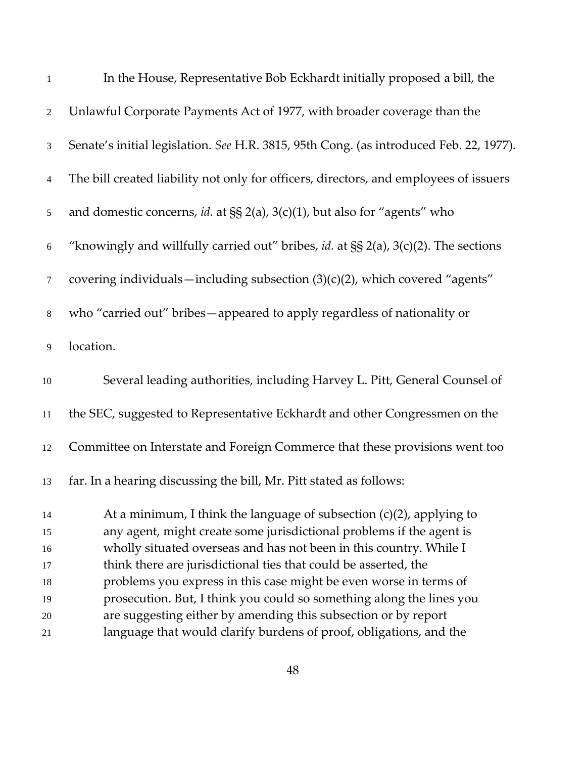| $\mathbf{1}$   | In the House, Representative Bob Eckhardt initially proposed a bill, the                 |
|----------------|------------------------------------------------------------------------------------------|
| $\sqrt{2}$     | Unlawful Corporate Payments Act of 1977, with broader coverage than the                  |
| 3              | Senate's initial legislation. See H.R. 3815, 95th Cong. (as introduced Feb. 22, 1977).   |
| $\overline{4}$ | The bill created liability not only for officers, directors, and employees of issuers    |
| 5              | and domestic concerns, id. at $\S$ $2(a)$ , $3(c)(1)$ , but also for "agents" who        |
| $\sqrt{6}$     | "knowingly and willfully carried out" bribes, id. at $\S § 2(a)$ , 3(c)(2). The sections |
| $\tau$         | covering individuals—including subsection (3)(c)(2), which covered "agents"              |
| $\,8$          | who "carried out" bribes-appeared to apply regardless of nationality or                  |
| 9              | location.                                                                                |
| $10\,$         | Several leading authorities, including Harvey L. Pitt, General Counsel of                |
| $11\,$         | the SEC, suggested to Representative Eckhardt and other Congressmen on the               |
| 12             | Committee on Interstate and Foreign Commerce that these provisions went too              |
| 13             | far. In a hearing discussing the bill, Mr. Pitt stated as follows:                       |
| 14             | At a minimum, I think the language of subsection $(c)(2)$ , applying to                  |
| 15             | any agent, might create some jurisdictional problems if the agent is                     |
| 16             | wholly situated overseas and has not been in this country. While I                       |
| 17             | think there are jurisdictional ties that could be asserted, the                          |
| 18             | problems you express in this case might be even worse in terms of                        |
| 19             | prosecution. But, I think you could so something along the lines you                     |
| 20             | are suggesting either by amending this subsection or by report                           |
| 21             | language that would clarify burdens of proof, obligations, and the                       |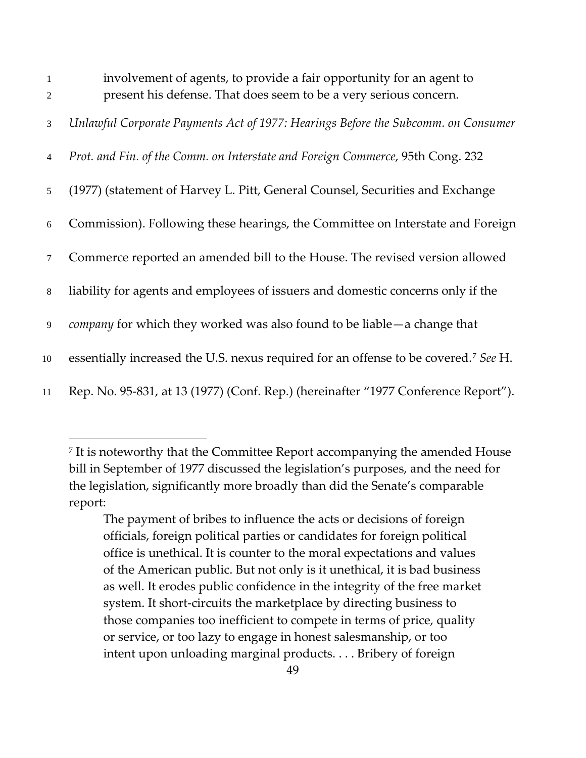| $\mathbf{1}$   | involvement of agents, to provide a fair opportunity for an agent to                            |
|----------------|-------------------------------------------------------------------------------------------------|
| 2              | present his defense. That does seem to be a very serious concern.                               |
| 3              | Unlawful Corporate Payments Act of 1977: Hearings Before the Subcomm. on Consumer               |
| $\overline{4}$ | Prot. and Fin. of the Comm. on Interstate and Foreign Commerce, 95th Cong. 232                  |
| 5 <sup>5</sup> | (1977) (statement of Harvey L. Pitt, General Counsel, Securities and Exchange                   |
| 6              | Commission). Following these hearings, the Committee on Interstate and Foreign                  |
| $\tau$         | Commerce reported an amended bill to the House. The revised version allowed                     |
| 8              | liability for agents and employees of issuers and domestic concerns only if the                 |
| 9              | <i>company</i> for which they worked was also found to be liable — a change that                |
| 10             | essentially increased the U.S. nexus required for an offense to be covered. <sup>7</sup> See H. |
| 11             | Rep. No. 95-831, at 13 (1977) (Conf. Rep.) (hereinafter "1977 Conference Report").              |

<span id="page-48-0"></span><sup>&</sup>lt;sup>7</sup> It is noteworthy that the Committee Report accompanying the amended House bill in September of 1977 discussed the legislation's purposes, and the need for the legislation, significantly more broadly than did the Senate's comparable report:

The payment of bribes to influence the acts or decisions of foreign officials, foreign political parties or candidates for foreign political office is unethical. It is counter to the moral expectations and values of the American public. But not only is it unethical, it is bad business as well. It erodes public confidence in the integrity of the free market system. It short-circuits the marketplace by directing business to those companies too inefficient to compete in terms of price, quality or service, or too lazy to engage in honest salesmanship, or too intent upon unloading marginal products. . . . Bribery of foreign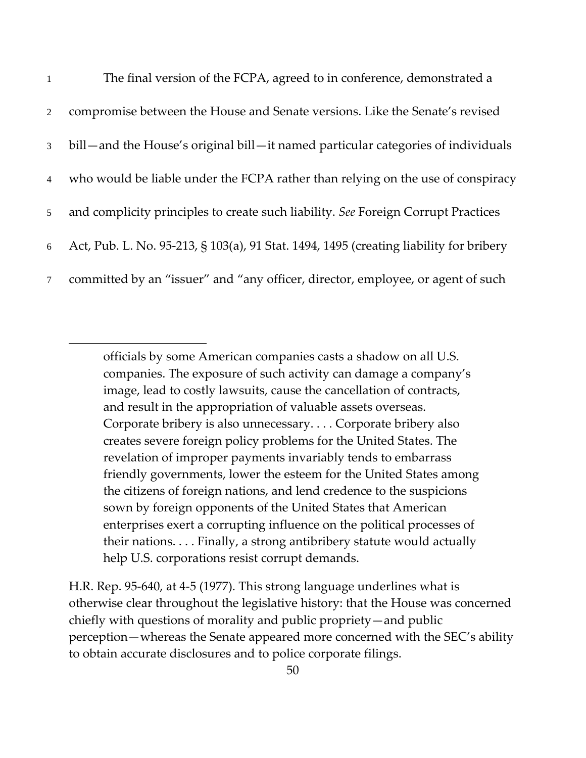| $\mathbf{1}$    | The final version of the FCPA, agreed to in conference, demonstrated a                 |
|-----------------|----------------------------------------------------------------------------------------|
| $\overline{2}$  | compromise between the House and Senate versions. Like the Senate's revised            |
| 3 <sup>1</sup>  | bill—and the House's original bill—it named particular categories of individuals       |
| $\overline{4}$  | who would be liable under the FCPA rather than relying on the use of conspiracy        |
| 5 <sup>1</sup>  | and complicity principles to create such liability. See Foreign Corrupt Practices      |
| 6               | Act, Pub. L. No. 95-213, § 103(a), 91 Stat. 1494, 1495 (creating liability for bribery |
| $7\overline{ }$ | committed by an "issuer" and "any officer, director, employee, or agent of such        |

officials by some American companies casts a shadow on all U.S. companies. The exposure of such activity can damage a company's image, lead to costly lawsuits, cause the cancellation of contracts, and result in the appropriation of valuable assets overseas. Corporate bribery is also unnecessary. . . . Corporate bribery also creates severe foreign policy problems for the United States. The revelation of improper payments invariably tends to embarrass friendly governments, lower the esteem for the United States among the citizens of foreign nations, and lend credence to the suspicions sown by foreign opponents of the United States that American enterprises exert a corrupting influence on the political processes of their nations. . . . Finally, a strong antibribery statute would actually help U.S. corporations resist corrupt demands.

H.R. Rep. 95-640, at 4-5 (1977). This strong language underlines what is otherwise clear throughout the legislative history: that the House was concerned chiefly with questions of morality and public propriety—and public perception—whereas the Senate appeared more concerned with the SEC's ability to obtain accurate disclosures and to police corporate filings.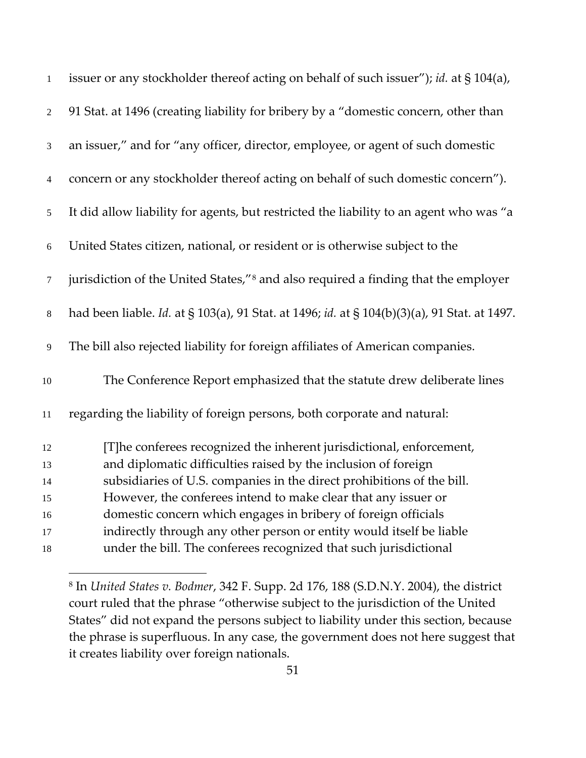| $\mathbf{1}$     | issuer or any stockholder thereof acting on behalf of such issuer"); id. at § 104(a),          |
|------------------|------------------------------------------------------------------------------------------------|
| $\overline{2}$   | 91 Stat. at 1496 (creating liability for bribery by a "domestic concern, other than            |
| $\mathfrak{Z}$   | an issuer," and for "any officer, director, employee, or agent of such domestic                |
| 4                | concern or any stockholder thereof acting on behalf of such domestic concern").                |
| $\sqrt{5}$       | It did allow liability for agents, but restricted the liability to an agent who was "a         |
| 6                | United States citizen, national, or resident or is otherwise subject to the                    |
| $\boldsymbol{7}$ | jurisdiction of the United States," <sup>8</sup> and also required a finding that the employer |
| $\,8\,$          | had been liable. Id. at § 103(a), 91 Stat. at 1496; id. at § 104(b)(3)(a), 91 Stat. at 1497.   |
| $\overline{9}$   | The bill also rejected liability for foreign affiliates of American companies.                 |
| $10\,$           | The Conference Report emphasized that the statute drew deliberate lines                        |
| 11               | regarding the liability of foreign persons, both corporate and natural:                        |
| 12               | [T]he conferees recognized the inherent jurisdictional, enforcement,                           |
| 13               | and diplomatic difficulties raised by the inclusion of foreign                                 |
| 14               | subsidiaries of U.S. companies in the direct prohibitions of the bill.                         |
| 15               | However, the conferees intend to make clear that any issuer or                                 |
| 16               | domestic concern which engages in bribery of foreign officials                                 |
| 17               | indirectly through any other person or entity would itself be liable                           |
| 18               | under the bill. The conferees recognized that such jurisdictional                              |

<span id="page-50-0"></span> In *United States v. Bodmer*, 342 F. Supp. 2d 176, 188 (S.D.N.Y. 2004), the district court ruled that the phrase "otherwise subject to the jurisdiction of the United States" did not expand the persons subject to liability under this section, because the phrase is superfluous. In any case, the government does not here suggest that it creates liability over foreign nationals.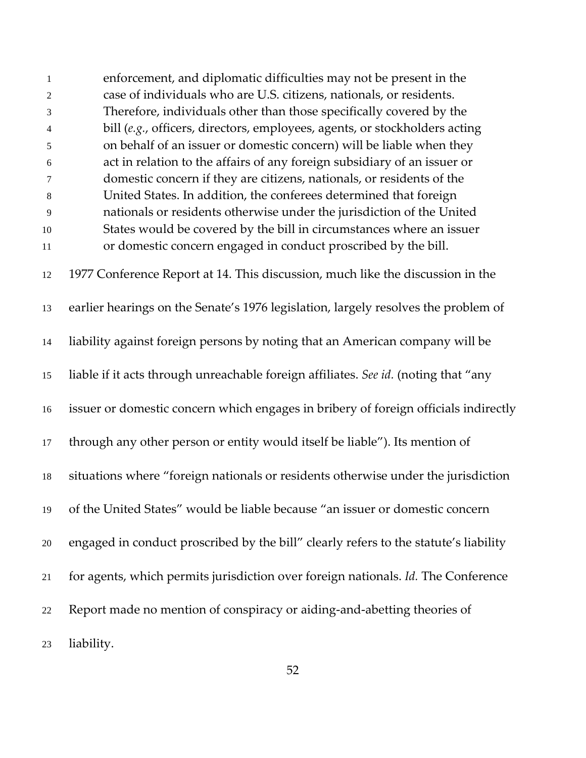enforcement, and diplomatic difficulties may not be present in the case of individuals who are U.S. citizens, nationals, or residents. Therefore, individuals other than those specifically covered by the bill (*e.g.*, officers, directors, employees, agents, or stockholders acting on behalf of an issuer or domestic concern) will be liable when they act in relation to the affairs of any foreign subsidiary of an issuer or domestic concern if they are citizens, nationals, or residents of the United States. In addition, the conferees determined that foreign nationals or residents otherwise under the jurisdiction of the United States would be covered by the bill in circumstances where an issuer or domestic concern engaged in conduct proscribed by the bill. 1977 Conference Report at 14. This discussion, much like the discussion in the earlier hearings on the Senate's 1976 legislation, largely resolves the problem of liability against foreign persons by noting that an American company will be liable if it acts through unreachable foreign affiliates. *See id.* (noting that "any issuer or domestic concern which engages in bribery of foreign officials indirectly through any other person or entity would itself be liable"). Its mention of situations where "foreign nationals or residents otherwise under the jurisdiction of the United States" would be liable because "an issuer or domestic concern engaged in conduct proscribed by the bill" clearly refers to the statute's liability for agents, which permits jurisdiction over foreign nationals. *Id.* The Conference Report made no mention of conspiracy or aiding-and-abetting theories of liability.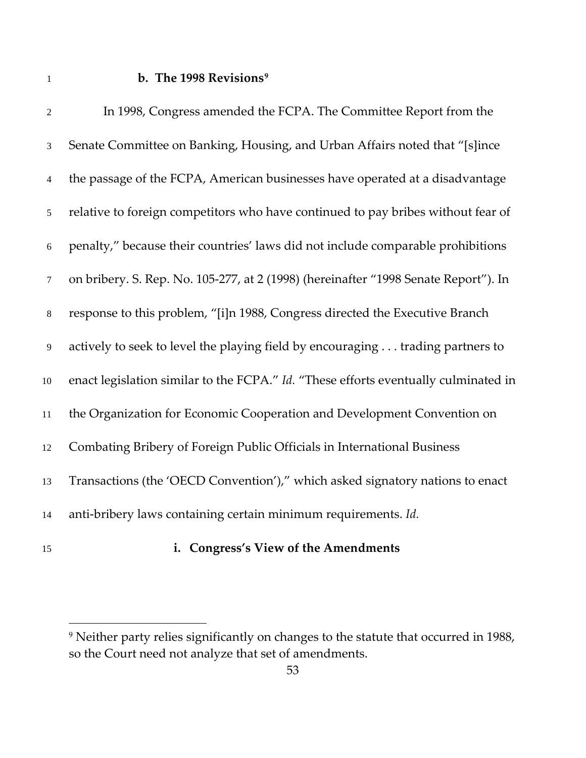### **b. The 1998 Revisions[9](#page-52-0)**

| $\mathfrak{2}$   | In 1998, Congress amended the FCPA. The Committee Report from the                   |
|------------------|-------------------------------------------------------------------------------------|
| $\mathfrak{Z}$   | Senate Committee on Banking, Housing, and Urban Affairs noted that "[s]ince         |
| $\overline{4}$   | the passage of the FCPA, American businesses have operated at a disadvantage        |
| 5                | relative to foreign competitors who have continued to pay bribes without fear of    |
| $\boldsymbol{6}$ | penalty," because their countries' laws did not include comparable prohibitions     |
| $\tau$           | on bribery. S. Rep. No. 105-277, at 2 (1998) (hereinafter "1998 Senate Report"). In |
| $8\,$            | response to this problem, "[i]n 1988, Congress directed the Executive Branch        |
| $\overline{9}$   | actively to seek to level the playing field by encouraging trading partners to      |
| $10\,$           | enact legislation similar to the FCPA." Id. "These efforts eventually culminated in |
| $11\,$           | the Organization for Economic Cooperation and Development Convention on             |
| 12               | Combating Bribery of Foreign Public Officials in International Business             |
| 13               | Transactions (the 'OECD Convention')," which asked signatory nations to enact       |
| 14               | anti-bribery laws containing certain minimum requirements. Id.                      |
|                  |                                                                                     |

 $\overline{a}$ 

# **i. Congress's View of the Amendments**

<span id="page-52-0"></span> Neither party relies significantly on changes to the statute that occurred in 1988, so the Court need not analyze that set of amendments.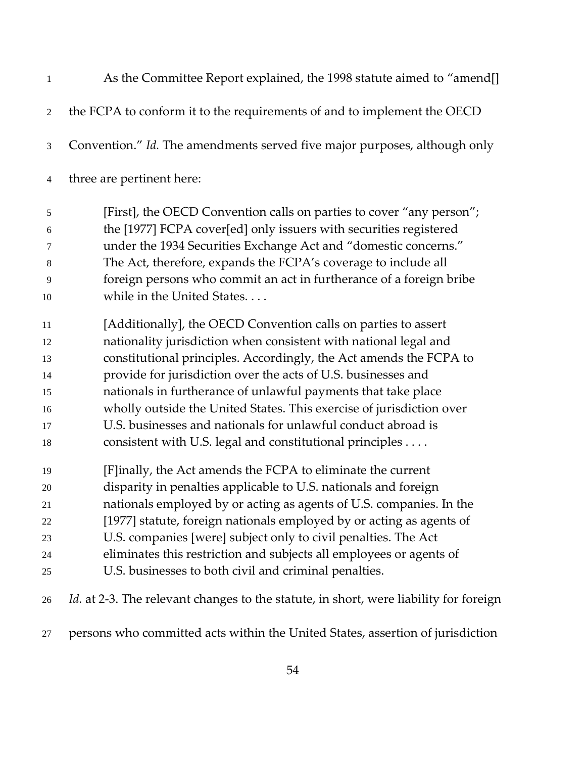| $\mathbf{1}$   | As the Committee Report explained, the 1998 statute aimed to "amend[]                        |
|----------------|----------------------------------------------------------------------------------------------|
| 2              | the FCPA to conform it to the requirements of and to implement the OECD                      |
| $\mathfrak{Z}$ | Convention." Id. The amendments served five major purposes, although only                    |
| $\overline{4}$ | three are pertinent here:                                                                    |
| 5              | [First], the OECD Convention calls on parties to cover "any person";                         |
| 6              | the [1977] FCPA cover[ed] only issuers with securities registered                            |
| 7              | under the 1934 Securities Exchange Act and "domestic concerns."                              |
| 8              | The Act, therefore, expands the FCPA's coverage to include all                               |
| 9              | foreign persons who commit an act in furtherance of a foreign bribe                          |
| 10             | while in the United States                                                                   |
| 11             | [Additionally], the OECD Convention calls on parties to assert                               |
| 12             | nationality jurisdiction when consistent with national legal and                             |
| 13             | constitutional principles. Accordingly, the Act amends the FCPA to                           |
| 14             | provide for jurisdiction over the acts of U.S. businesses and                                |
| 15             | nationals in furtherance of unlawful payments that take place                                |
| 16             | wholly outside the United States. This exercise of jurisdiction over                         |
| 17             | U.S. businesses and nationals for unlawful conduct abroad is                                 |
| 18             | consistent with U.S. legal and constitutional principles                                     |
| 19             | [F]inally, the Act amends the FCPA to eliminate the current                                  |
| 20             | disparity in penalties applicable to U.S. nationals and foreign                              |
| 21             | nationals employed by or acting as agents of U.S. companies. In the                          |
| 22             | [1977] statute, foreign nationals employed by or acting as agents of                         |
| 23             | U.S. companies [were] subject only to civil penalties. The Act                               |
| 24             | eliminates this restriction and subjects all employees or agents of                          |
| 25             | U.S. businesses to both civil and criminal penalties.                                        |
| 26             | <i>Id.</i> at 2-3. The relevant changes to the statute, in short, were liability for foreign |

persons who committed acts within the United States, assertion of jurisdiction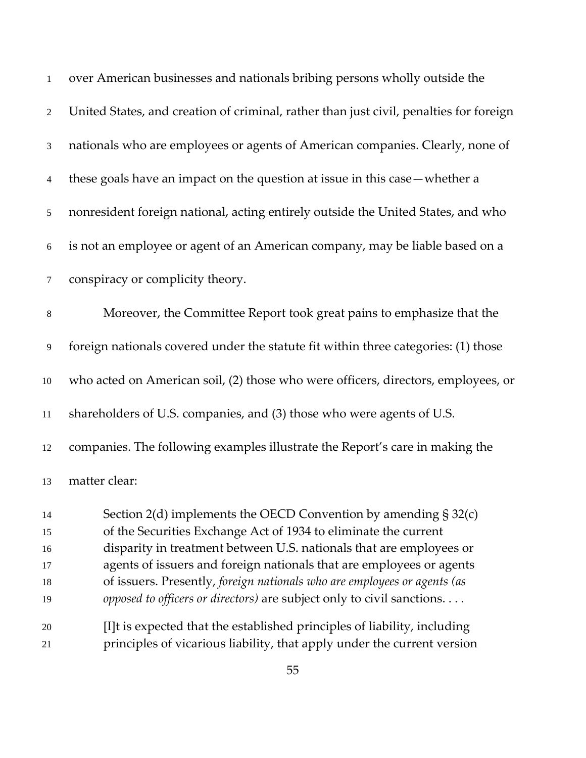| $\mathbf{1}$   | over American businesses and nationals bribing persons wholly outside the              |
|----------------|----------------------------------------------------------------------------------------|
| $\overline{2}$ | United States, and creation of criminal, rather than just civil, penalties for foreign |
| $\mathfrak{Z}$ | nationals who are employees or agents of American companies. Clearly, none of          |
| $\overline{4}$ | these goals have an impact on the question at issue in this case — whether a           |
| $\sqrt{5}$     | nonresident foreign national, acting entirely outside the United States, and who       |
| 6              | is not an employee or agent of an American company, may be liable based on a           |
| 7              | conspiracy or complicity theory.                                                       |
| $\,8\,$        | Moreover, the Committee Report took great pains to emphasize that the                  |
| $\overline{9}$ | foreign nationals covered under the statute fit within three categories: (1) those     |
| 10             | who acted on American soil, (2) those who were officers, directors, employees, or      |
| $11\,$         | shareholders of U.S. companies, and (3) those who were agents of U.S.                  |
| 12             | companies. The following examples illustrate the Report's care in making the           |
| 13             | matter clear:                                                                          |
| 14             | Section $2(d)$ implements the OECD Convention by amending $\S 32(c)$                   |
| 15             | of the Securities Exchange Act of 1934 to eliminate the current                        |
| 16             | disparity in treatment between U.S. nationals that are employees or                    |
| 17             | agents of issuers and foreign nationals that are employees or agents                   |
| 18             | of issuers. Presently, foreign nationals who are employees or agents (as               |
| 19             | opposed to officers or directors) are subject only to civil sanctions.                 |
| 20             | [I]t is expected that the established principles of liability, including               |
| 21             | principles of vicarious liability, that apply under the current version                |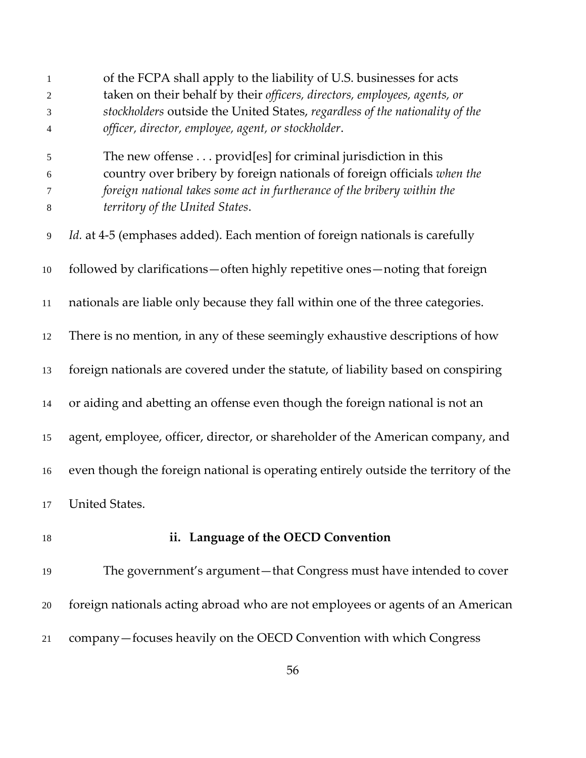| 1<br>$\overline{2}$ | of the FCPA shall apply to the liability of U.S. businesses for acts<br>taken on their behalf by their officers, directors, employees, agents, or |
|---------------------|---------------------------------------------------------------------------------------------------------------------------------------------------|
| 3                   | stockholders outside the United States, regardless of the nationality of the                                                                      |
| 4                   | officer, director, employee, agent, or stockholder.                                                                                               |
| 5                   | The new offense provid[es] for criminal jurisdiction in this                                                                                      |
| $\sqrt{6}$          | country over bribery by foreign nationals of foreign officials when the                                                                           |
| 7                   | foreign national takes some act in furtherance of the bribery within the                                                                          |
| $8\,$               | territory of the United States.                                                                                                                   |
| $\overline{9}$      | <i>Id.</i> at 4-5 (emphases added). Each mention of foreign nationals is carefully                                                                |
| 10                  | followed by clarifications—often highly repetitive ones—noting that foreign                                                                       |
| 11                  | nationals are liable only because they fall within one of the three categories.                                                                   |
| 12                  | There is no mention, in any of these seemingly exhaustive descriptions of how                                                                     |
| 13                  | foreign nationals are covered under the statute, of liability based on conspiring                                                                 |
| 14                  | or aiding and abetting an offense even though the foreign national is not an                                                                      |
| 15                  | agent, employee, officer, director, or shareholder of the American company, and                                                                   |
| 16                  | even though the foreign national is operating entirely outside the territory of the                                                               |
| 17                  | <b>United States.</b>                                                                                                                             |
| 18                  | ii. Language of the OECD Convention                                                                                                               |
| 19                  | The government's argument-that Congress must have intended to cover                                                                               |
| 20                  | foreign nationals acting abroad who are not employees or agents of an American                                                                    |
| 21                  | company-focuses heavily on the OECD Convention with which Congress                                                                                |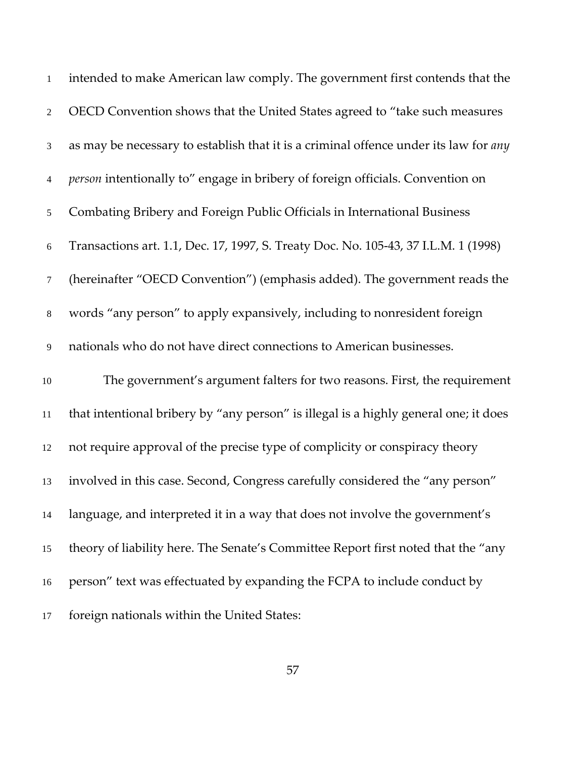| $\mathbf{1}$   | intended to make American law comply. The government first contends that the                |
|----------------|---------------------------------------------------------------------------------------------|
| $\overline{2}$ | OECD Convention shows that the United States agreed to "take such measures                  |
| $\mathfrak{Z}$ | as may be necessary to establish that it is a criminal offence under its law for <i>any</i> |
| $\overline{4}$ | person intentionally to" engage in bribery of foreign officials. Convention on              |
| 5              | Combating Bribery and Foreign Public Officials in International Business                    |
| $\sqrt{6}$     | Transactions art. 1.1, Dec. 17, 1997, S. Treaty Doc. No. 105-43, 37 I.L.M. 1 (1998)         |
| $\tau$         | (hereinafter "OECD Convention") (emphasis added). The government reads the                  |
| $\,8\,$        | words "any person" to apply expansively, including to nonresident foreign                   |
| 9              | nationals who do not have direct connections to American businesses.                        |
| $10\,$         | The government's argument falters for two reasons. First, the requirement                   |
| $11\,$         | that intentional bribery by "any person" is illegal is a highly general one; it does        |
| 12             | not require approval of the precise type of complicity or conspiracy theory                 |
| 13             | involved in this case. Second, Congress carefully considered the "any person"               |
| 14             | language, and interpreted it in a way that does not involve the government's                |
| 15             | theory of liability here. The Senate's Committee Report first noted that the "any           |
| 16             | person" text was effectuated by expanding the FCPA to include conduct by                    |
| 17             | foreign nationals within the United States:                                                 |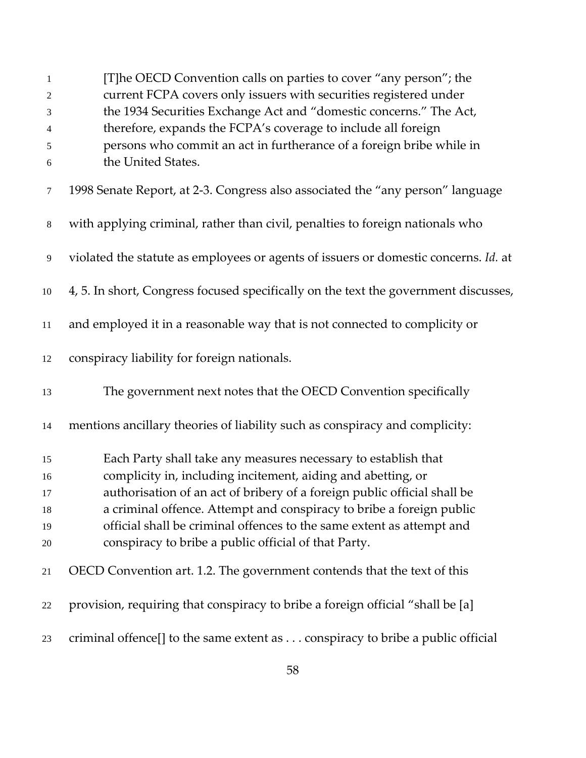| 1                | [T]he OECD Convention calls on parties to cover "any person"; the                   |
|------------------|-------------------------------------------------------------------------------------|
| $\overline{c}$   | current FCPA covers only issuers with securities registered under                   |
| 3                | the 1934 Securities Exchange Act and "domestic concerns." The Act,                  |
| 4                | therefore, expands the FCPA's coverage to include all foreign                       |
| 5                | persons who commit an act in furtherance of a foreign bribe while in                |
| $\boldsymbol{6}$ | the United States.                                                                  |
| 7                | 1998 Senate Report, at 2-3. Congress also associated the "any person" language      |
| $\,8\,$          | with applying criminal, rather than civil, penalties to foreign nationals who       |
| 9                | violated the statute as employees or agents of issuers or domestic concerns. Id. at |
| $10\,$           | 4, 5. In short, Congress focused specifically on the text the government discusses, |
| $11\,$           | and employed it in a reasonable way that is not connected to complicity or          |
| 12               | conspiracy liability for foreign nationals.                                         |
| 13               | The government next notes that the OECD Convention specifically                     |
| 14               | mentions ancillary theories of liability such as conspiracy and complicity:         |
| 15               | Each Party shall take any measures necessary to establish that                      |
| 16               | complicity in, including incitement, aiding and abetting, or                        |
| 17               | authorisation of an act of bribery of a foreign public official shall be            |
| 18               | a criminal offence. Attempt and conspiracy to bribe a foreign public                |
| 19               | official shall be criminal offences to the same extent as attempt and               |
| 20               | conspiracy to bribe a public official of that Party.                                |
| 21               | OECD Convention art. 1.2. The government contends that the text of this             |
| 22               | provision, requiring that conspiracy to bribe a foreign official "shall be [a]      |
| 23               | criminal offence[] to the same extent as conspiracy to bribe a public official      |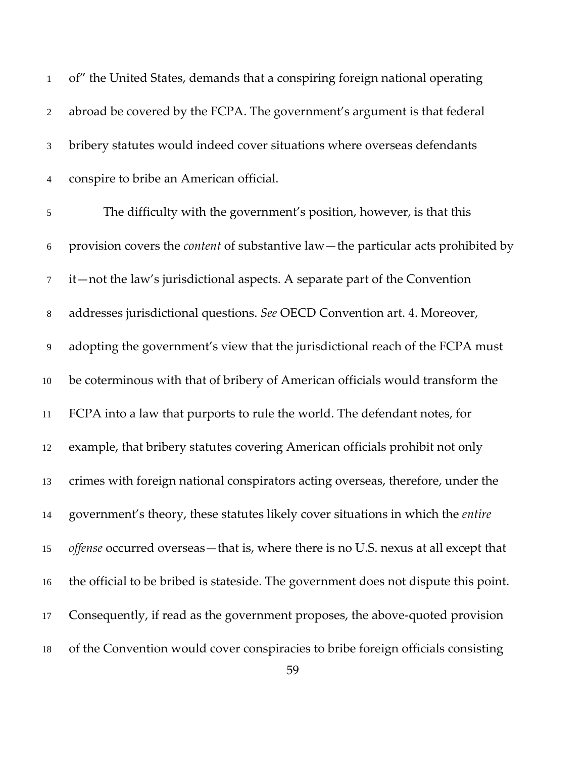| 1              | of" the United States, demands that a conspiring foreign national operating              |
|----------------|------------------------------------------------------------------------------------------|
| $\overline{2}$ | abroad be covered by the FCPA. The government's argument is that federal                 |
| 3              | bribery statutes would indeed cover situations where overseas defendants                 |
| 4              | conspire to bribe an American official.                                                  |
| 5              | The difficulty with the government's position, however, is that this                     |
| 6              | provision covers the <i>content</i> of substantive law—the particular acts prohibited by |
| $\tau$         | it—not the law's jurisdictional aspects. A separate part of the Convention               |
| 8              | addresses jurisdictional questions. See OECD Convention art. 4. Moreover,                |
| 9              | adopting the government's view that the jurisdictional reach of the FCPA must            |
| $10\,$         | be coterminous with that of bribery of American officials would transform the            |
| 11             | FCPA into a law that purports to rule the world. The defendant notes, for                |
| 12             | example, that bribery statutes covering American officials prohibit not only             |
| 13             | crimes with foreign national conspirators acting overseas, therefore, under the          |
| 14             | government's theory, these statutes likely cover situations in which the entire          |
| 15             | offense occurred overseas - that is, where there is no U.S. nexus at all except that     |
| 16             | the official to be bribed is stateside. The government does not dispute this point.      |
| 17             | Consequently, if read as the government proposes, the above-quoted provision             |
| 18             | of the Convention would cover conspiracies to bribe foreign officials consisting         |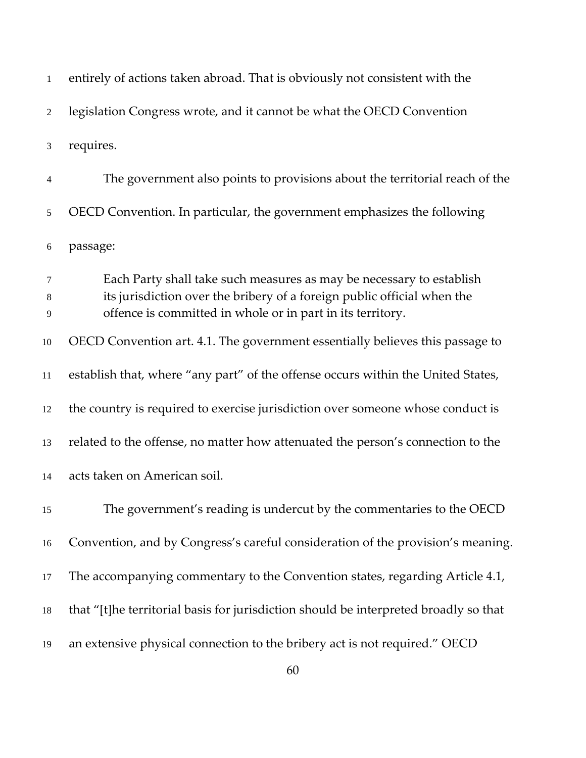| $\mathbf{1}$   | entirely of actions taken abroad. That is obviously not consistent with the                                                                                                                                   |
|----------------|---------------------------------------------------------------------------------------------------------------------------------------------------------------------------------------------------------------|
| $\overline{2}$ | legislation Congress wrote, and it cannot be what the OECD Convention                                                                                                                                         |
| 3              | requires.                                                                                                                                                                                                     |
| 4              | The government also points to provisions about the territorial reach of the                                                                                                                                   |
| 5              | OECD Convention. In particular, the government emphasizes the following                                                                                                                                       |
| 6              | passage:                                                                                                                                                                                                      |
| 7<br>8<br>9    | Each Party shall take such measures as may be necessary to establish<br>its jurisdiction over the bribery of a foreign public official when the<br>offence is committed in whole or in part in its territory. |
| 10             | OECD Convention art. 4.1. The government essentially believes this passage to                                                                                                                                 |
| 11             | establish that, where "any part" of the offense occurs within the United States,                                                                                                                              |
| 12             | the country is required to exercise jurisdiction over someone whose conduct is                                                                                                                                |
| 13             | related to the offense, no matter how attenuated the person's connection to the                                                                                                                               |
| 14             | acts taken on American soil.                                                                                                                                                                                  |
| 15             | The government's reading is undercut by the commentaries to the OECD                                                                                                                                          |
| 16             | Convention, and by Congress's careful consideration of the provision's meaning.                                                                                                                               |
| 17             | The accompanying commentary to the Convention states, regarding Article 4.1,                                                                                                                                  |
| 18             | that "[t]he territorial basis for jurisdiction should be interpreted broadly so that                                                                                                                          |
| 19             | an extensive physical connection to the bribery act is not required." OECD                                                                                                                                    |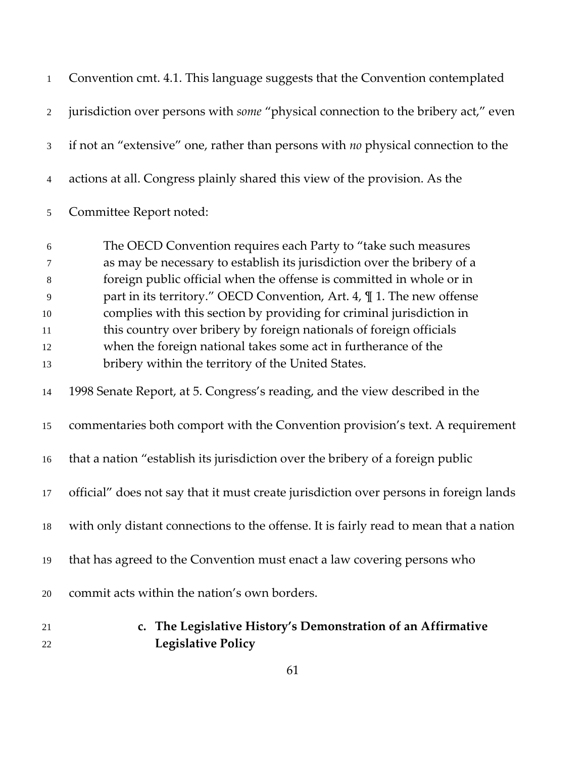| 21<br>22       | c. The Legislative History's Demonstration of an Affirmative<br><b>Legislative Policy</b>                                                  |
|----------------|--------------------------------------------------------------------------------------------------------------------------------------------|
| 20             | commit acts within the nation's own borders.                                                                                               |
| 19             | that has agreed to the Convention must enact a law covering persons who                                                                    |
| 18             | with only distant connections to the offense. It is fairly read to mean that a nation                                                      |
| 17             | official" does not say that it must create jurisdiction over persons in foreign lands                                                      |
| 16             | that a nation "establish its jurisdiction over the bribery of a foreign public                                                             |
| 15             | commentaries both comport with the Convention provision's text. A requirement                                                              |
| 14             | 1998 Senate Report, at 5. Congress's reading, and the view described in the                                                                |
| 13             | bribery within the territory of the United States.                                                                                         |
| 12             | when the foreign national takes some act in furtherance of the                                                                             |
| 11             | this country over bribery by foreign nationals of foreign officials                                                                        |
| 10             | complies with this section by providing for criminal jurisdiction in                                                                       |
| 9              | part in its territory." OECD Convention, Art. 4, $\P$ 1. The new offense                                                                   |
| 8              | foreign public official when the offense is committed in whole or in                                                                       |
| 6<br>7         | The OECD Convention requires each Party to "take such measures"<br>as may be necessary to establish its jurisdiction over the bribery of a |
| 5              | Committee Report noted:                                                                                                                    |
| $\overline{4}$ | actions at all. Congress plainly shared this view of the provision. As the                                                                 |
| 3              | if not an "extensive" one, rather than persons with no physical connection to the                                                          |
| 2              | jurisdiction over persons with <i>some</i> "physical connection to the bribery act," even                                                  |
| $\mathbf{1}$   | Convention cmt. 4.1. This language suggests that the Convention contemplated                                                               |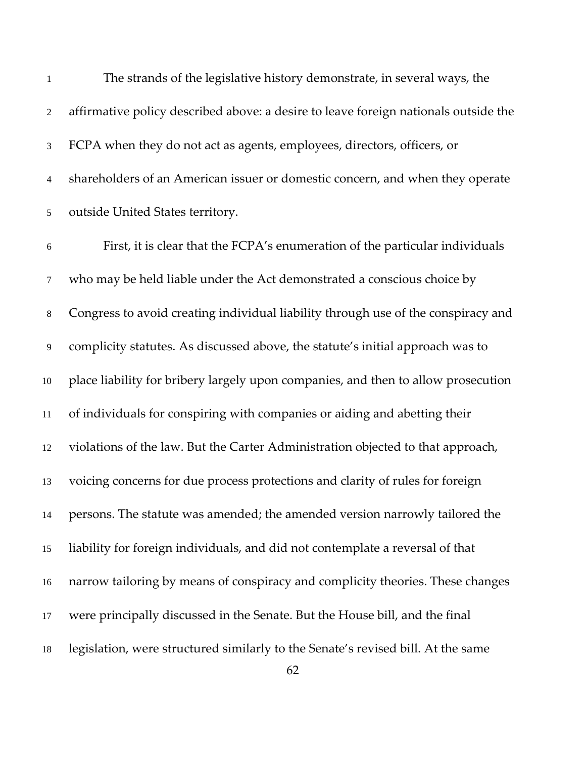| $\mathbf{1}$   | The strands of the legislative history demonstrate, in several ways, the            |
|----------------|-------------------------------------------------------------------------------------|
| $\overline{2}$ | affirmative policy described above: a desire to leave foreign nationals outside the |
| $\mathfrak{Z}$ | FCPA when they do not act as agents, employees, directors, officers, or             |
| $\overline{4}$ | shareholders of an American issuer or domestic concern, and when they operate       |
| $\mathfrak{S}$ | outside United States territory.                                                    |
| 6              | First, it is clear that the FCPA's enumeration of the particular individuals        |
| $\tau$         | who may be held liable under the Act demonstrated a conscious choice by             |
| $8\phantom{.}$ | Congress to avoid creating individual liability through use of the conspiracy and   |
| 9              | complicity statutes. As discussed above, the statute's initial approach was to      |
| 10             | place liability for bribery largely upon companies, and then to allow prosecution   |
| 11             | of individuals for conspiring with companies or aiding and abetting their           |
| 12             | violations of the law. But the Carter Administration objected to that approach,     |
| 13             | voicing concerns for due process protections and clarity of rules for foreign       |
| 14             | persons. The statute was amended; the amended version narrowly tailored the         |
| 15             | liability for foreign individuals, and did not contemplate a reversal of that       |
| 16             | narrow tailoring by means of conspiracy and complicity theories. These changes      |
| 17             | were principally discussed in the Senate. But the House bill, and the final         |
| 18             | legislation, were structured similarly to the Senate's revised bill. At the same    |
|                | 62                                                                                  |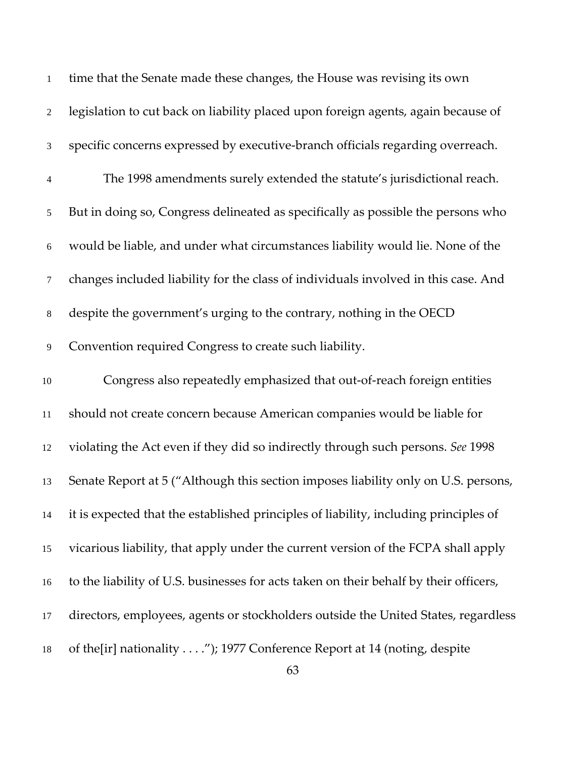| 1              | time that the Senate made these changes, the House was revising its own               |
|----------------|---------------------------------------------------------------------------------------|
| 2              | legislation to cut back on liability placed upon foreign agents, again because of     |
| 3              | specific concerns expressed by executive-branch officials regarding overreach.        |
| $\overline{4}$ | The 1998 amendments surely extended the statute's jurisdictional reach.               |
| 5              | But in doing so, Congress delineated as specifically as possible the persons who      |
| $\sqrt{6}$     | would be liable, and under what circumstances liability would lie. None of the        |
| 7              | changes included liability for the class of individuals involved in this case. And    |
| $\,8\,$        | despite the government's urging to the contrary, nothing in the OECD                  |
| 9              | Convention required Congress to create such liability.                                |
| $10\,$         | Congress also repeatedly emphasized that out-of-reach foreign entities                |
| 11             | should not create concern because American companies would be liable for              |
| 12             | violating the Act even if they did so indirectly through such persons. See 1998       |
| 13             | Senate Report at 5 ("Although this section imposes liability only on U.S. persons,    |
| 14             | it is expected that the established principles of liability, including principles of  |
| 15             | vicarious liability, that apply under the current version of the FCPA shall apply     |
| 16             | to the liability of U.S. businesses for acts taken on their behalf by their officers, |
| 17             | directors, employees, agents or stockholders outside the United States, regardless    |
| 18             | of the[ir] nationality"); 1977 Conference Report at 14 (noting, despite               |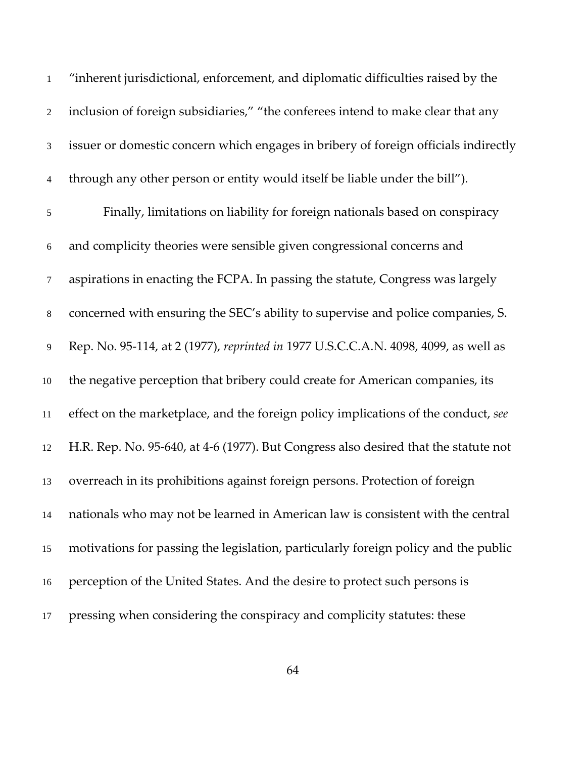| $\mathbf{1}$   | "inherent jurisdictional, enforcement, and diplomatic difficulties raised by the    |
|----------------|-------------------------------------------------------------------------------------|
| $\overline{2}$ | inclusion of foreign subsidiaries," "the conferees intend to make clear that any    |
| $\mathfrak{Z}$ | issuer or domestic concern which engages in bribery of foreign officials indirectly |
| $\overline{4}$ | through any other person or entity would itself be liable under the bill").         |
| $\sqrt{5}$     | Finally, limitations on liability for foreign nationals based on conspiracy         |
| 6              | and complicity theories were sensible given congressional concerns and              |
| $\tau$         | aspirations in enacting the FCPA. In passing the statute, Congress was largely      |
| $\,8\,$        | concerned with ensuring the SEC's ability to supervise and police companies, S.     |
| 9              | Rep. No. 95-114, at 2 (1977), reprinted in 1977 U.S.C.C.A.N. 4098, 4099, as well as |
| 10             | the negative perception that bribery could create for American companies, its       |
| 11             | effect on the marketplace, and the foreign policy implications of the conduct, see  |
| 12             | H.R. Rep. No. 95-640, at 4-6 (1977). But Congress also desired that the statute not |
| 13             | overreach in its prohibitions against foreign persons. Protection of foreign        |
| 14             | nationals who may not be learned in American law is consistent with the central     |
| 15             | motivations for passing the legislation, particularly foreign policy and the public |
| 16             | perception of the United States. And the desire to protect such persons is          |
| 17             | pressing when considering the conspiracy and complicity statutes: these             |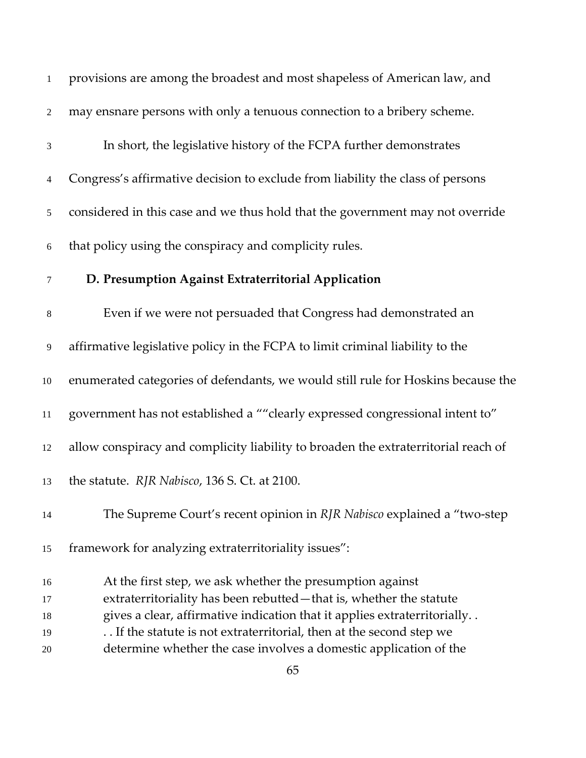| $\mathbf{1}$     | provisions are among the broadest and most shapeless of American law, and          |
|------------------|------------------------------------------------------------------------------------|
| $\boldsymbol{2}$ | may ensnare persons with only a tenuous connection to a bribery scheme.            |
| 3                | In short, the legislative history of the FCPA further demonstrates                 |
| 4                | Congress's affirmative decision to exclude from liability the class of persons     |
| 5                | considered in this case and we thus hold that the government may not override      |
| $\sqrt{6}$       | that policy using the conspiracy and complicity rules.                             |
| 7                | D. Presumption Against Extraterritorial Application                                |
| 8                | Even if we were not persuaded that Congress had demonstrated an                    |
| 9                | affirmative legislative policy in the FCPA to limit criminal liability to the      |
| $10\,$           | enumerated categories of defendants, we would still rule for Hoskins because the   |
| $11\,$           | government has not established a ""clearly expressed congressional intent to"      |
| 12               | allow conspiracy and complicity liability to broaden the extraterritorial reach of |
| 13               | the statute. RJR Nabisco, 136 S. Ct. at 2100.                                      |
| 14               | The Supreme Court's recent opinion in RJR Nabisco explained a "two-step"           |
| 15               | framework for analyzing extraterritoriality issues":                               |
| 16               | At the first step, we ask whether the presumption against                          |
| 17               | extraterritoriality has been rebutted - that is, whether the statute               |
| 18               | gives a clear, affirmative indication that it applies extraterritorially           |
| 19               | If the statute is not extraterritorial, then at the second step we                 |
| 20               | determine whether the case involves a domestic application of the                  |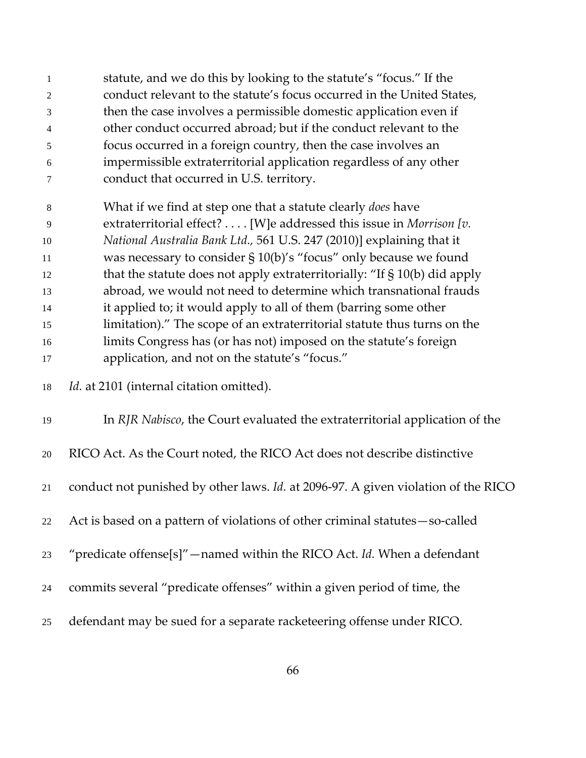statute, and we do this by looking to the statute's "focus." If the conduct relevant to the statute's focus occurred in the United States, then the case involves a permissible domestic application even if other conduct occurred abroad; but if the conduct relevant to the focus occurred in a foreign country, then the case involves an impermissible extraterritorial application regardless of any other conduct that occurred in U.S. territory.

 What if we find at step one that a statute clearly *does* have extraterritorial effect? . . . . [W]e addressed this issue in *Morrison [v. National Australia Bank Ltd.,* 561 U.S. 247 (2010)] explaining that it was necessary to consider § 10(b)'s "focus" only because we found that the statute does not apply extraterritorially: "If § 10(b) did apply abroad, we would not need to determine which transnational frauds it applied to; it would apply to all of them (barring some other limitation)." The scope of an extraterritorial statute thus turns on the limits Congress has (or has not) imposed on the statute's foreign application, and not on the statute's "focus."

| 18 |  | Id. at 2101 (internal citation omitted). |  |
|----|--|------------------------------------------|--|
|----|--|------------------------------------------|--|

| 19 | In RJR Nabisco, the Court evaluated the extraterritorial application of the              |
|----|------------------------------------------------------------------------------------------|
| 20 | RICO Act. As the Court noted, the RICO Act does not describe distinctive                 |
| 21 | conduct not punished by other laws. <i>Id.</i> at 2096-97. A given violation of the RICO |
| 22 | Act is based on a pattern of violations of other criminal statutes – so-called           |
| 23 | "predicate offense[s]" — named within the RICO Act. Id. When a defendant                 |
| 24 | commits several "predicate offenses" within a given period of time, the                  |
| 25 | defendant may be sued for a separate racketeering offense under RICO.                    |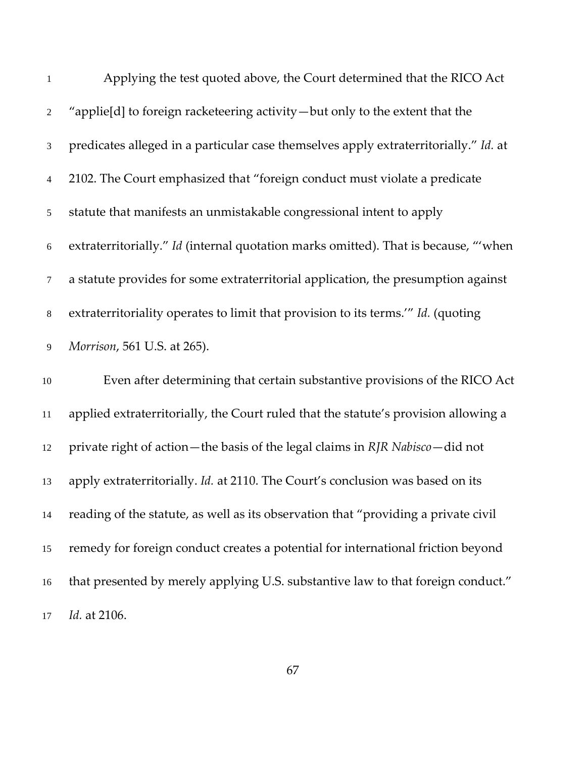| $\mathbf{1}$   | Applying the test quoted above, the Court determined that the RICO Act               |
|----------------|--------------------------------------------------------------------------------------|
| $\overline{2}$ | "applie[d] to foreign racketeering activity — but only to the extent that the        |
| $\mathfrak{Z}$ | predicates alleged in a particular case themselves apply extraterritorially." Id. at |
| $\overline{4}$ | 2102. The Court emphasized that "foreign conduct must violate a predicate            |
| 5              | statute that manifests an unmistakable congressional intent to apply                 |
| $6\,$          | extraterritorially." Id (internal quotation marks omitted). That is because, "'when  |
| $\tau$         | a statute provides for some extraterritorial application, the presumption against    |
| $\,8\,$        | extraterritoriality operates to limit that provision to its terms." Id. (quoting     |
| 9              | Morrison, 561 U.S. at 265).                                                          |
| $10\,$         | Even after determining that certain substantive provisions of the RICO Act           |
| 11             | applied extraterritorially, the Court ruled that the statute's provision allowing a  |
| 12             | private right of action—the basis of the legal claims in RJR Nabisco—did not         |
| 13             | apply extraterritorially. Id. at 2110. The Court's conclusion was based on its       |
| 14             | reading of the statute, as well as its observation that "providing a private civil   |
| 15             | remedy for foreign conduct creates a potential for international friction beyond     |
| 16             | that presented by merely applying U.S. substantive law to that foreign conduct."     |
| 17             | Id. at 2106.                                                                         |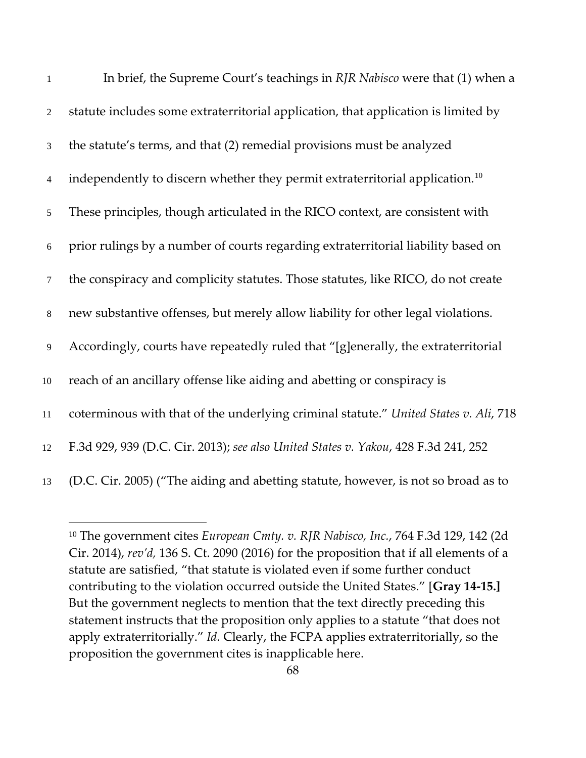| $\mathbf{1}$   | In brief, the Supreme Court's teachings in RJR Nabisco were that (1) when a              |
|----------------|------------------------------------------------------------------------------------------|
| $\overline{2}$ | statute includes some extraterritorial application, that application is limited by       |
| $\mathfrak{Z}$ | the statute's terms, and that (2) remedial provisions must be analyzed                   |
| $\overline{4}$ | independently to discern whether they permit extraterritorial application. <sup>10</sup> |
| 5              | These principles, though articulated in the RICO context, are consistent with            |
| $6\,$          | prior rulings by a number of courts regarding extraterritorial liability based on        |
| $\tau$         | the conspiracy and complicity statutes. Those statutes, like RICO, do not create         |
| $8\,$          | new substantive offenses, but merely allow liability for other legal violations.         |
| 9              | Accordingly, courts have repeatedly ruled that "[g]enerally, the extraterritorial        |
| 10             | reach of an ancillary offense like aiding and abetting or conspiracy is                  |
| 11             | coterminous with that of the underlying criminal statute." United States v. Ali, 718     |
| 12             | F.3d 929, 939 (D.C. Cir. 2013); see also United States v. Yakou, 428 F.3d 241, 252       |
| 13             | (D.C. Cir. 2005) ("The aiding and abetting statute, however, is not so broad as to       |

<span id="page-67-0"></span> The government cites *European Cmty. v. RJR Nabisco, Inc.*, 764 F.3d 129, 142 (2d Cir. 2014), *rev'd,* 136 S. Ct. 2090 (2016) for the proposition that if all elements of a statute are satisfied, "that statute is violated even if some further conduct contributing to the violation occurred outside the United States." [**Gray 14-15.]**  But the government neglects to mention that the text directly preceding this statement instructs that the proposition only applies to a statute "that does not apply extraterritorially." *Id.* Clearly, the FCPA applies extraterritorially, so the proposition the government cites is inapplicable here.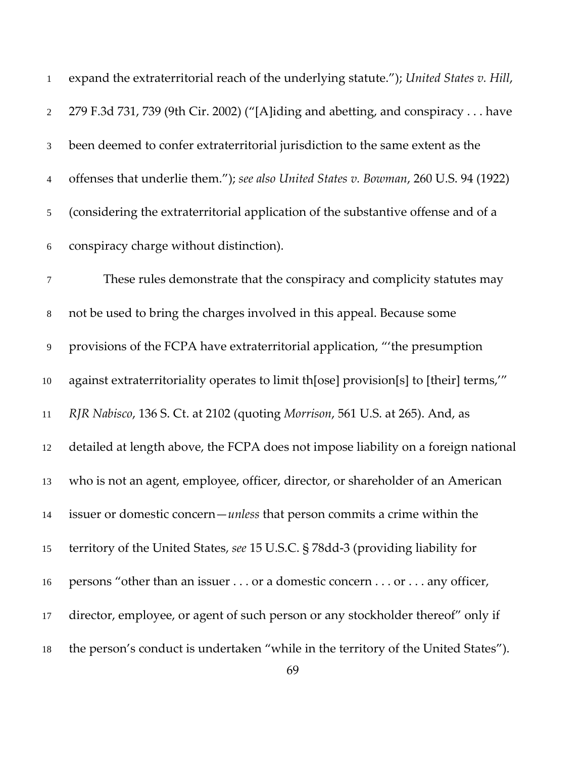| 1              | expand the extraterritorial reach of the underlying statute."); United States v. Hill, |
|----------------|----------------------------------------------------------------------------------------|
| $\overline{2}$ | 279 F.3d 731, 739 (9th Cir. 2002) ("[A]iding and abetting, and conspiracy have         |
| 3              | been deemed to confer extraterritorial jurisdiction to the same extent as the          |
| 4              | offenses that underlie them."); see also United States v. Bowman, 260 U.S. 94 (1922)   |
| 5              | (considering the extraterritorial application of the substantive offense and of a      |
| $\sqrt{6}$     | conspiracy charge without distinction).                                                |
| $\tau$         | These rules demonstrate that the conspiracy and complicity statutes may                |
| $\,8\,$        | not be used to bring the charges involved in this appeal. Because some                 |
| 9              | provisions of the FCPA have extraterritorial application, "the presumption             |
| 10             | against extraterritoriality operates to limit th[ose] provision[s] to [their] terms,"  |
| 11             | RJR Nabisco, 136 S. Ct. at 2102 (quoting Morrison, 561 U.S. at 265). And, as           |
| 12             | detailed at length above, the FCPA does not impose liability on a foreign national     |
| 13             | who is not an agent, employee, officer, director, or shareholder of an American        |
| 14             | issuer or domestic concern— <i>unless</i> that person commits a crime within the       |
| 15             | territory of the United States, see 15 U.S.C. § 78dd-3 (providing liability for        |
| 16             | persons "other than an issuer or a domestic concern or any officer,                    |
| 17             | director, employee, or agent of such person or any stockholder thereof" only if        |
| 18             | the person's conduct is undertaken "while in the territory of the United States").     |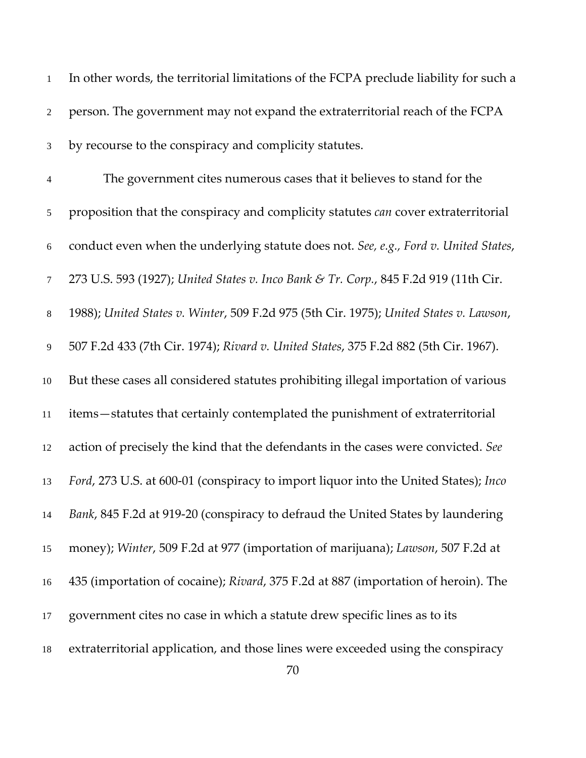| $\mathbf{1}$   | In other words, the territorial limitations of the FCPA preclude liability for such a  |
|----------------|----------------------------------------------------------------------------------------|
| 2              | person. The government may not expand the extraterritorial reach of the FCPA           |
| 3              | by recourse to the conspiracy and complicity statutes.                                 |
| $\overline{4}$ | The government cites numerous cases that it believes to stand for the                  |
| 5              | proposition that the conspiracy and complicity statutes can cover extraterritorial     |
| $\sqrt{6}$     | conduct even when the underlying statute does not. See, e.g., Ford v. United States,   |
| $\tau$         | 273 U.S. 593 (1927); United States v. Inco Bank & Tr. Corp., 845 F.2d 919 (11th Cir.   |
| 8              | 1988); United States v. Winter, 509 F.2d 975 (5th Cir. 1975); United States v. Lawson, |
| 9              | 507 F.2d 433 (7th Cir. 1974); Rivard v. United States, 375 F.2d 882 (5th Cir. 1967).   |
| 10             | But these cases all considered statutes prohibiting illegal importation of various     |
| $11\,$         | items-statutes that certainly contemplated the punishment of extraterritorial          |
| 12             | action of precisely the kind that the defendants in the cases were convicted. See      |
| 13             | Ford, 273 U.S. at 600-01 (conspiracy to import liquor into the United States); Inco    |
| 14             | Bank, 845 F.2d at 919-20 (conspiracy to defraud the United States by laundering        |
| 15             | money); Winter, 509 F.2d at 977 (importation of marijuana); Lawson, 507 F.2d at        |
| 16             | 435 (importation of cocaine); Rivard, 375 F.2d at 887 (importation of heroin). The     |
| 17             | government cites no case in which a statute drew specific lines as to its              |
| 18             | extraterritorial application, and those lines were exceeded using the conspiracy       |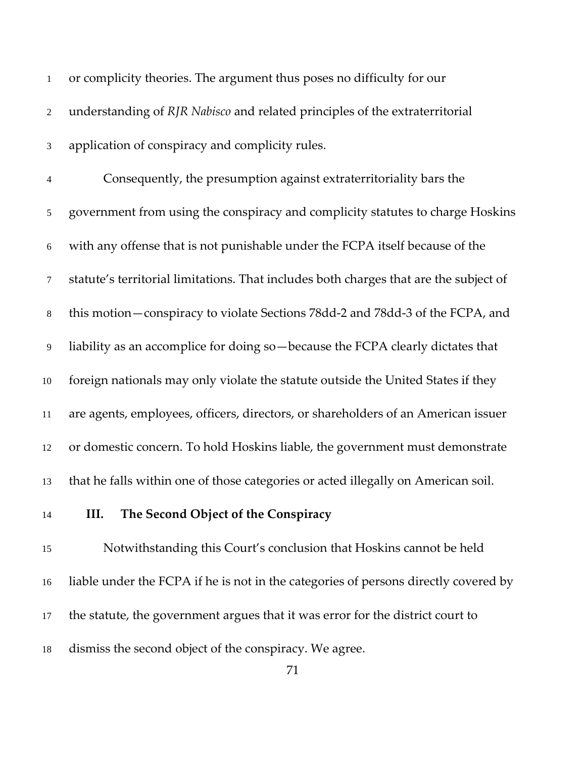| 1              | or complicity theories. The argument thus poses no difficulty for our                 |
|----------------|---------------------------------------------------------------------------------------|
| $\overline{2}$ | understanding of RJR Nabisco and related principles of the extraterritorial           |
| $\mathfrak{Z}$ | application of conspiracy and complicity rules.                                       |
| 4              | Consequently, the presumption against extraterritoriality bars the                    |
| 5              | government from using the conspiracy and complicity statutes to charge Hoskins        |
| $\sqrt{6}$     | with any offense that is not punishable under the FCPA itself because of the          |
| 7              | statute's territorial limitations. That includes both charges that are the subject of |
| $8\,$          | this motion — conspiracy to violate Sections 78dd-2 and 78dd-3 of the FCPA, and       |
| 9              | liability as an accomplice for doing so-because the FCPA clearly dictates that        |
| 10             | foreign nationals may only violate the statute outside the United States if they      |
| 11             | are agents, employees, officers, directors, or shareholders of an American issuer     |
| 12             | or domestic concern. To hold Hoskins liable, the government must demonstrate          |
| 13             | that he falls within one of those categories or acted illegally on American soil.     |
| 14             | The Second Object of the Conspiracy<br>III.                                           |
| 15             | Notwithstanding this Court's conclusion that Hoskins cannot be held                   |
| 16             | liable under the FCPA if he is not in the categories of persons directly covered by   |
| 17             | the statute, the government argues that it was error for the district court to        |

dismiss the second object of the conspiracy. We agree.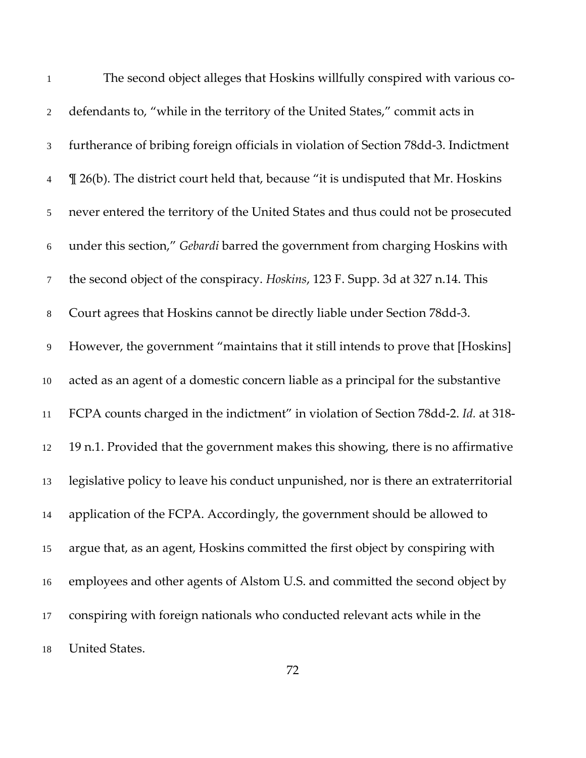| $\mathbf{1}$   | The second object alleges that Hoskins willfully conspired with various co-          |
|----------------|--------------------------------------------------------------------------------------|
| $\overline{2}$ | defendants to, "while in the territory of the United States," commit acts in         |
| 3              | furtherance of bribing foreign officials in violation of Section 78dd-3. Indictment  |
| 4              | If 26(b). The district court held that, because "it is undisputed that Mr. Hoskins   |
| 5              | never entered the territory of the United States and thus could not be prosecuted    |
| $\sqrt{6}$     | under this section," Gebardi barred the government from charging Hoskins with        |
| $\tau$         | the second object of the conspiracy. Hoskins, 123 F. Supp. 3d at 327 n.14. This      |
| $8\,$          | Court agrees that Hoskins cannot be directly liable under Section 78dd-3.            |
| 9              | However, the government "maintains that it still intends to prove that [Hoskins]     |
| 10             | acted as an agent of a domestic concern liable as a principal for the substantive    |
| 11             | FCPA counts charged in the indictment" in violation of Section 78dd-2. Id. at 318-   |
| 12             | 19 n.1. Provided that the government makes this showing, there is no affirmative     |
| 13             | legislative policy to leave his conduct unpunished, nor is there an extraterritorial |
| 14             | application of the FCPA. Accordingly, the government should be allowed to            |
| 15             | argue that, as an agent, Hoskins committed the first object by conspiring with       |
| 16             | employees and other agents of Alstom U.S. and committed the second object by         |
| 17             | conspiring with foreign nationals who conducted relevant acts while in the           |
| 18             | United States.                                                                       |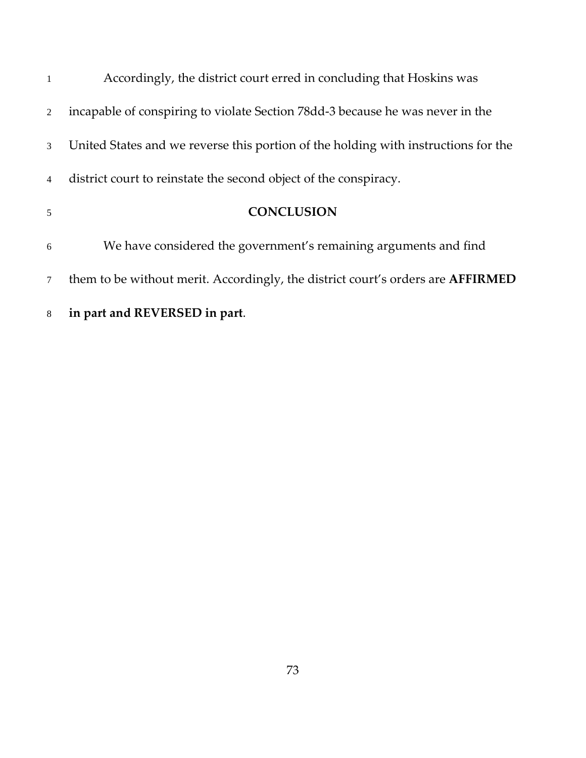| 8              | in part and REVERSED in part.                                                          |
|----------------|----------------------------------------------------------------------------------------|
| $\overline{7}$ | them to be without merit. Accordingly, the district court's orders are <b>AFFIRMED</b> |
| 6              | We have considered the government's remaining arguments and find                       |
| 5              | <b>CONCLUSION</b>                                                                      |
| $\overline{4}$ | district court to reinstate the second object of the conspiracy.                       |
| 3              | United States and we reverse this portion of the holding with instructions for the     |
| $\overline{2}$ | incapable of conspiring to violate Section 78dd-3 because he was never in the          |
| $\mathbf{1}$   | Accordingly, the district court erred in concluding that Hoskins was                   |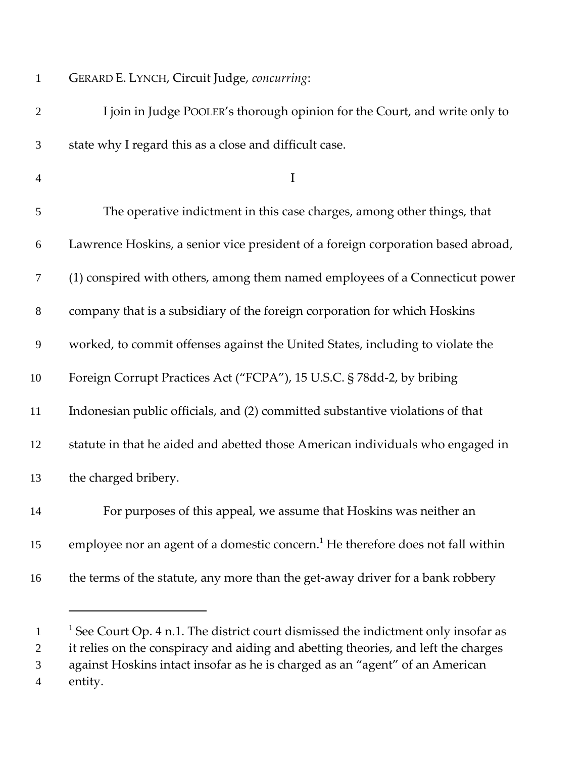| $\mathbf{1}$   | GERARD E. LYNCH, Circuit Judge, concurring:                                                 |
|----------------|---------------------------------------------------------------------------------------------|
| $\overline{2}$ | I join in Judge POOLER's thorough opinion for the Court, and write only to                  |
| 3              | state why I regard this as a close and difficult case.                                      |
| $\overline{4}$ | $\mathbf I$                                                                                 |
| 5              | The operative indictment in this case charges, among other things, that                     |
| 6              | Lawrence Hoskins, a senior vice president of a foreign corporation based abroad,            |
| 7              | (1) conspired with others, among them named employees of a Connecticut power                |
| $8\,$          | company that is a subsidiary of the foreign corporation for which Hoskins                   |
| 9              | worked, to commit offenses against the United States, including to violate the              |
| 10             | Foreign Corrupt Practices Act ("FCPA"), 15 U.S.C. § 78dd-2, by bribing                      |
| 11             | Indonesian public officials, and (2) committed substantive violations of that               |
| 12             | statute in that he aided and abetted those American individuals who engaged in              |
| 13             | the charged bribery.                                                                        |
| 14             | For purposes of this appeal, we assume that Hoskins was neither an                          |
| 15             | employee nor an agent of a domestic concern. <sup>1</sup> He therefore does not fall within |
| 16             | the terms of the statute, any more than the get-away driver for a bank robbery              |
|                |                                                                                             |

<sup>&</sup>lt;sup>1</sup> See Court Op. 4 n.1. The district court dismissed the indictment only insofar as it relies on the conspiracy and aiding and abetting theories, and left the charges against Hoskins intact insofar as he is charged as an "agent" of an American entity.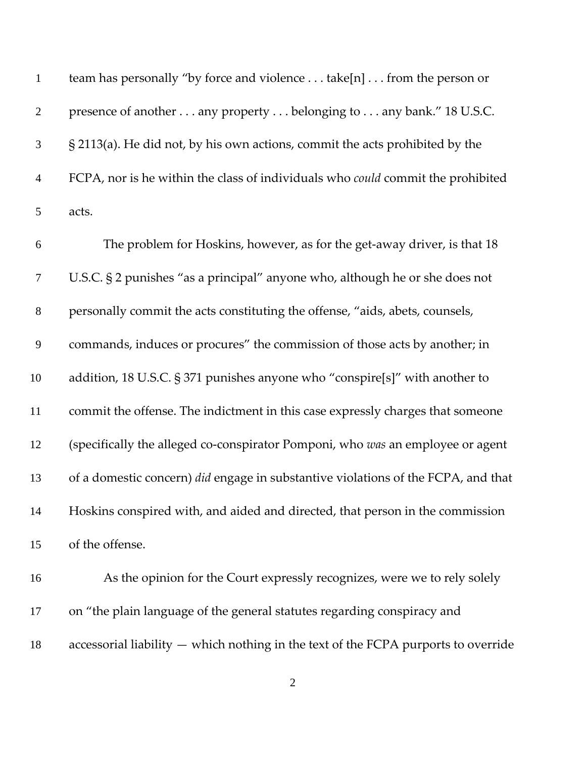| $\mathbf{1}$   | team has personally "by force and violence take[n] from the person or                    |
|----------------|------------------------------------------------------------------------------------------|
| $\mathbf{2}$   | presence of another any property belonging to any bank." 18 U.S.C.                       |
| $\mathfrak{Z}$ | § 2113(a). He did not, by his own actions, commit the acts prohibited by the             |
| $\overline{4}$ | FCPA, nor is he within the class of individuals who could commit the prohibited          |
| $\mathfrak s$  | acts.                                                                                    |
| 6              | The problem for Hoskins, however, as for the get-away driver, is that 18                 |
| $\tau$         | U.S.C. § 2 punishes "as a principal" anyone who, although he or she does not             |
| $\,8\,$        | personally commit the acts constituting the offense, "aids, abets, counsels,             |
| $\overline{9}$ | commands, induces or procures" the commission of those acts by another; in               |
| 10             | addition, 18 U.S.C. § 371 punishes anyone who "conspire[s]" with another to              |
| $11\,$         | commit the offense. The indictment in this case expressly charges that someone           |
| 12             | (specifically the alleged co-conspirator Pomponi, who was an employee or agent           |
| 13             | of a domestic concern) <i>did</i> engage in substantive violations of the FCPA, and that |
| 14             | Hoskins conspired with, and aided and directed, that person in the commission            |
| 15             | of the offense.                                                                          |
| 16             | As the opinion for the Court expressly recognizes, were we to rely solely                |
| 17             | on "the plain language of the general statutes regarding conspiracy and                  |
| 18             | accessorial liability $-$ which nothing in the text of the FCPA purports to override     |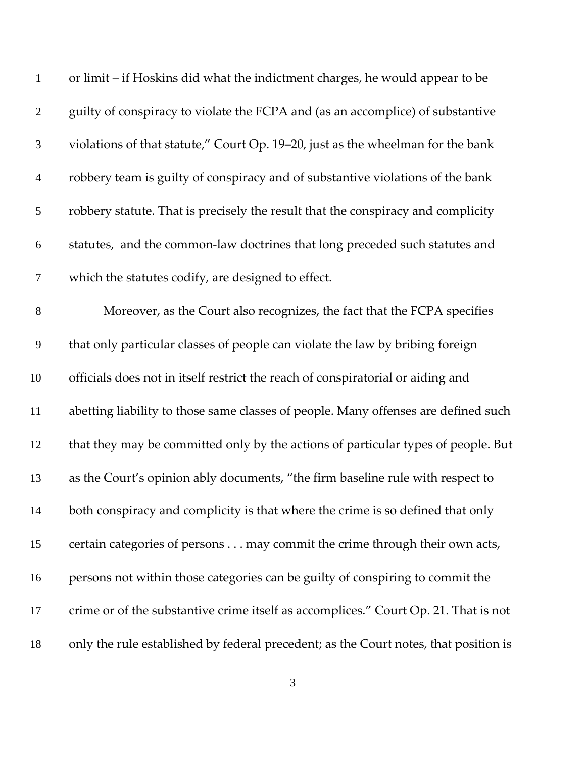| $\mathbf{1}$     | or limit – if Hoskins did what the indictment charges, he would appear to be         |
|------------------|--------------------------------------------------------------------------------------|
| $\overline{2}$   | guilty of conspiracy to violate the FCPA and (as an accomplice) of substantive       |
| $\mathfrak{Z}$   | violations of that statute," Court Op. 19-20, just as the wheelman for the bank      |
| $\overline{4}$   | robbery team is guilty of conspiracy and of substantive violations of the bank       |
| $\mathfrak{S}$   | robbery statute. That is precisely the result that the conspiracy and complicity     |
| 6                | statutes, and the common-law doctrines that long preceded such statutes and          |
| $\boldsymbol{7}$ | which the statutes codify, are designed to effect.                                   |
| $8\,$            | Moreover, as the Court also recognizes, the fact that the FCPA specifies             |
| $\overline{9}$   | that only particular classes of people can violate the law by bribing foreign        |
| 10               | officials does not in itself restrict the reach of conspiratorial or aiding and      |
| 11               | abetting liability to those same classes of people. Many offenses are defined such   |
| 12               | that they may be committed only by the actions of particular types of people. But    |
| 13               | as the Court's opinion ably documents, "the firm baseline rule with respect to       |
| 14               | both conspiracy and complicity is that where the crime is so defined that only       |
| 15               | certain categories of persons may commit the crime through their own acts,           |
| 16               | persons not within those categories can be guilty of conspiring to commit the        |
| 17               | crime or of the substantive crime itself as accomplices." Court Op. 21. That is not  |
| 18               | only the rule established by federal precedent; as the Court notes, that position is |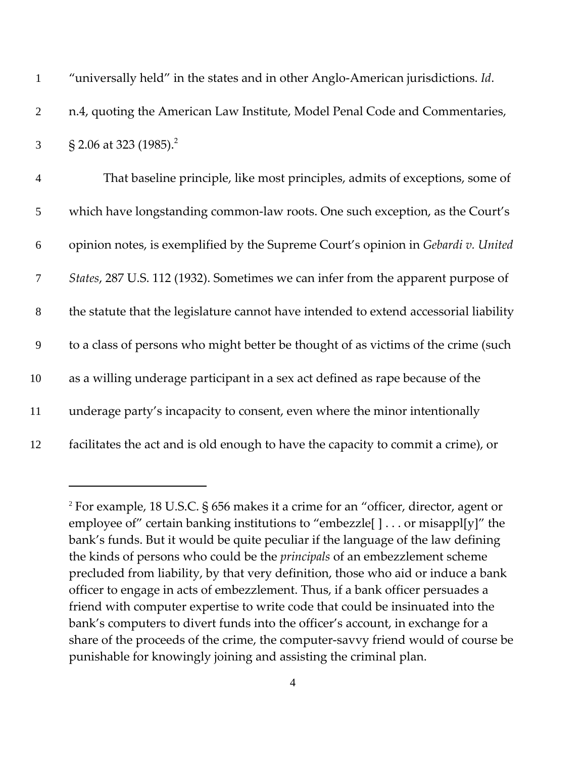| $\mathbf{1}$   | "universally held" in the states and in other Anglo-American jurisdictions. Id.       |
|----------------|---------------------------------------------------------------------------------------|
| $\overline{2}$ | n.4, quoting the American Law Institute, Model Penal Code and Commentaries,           |
| 3              | § 2.06 at 323 (1985). <sup>2</sup>                                                    |
| $\overline{4}$ | That baseline principle, like most principles, admits of exceptions, some of          |
| 5              | which have longstanding common-law roots. One such exception, as the Court's          |
| 6              | opinion notes, is exemplified by the Supreme Court's opinion in Gebardi v. United     |
| $\overline{7}$ | States, 287 U.S. 112 (1932). Sometimes we can infer from the apparent purpose of      |
| $8\,$          | the statute that the legislature cannot have intended to extend accessorial liability |
| 9              | to a class of persons who might better be thought of as victims of the crime (such    |
| 10             | as a willing underage participant in a sex act defined as rape because of the         |
| 11             | underage party's incapacity to consent, even where the minor intentionally            |
| 12             | facilitates the act and is old enough to have the capacity to commit a crime), or     |

<sup>2</sup> For example, 18 U.S.C. § 656 makes it a crime for an "officer, director, agent or employee of" certain banking institutions to "embezzle[ ] . . . or misappl[y]" the bank's funds. But it would be quite peculiar if the language of the law defining the kinds of persons who could be the *principals* of an embezzlement scheme precluded from liability, by that very definition, those who aid or induce a bank officer to engage in acts of embezzlement. Thus, if a bank officer persuades a friend with computer expertise to write code that could be insinuated into the bank's computers to divert funds into the officer's account, in exchange for a share of the proceeds of the crime, the computer‐savvy friend would of course be punishable for knowingly joining and assisting the criminal plan.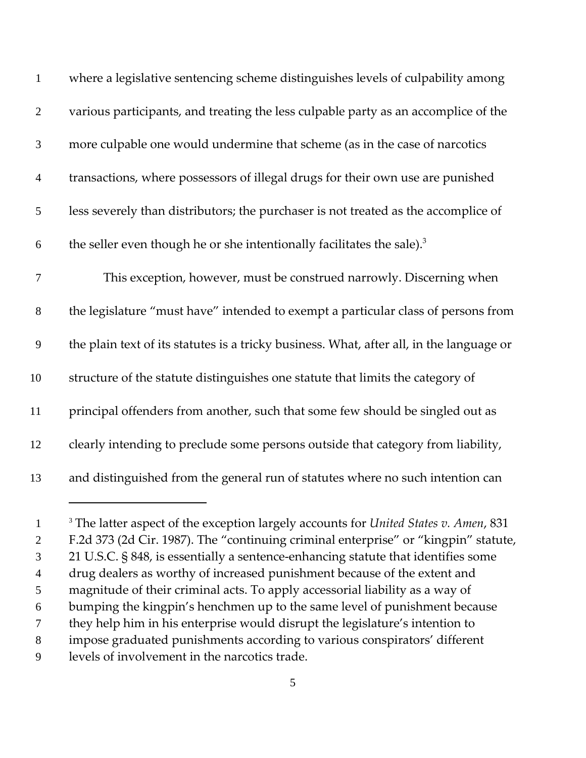| $\mathbf{1}$     | where a legislative sentencing scheme distinguishes levels of culpability among                       |
|------------------|-------------------------------------------------------------------------------------------------------|
| $\overline{2}$   | various participants, and treating the less culpable party as an accomplice of the                    |
| 3                | more culpable one would undermine that scheme (as in the case of narcotics                            |
| $\overline{4}$   | transactions, where possessors of illegal drugs for their own use are punished                        |
| 5                | less severely than distributors; the purchaser is not treated as the accomplice of                    |
| $\boldsymbol{6}$ | the seller even though he or she intentionally facilitates the sale). <sup>3</sup>                    |
| $\tau$           | This exception, however, must be construed narrowly. Discerning when                                  |
| $8\,$            | the legislature "must have" intended to exempt a particular class of persons from                     |
| 9                | the plain text of its statutes is a tricky business. What, after all, in the language or              |
| 10               | structure of the statute distinguishes one statute that limits the category of                        |
| 11               | principal offenders from another, such that some few should be singled out as                         |
| 12               | clearly intending to preclude some persons outside that category from liability,                      |
| 13               | and distinguished from the general run of statutes where no such intention can                        |
| - 1              | <sup>3</sup> The latter aspect of the exception largely accounts for <i>United States v. Amen</i> 831 |

<sup>3</sup> The latter aspect of the exception largely accounts for *United States v. Amen*, 831 F.2d 373 (2d Cir. 1987). The "continuing criminal enterprise" or "kingpin" statute, 21 U.S.C. § 848, is essentially a sentence‐enhancing statute that identifies some drug dealers as worthy of increased punishment because of the extent and magnitude of their criminal acts. To apply accessorial liability as a way of bumping the kingpin's henchmen up to the same level of punishment because they help him in his enterprise would disrupt the legislature's intention to impose graduated punishments according to various conspirators' different levels of involvement in the narcotics trade.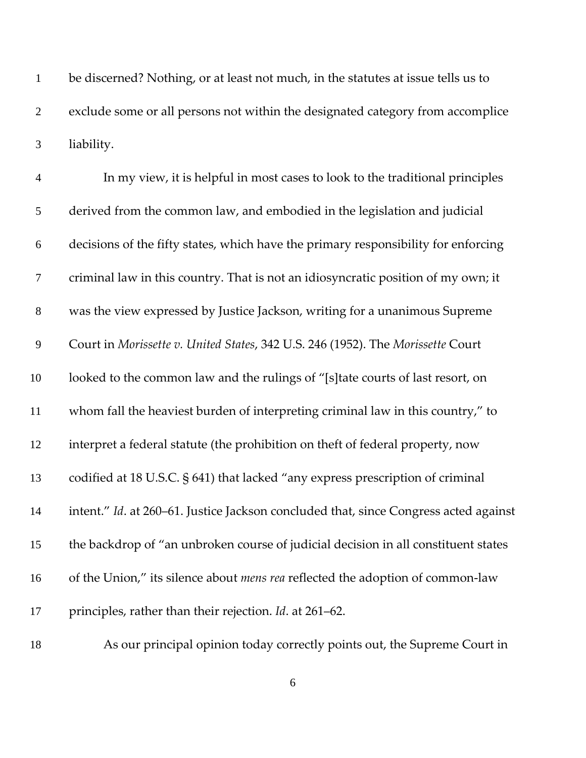be discerned? Nothing, or at least not much, in the statutes at issue tells us to exclude some or all persons not within the designated category from accomplice liability.

| $\overline{4}$   | In my view, it is helpful in most cases to look to the traditional principles        |
|------------------|--------------------------------------------------------------------------------------|
| 5                | derived from the common law, and embodied in the legislation and judicial            |
| $\boldsymbol{6}$ | decisions of the fifty states, which have the primary responsibility for enforcing   |
| $\tau$           | criminal law in this country. That is not an idiosyncratic position of my own; it    |
| $8\,$            | was the view expressed by Justice Jackson, writing for a unanimous Supreme           |
| $\overline{9}$   | Court in Morissette v. United States, 342 U.S. 246 (1952). The Morissette Court      |
| 10               | looked to the common law and the rulings of "[s]tate courts of last resort, on       |
| $11\,$           | whom fall the heaviest burden of interpreting criminal law in this country," to      |
| 12               | interpret a federal statute (the prohibition on theft of federal property, now       |
| 13               | codified at 18 U.S.C. § 641) that lacked "any express prescription of criminal       |
| 14               | intent." Id. at 260-61. Justice Jackson concluded that, since Congress acted against |
| 15               | the backdrop of "an unbroken course of judicial decision in all constituent states   |
| 16               | of the Union," its silence about mens rea reflected the adoption of common-law       |
| 17               | principles, rather than their rejection. Id. at 261-62.                              |

As our principal opinion today correctly points out, the Supreme Court in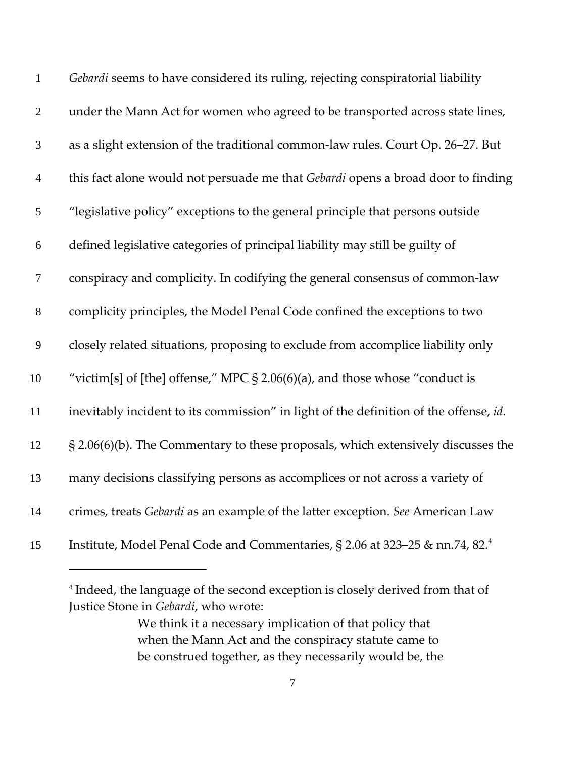| $\mathbf{1}$   | Gebardi seems to have considered its ruling, rejecting conspiratorial liability          |
|----------------|------------------------------------------------------------------------------------------|
| $\mathbf{2}$   | under the Mann Act for women who agreed to be transported across state lines,            |
| $\mathfrak{Z}$ | as a slight extension of the traditional common-law rules. Court Op. 26-27. But          |
| $\overline{4}$ | this fact alone would not persuade me that Gebardi opens a broad door to finding         |
| 5              | "legislative policy" exceptions to the general principle that persons outside            |
| 6              | defined legislative categories of principal liability may still be guilty of             |
| $\overline{7}$ | conspiracy and complicity. In codifying the general consensus of common-law              |
| $8\,$          | complicity principles, the Model Penal Code confined the exceptions to two               |
| 9              | closely related situations, proposing to exclude from accomplice liability only          |
| 10             | "victim[s] of [the] offense," MPC $\S$ 2.06(6)(a), and those whose "conduct is           |
| 11             | inevitably incident to its commission" in light of the definition of the offense, id.    |
| 12             | § 2.06(6)(b). The Commentary to these proposals, which extensively discusses the         |
| 13             | many decisions classifying persons as accomplices or not across a variety of             |
| 14             | crimes, treats Gebardi as an example of the latter exception. See American Law           |
| 15             | Institute, Model Penal Code and Commentaries, § 2.06 at 323–25 & nn.74, 82. <sup>4</sup> |

<sup>&</sup>lt;sup>4</sup> Indeed, the language of the second exception is closely derived from that of Justice Stone in *Gebardi*, who wrote:

We think it a necessary implication of that policy that when the Mann Act and the conspiracy statute came to be construed together, as they necessarily would be, the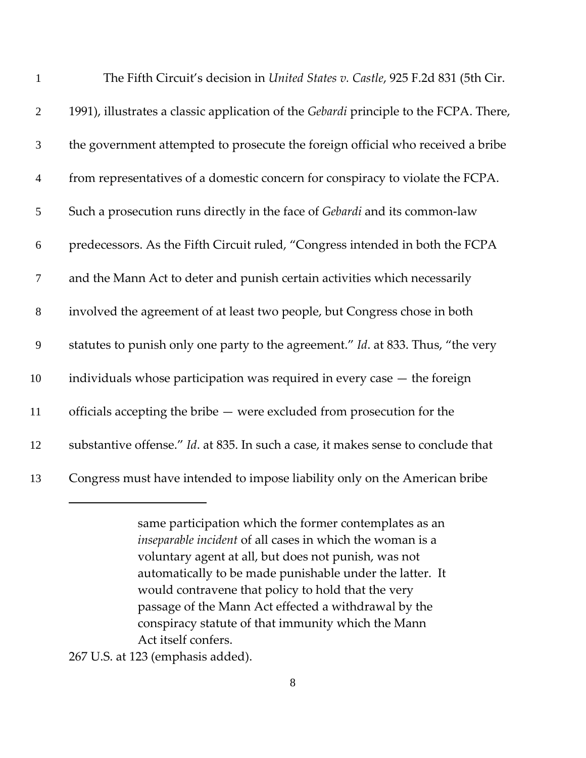| $\mathbf{1}$     | The Fifth Circuit's decision in United States v. Castle, 925 F.2d 831 (5th Cir.       |
|------------------|---------------------------------------------------------------------------------------|
| $\mathbf{2}$     | 1991), illustrates a classic application of the Gebardi principle to the FCPA. There, |
| 3                | the government attempted to prosecute the foreign official who received a bribe       |
| $\overline{4}$   | from representatives of a domestic concern for conspiracy to violate the FCPA.        |
| 5                | Such a prosecution runs directly in the face of Gebardi and its common-law            |
| $\boldsymbol{6}$ | predecessors. As the Fifth Circuit ruled, "Congress intended in both the FCPA         |
| $\overline{7}$   | and the Mann Act to deter and punish certain activities which necessarily             |
| $8\,$            | involved the agreement of at least two people, but Congress chose in both             |
| $\mathbf{9}$     | statutes to punish only one party to the agreement." Id. at 833. Thus, "the very      |
| 10               | individuals whose participation was required in every case $-$ the foreign            |
| 11               | officials accepting the bribe - were excluded from prosecution for the                |
| 12               | substantive offense." Id. at 835. In such a case, it makes sense to conclude that     |
| 13               | Congress must have intended to impose liability only on the American bribe            |
|                  | same participation which the former contemplates as an                                |

Act itself confers.

*inseparable incident* of all cases in which the woman is a voluntary agent at all, but does not punish, was not

automatically to be made punishable under the latter. It

would contravene that policy to hold that the very passage of the Mann Act effected a withdrawal by the conspiracy statute of that immunity which the Mann

U.S. at 123 (emphasis added).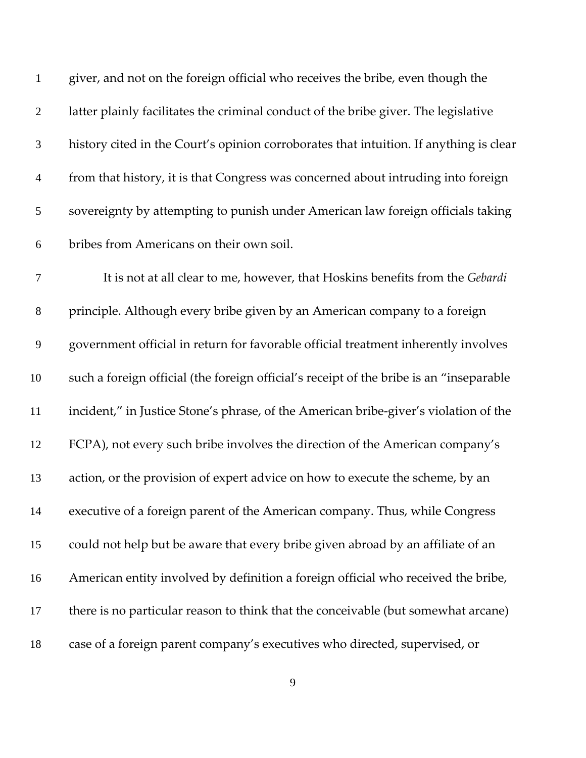| $\mathbf{1}$     | giver, and not on the foreign official who receives the bribe, even though the          |
|------------------|-----------------------------------------------------------------------------------------|
| $\mathbf{2}$     | latter plainly facilitates the criminal conduct of the bribe giver. The legislative     |
| $\mathfrak{Z}$   | history cited in the Court's opinion corroborates that intuition. If anything is clear  |
| $\overline{4}$   | from that history, it is that Congress was concerned about intruding into foreign       |
| 5                | sovereignty by attempting to punish under American law foreign officials taking         |
| 6                | bribes from Americans on their own soil.                                                |
| $\tau$           | It is not at all clear to me, however, that Hoskins benefits from the Gebardi           |
| $8\,$            | principle. Although every bribe given by an American company to a foreign               |
| $\boldsymbol{9}$ | government official in return for favorable official treatment inherently involves      |
| 10               | such a foreign official (the foreign official's receipt of the bribe is an "inseparable |
| 11               | incident," in Justice Stone's phrase, of the American bribe-giver's violation of the    |
| 12               | FCPA), not every such bribe involves the direction of the American company's            |
| 13               | action, or the provision of expert advice on how to execute the scheme, by an           |
| 14               | executive of a foreign parent of the American company. Thus, while Congress             |
| 15               | could not help but be aware that every bribe given abroad by an affiliate of an         |
| 16               | American entity involved by definition a foreign official who received the bribe,       |
| 17               | there is no particular reason to think that the conceivable (but somewhat arcane)       |
| 18               | case of a foreign parent company's executives who directed, supervised, or              |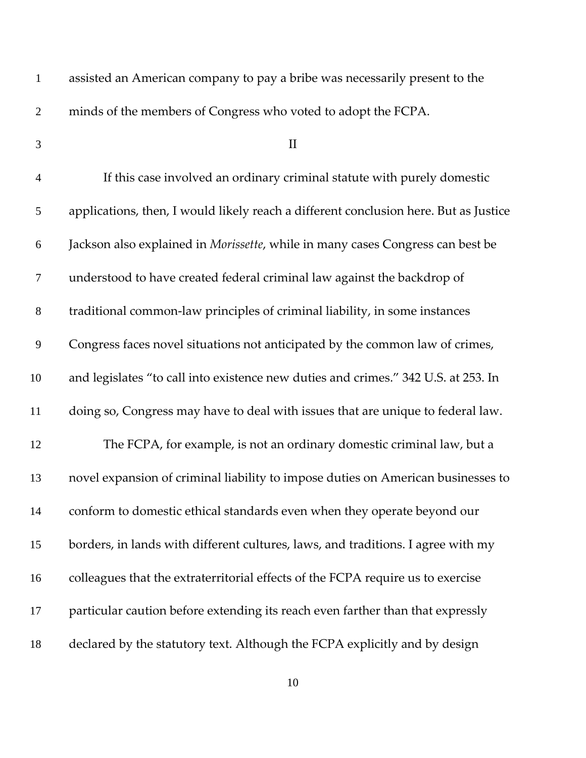| $\mathbf{1}$     | assisted an American company to pay a bribe was necessarily present to the           |
|------------------|--------------------------------------------------------------------------------------|
| $\mathfrak{2}$   | minds of the members of Congress who voted to adopt the FCPA.                        |
| 3                | $\mathbf{I}$                                                                         |
| $\overline{4}$   | If this case involved an ordinary criminal statute with purely domestic              |
| 5                | applications, then, I would likely reach a different conclusion here. But as Justice |
| 6                | Jackson also explained in Morissette, while in many cases Congress can best be       |
| $\boldsymbol{7}$ | understood to have created federal criminal law against the backdrop of              |
| $8\,$            | traditional common-law principles of criminal liability, in some instances           |
| $\mathbf{9}$     | Congress faces novel situations not anticipated by the common law of crimes,         |
| 10               | and legislates "to call into existence new duties and crimes." 342 U.S. at 253. In   |
| 11               | doing so, Congress may have to deal with issues that are unique to federal law.      |
| 12               | The FCPA, for example, is not an ordinary domestic criminal law, but a               |
| 13               | novel expansion of criminal liability to impose duties on American businesses to     |
| 14               | conform to domestic ethical standards even when they operate beyond our              |
| 15               | borders, in lands with different cultures, laws, and traditions. I agree with my     |
| 16               | colleagues that the extraterritorial effects of the FCPA require us to exercise      |
| 17               | particular caution before extending its reach even farther than that expressly       |
| 18               | declared by the statutory text. Although the FCPA explicitly and by design           |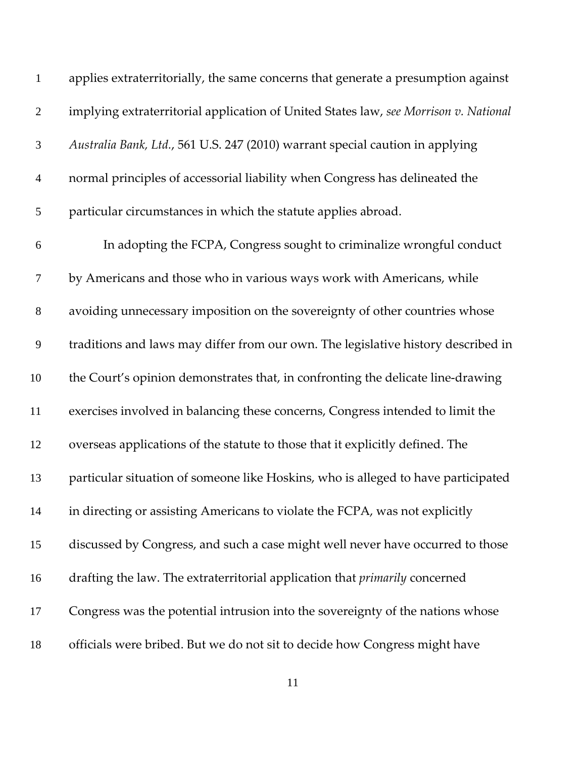| $\mathbf{1}$     | applies extraterritorially, the same concerns that generate a presumption against    |
|------------------|--------------------------------------------------------------------------------------|
| $\overline{2}$   | implying extraterritorial application of United States law, see Morrison v. National |
| $\mathfrak{Z}$   | Australia Bank, Ltd., 561 U.S. 247 (2010) warrant special caution in applying        |
| $\overline{4}$   | normal principles of accessorial liability when Congress has delineated the          |
| 5                | particular circumstances in which the statute applies abroad.                        |
| 6                | In adopting the FCPA, Congress sought to criminalize wrongful conduct                |
| $\boldsymbol{7}$ | by Americans and those who in various ways work with Americans, while                |
| $8\,$            | avoiding unnecessary imposition on the sovereignty of other countries whose          |
| 9                | traditions and laws may differ from our own. The legislative history described in    |
| 10               | the Court's opinion demonstrates that, in confronting the delicate line-drawing      |
| 11               | exercises involved in balancing these concerns, Congress intended to limit the       |
| 12               | overseas applications of the statute to those that it explicitly defined. The        |
| 13               | particular situation of someone like Hoskins, who is alleged to have participated    |
| 14               | in directing or assisting Americans to violate the FCPA, was not explicitly          |
| 15               | discussed by Congress, and such a case might well never have occurred to those       |
| 16               | drafting the law. The extraterritorial application that <i>primarily</i> concerned   |
| 17               | Congress was the potential intrusion into the sovereignty of the nations whose       |
| 18               | officials were bribed. But we do not sit to decide how Congress might have           |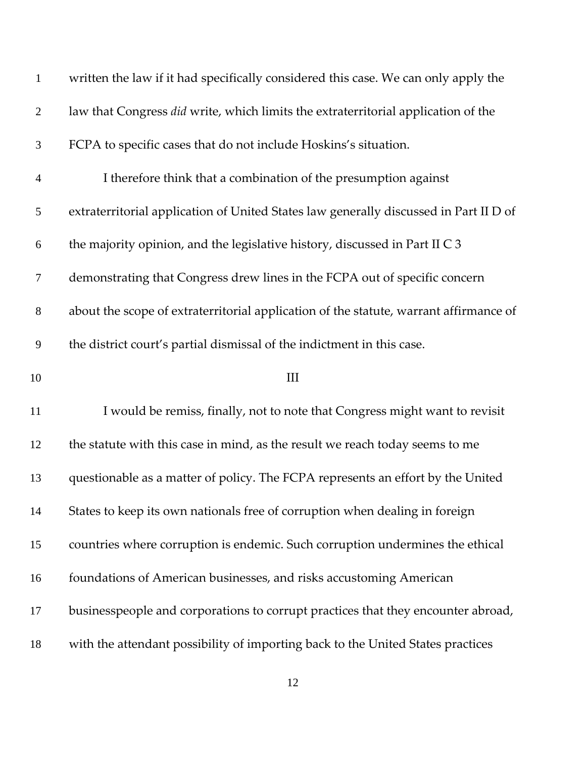| $\mathbf{1}$     | written the law if it had specifically considered this case. We can only apply the    |
|------------------|---------------------------------------------------------------------------------------|
| $\mathbf{2}$     | law that Congress did write, which limits the extraterritorial application of the     |
| $\mathfrak{Z}$   | FCPA to specific cases that do not include Hoskins's situation.                       |
| $\overline{4}$   | I therefore think that a combination of the presumption against                       |
| 5                | extraterritorial application of United States law generally discussed in Part II D of |
| 6                | the majority opinion, and the legislative history, discussed in Part II C 3           |
| $\boldsymbol{7}$ | demonstrating that Congress drew lines in the FCPA out of specific concern            |
| $8\,$            | about the scope of extraterritorial application of the statute, warrant affirmance of |
| 9                | the district court's partial dismissal of the indictment in this case.                |
| 10               | Ш                                                                                     |
| 11               | I would be remiss, finally, not to note that Congress might want to revisit           |
| 12               | the statute with this case in mind, as the result we reach today seems to me          |
| 13               | questionable as a matter of policy. The FCPA represents an effort by the United       |
| 14               | States to keep its own nationals free of corruption when dealing in foreign           |
| 15               | countries where corruption is endemic. Such corruption undermines the ethical         |
| 16               | foundations of American businesses, and risks accustoming American                    |
| 17               | businesspeople and corporations to corrupt practices that they encounter abroad,      |
| 18               | with the attendant possibility of importing back to the United States practices       |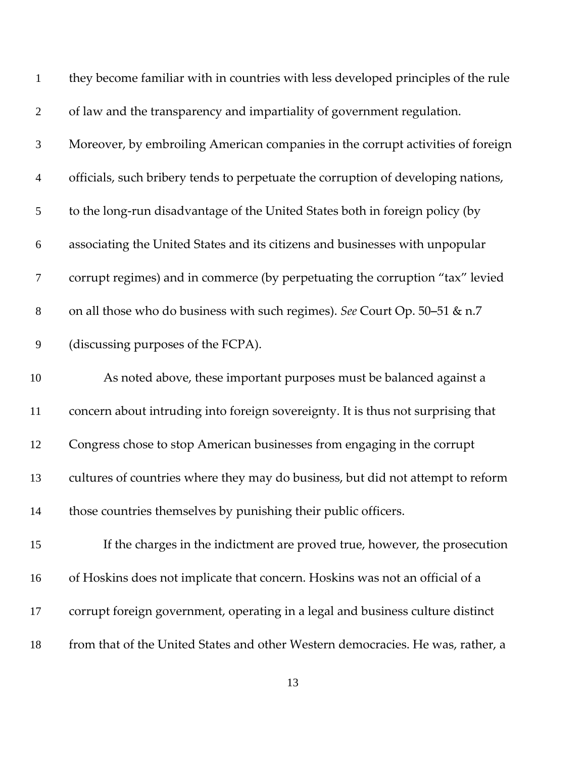| $\mathbf{1}$   | they become familiar with in countries with less developed principles of the rule |
|----------------|-----------------------------------------------------------------------------------|
| $\overline{2}$ | of law and the transparency and impartiality of government regulation.            |
| 3              | Moreover, by embroiling American companies in the corrupt activities of foreign   |
| $\overline{4}$ | officials, such bribery tends to perpetuate the corruption of developing nations, |
| 5              | to the long-run disadvantage of the United States both in foreign policy (by      |
| 6              | associating the United States and its citizens and businesses with unpopular      |
| $\overline{7}$ | corrupt regimes) and in commerce (by perpetuating the corruption "tax" levied     |
| $8\,$          | on all those who do business with such regimes). See Court Op. 50-51 & n.7        |
| $\mathbf{9}$   | (discussing purposes of the FCPA).                                                |
| 10             | As noted above, these important purposes must be balanced against a               |
| 11             | concern about intruding into foreign sovereignty. It is thus not surprising that  |
| 12             | Congress chose to stop American businesses from engaging in the corrupt           |
| 13             | cultures of countries where they may do business, but did not attempt to reform   |
| 14             | those countries themselves by punishing their public officers.                    |
| 15             | If the charges in the indictment are proved true, however, the prosecution        |
| 16             | of Hoskins does not implicate that concern. Hoskins was not an official of a      |
|                |                                                                                   |
| 17             | corrupt foreign government, operating in a legal and business culture distinct    |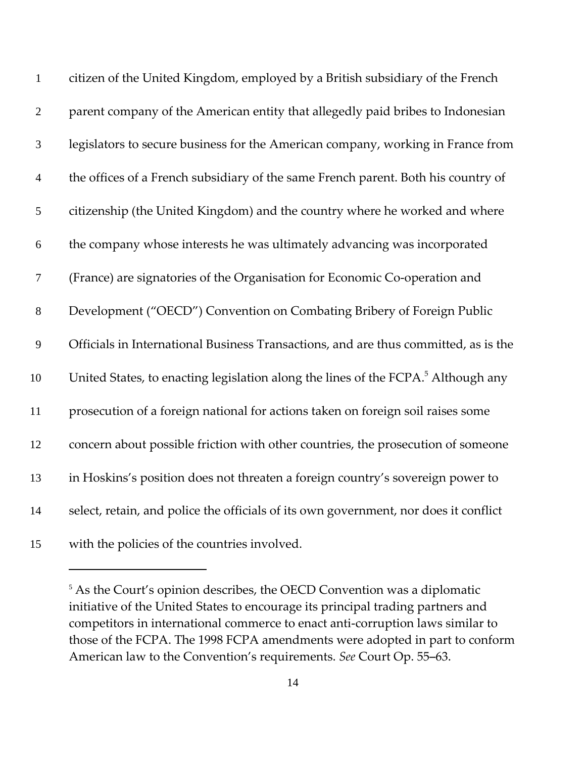| $\mathbf{1}$   | citizen of the United Kingdom, employed by a British subsidiary of the French                 |
|----------------|-----------------------------------------------------------------------------------------------|
| $\overline{2}$ | parent company of the American entity that allegedly paid bribes to Indonesian                |
| $\mathfrak{Z}$ | legislators to secure business for the American company, working in France from               |
| $\overline{4}$ | the offices of a French subsidiary of the same French parent. Both his country of             |
| 5              | citizenship (the United Kingdom) and the country where he worked and where                    |
| 6              | the company whose interests he was ultimately advancing was incorporated                      |
| $\overline{7}$ | (France) are signatories of the Organisation for Economic Co-operation and                    |
| $8\,$          | Development ("OECD") Convention on Combating Bribery of Foreign Public                        |
| $\mathbf{9}$   | Officials in International Business Transactions, and are thus committed, as is the           |
| 10             | United States, to enacting legislation along the lines of the FCPA. <sup>5</sup> Although any |
| 11             | prosecution of a foreign national for actions taken on foreign soil raises some               |
| 12             | concern about possible friction with other countries, the prosecution of someone              |
| 13             | in Hoskins's position does not threaten a foreign country's sovereign power to                |
| 14             | select, retain, and police the officials of its own government, nor does it conflict          |
| 15             | with the policies of the countries involved.                                                  |

<sup>&</sup>lt;sup>5</sup> As the Court's opinion describes, the OECD Convention was a diplomatic initiative of the United States to encourage its principal trading partners and competitors in international commerce to enact anti‐corruption laws similar to those of the FCPA. The 1998 FCPA amendments were adopted in part to conform American law to the Convention's requirements. See Court Op. 55-63.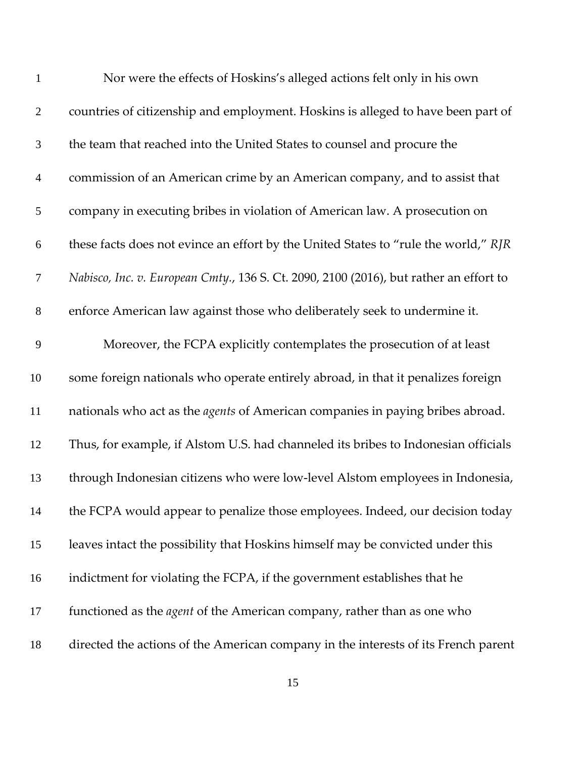| $\mathbf{1}$   | Nor were the effects of Hoskins's alleged actions felt only in his own                 |
|----------------|----------------------------------------------------------------------------------------|
| $\mathbf{2}$   | countries of citizenship and employment. Hoskins is alleged to have been part of       |
| 3              | the team that reached into the United States to counsel and procure the                |
| $\overline{4}$ | commission of an American crime by an American company, and to assist that             |
| 5              | company in executing bribes in violation of American law. A prosecution on             |
| 6              | these facts does not evince an effort by the United States to "rule the world," RJR    |
| $\tau$         | Nabisco, Inc. v. European Cmty., 136 S. Ct. 2090, 2100 (2016), but rather an effort to |
| $8\,$          | enforce American law against those who deliberately seek to undermine it.              |
| 9              | Moreover, the FCPA explicitly contemplates the prosecution of at least                 |
| 10             | some foreign nationals who operate entirely abroad, in that it penalizes foreign       |
| 11             | nationals who act as the <i>agents</i> of American companies in paying bribes abroad.  |
| 12             | Thus, for example, if Alstom U.S. had channeled its bribes to Indonesian officials     |
| 13             | through Indonesian citizens who were low-level Alstom employees in Indonesia,          |
| 14             | the FCPA would appear to penalize those employees. Indeed, our decision today          |
| 15             | leaves intact the possibility that Hoskins himself may be convicted under this         |
| 16             | indictment for violating the FCPA, if the government establishes that he               |
| 17             | functioned as the <i>agent</i> of the American company, rather than as one who         |
| 18             | directed the actions of the American company in the interests of its French parent     |